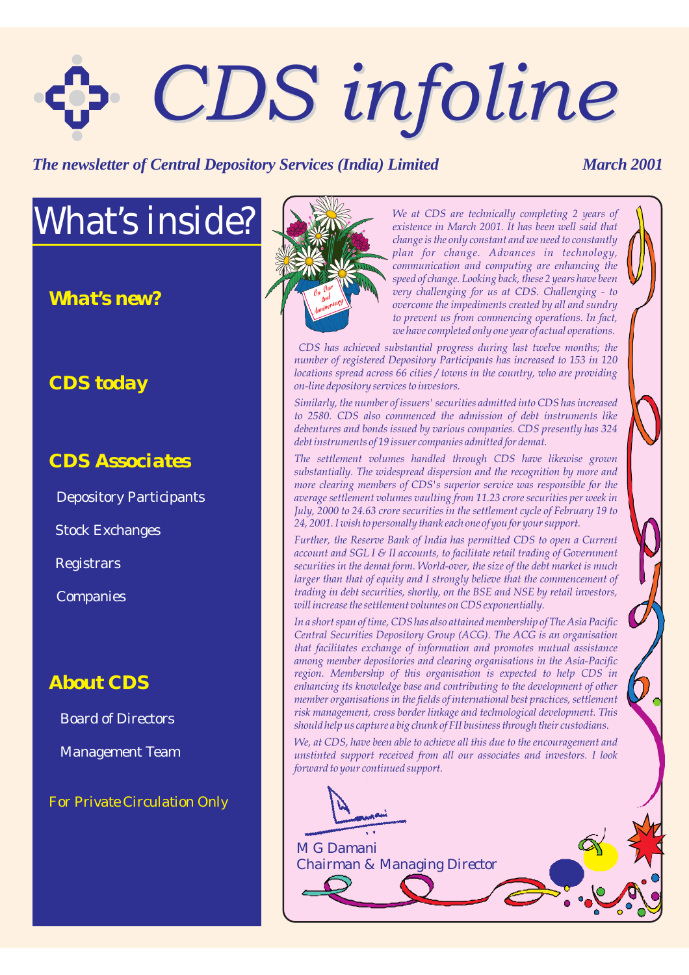# *CDS infoline CDS infoline*

#### **The newsletter of Central Depository Services (India) Limited March 2001**

## *What's inside?*

*What's new?*

#### *CDS today*

#### *CDS Associates*

Depository Participants

Stock Exchanges

**Registrars** 

Companies

#### *About CDS*

Board of Directors

Management Team

*For Private Circulation Only*



*We at CDS are technically completing 2 years of existence in March 2001. It has been well said that change is the only constant and we need to constantly plan for change. Advances in technology, communication and computing are enhancing the speed of change. Looking back, these 2 years have been very challenging for us at CDS. Challenging - to overcome the impediments created by all and sundry to prevent us from commencing operations. In fact, we have completed only one year of actual operations.*

*CDS has achieved substantial progress during last twelve months; the number of registered Depository Participants has increased to 153 in 120 locations spread across 66 cities / towns in the country, who are providing on-line depository services to investors.*

*Similarly, the number of issuers' securities admitted into CDS has increased to 2580. CDS also commenced the admission of debt instruments like debentures and bonds issued by various companies. CDS presently has 324 debt instruments of 19 issuer companies admitted for demat.*

*The settlement volumes handled through CDS have likewise grown substantially. The widespread dispersion and the recognition by more and more clearing members of CDS's superior service was responsible for the average settlement volumes vaulting from 11.23 crore securities per week in July, 2000 to 24.63 crore securities in the settlement cycle of February 19 to 24, 2001. I wish to personally thank each one of you for your support.*

*Further, the Reserve Bank of India has permitted CDS to open a Current account and SGL I & II accounts, to facilitate retail trading of Government securities in the demat form. World-over, the size of the debt market is much larger than that of equity and I strongly believe that the commencement of trading in debt securities, shortly, on the BSE and NSE by retail investors, will increase the settlement volumes on CDS exponentially.*

*In a short span of time, CDS has also attained membership of The Asia Pacific Central Securities Depository Group (ACG). The ACG is an organisation that facilitates exchange of information and promotes mutual assistance among member depositories and clearing organisations in the Asia-Pacific region. Membership of this organisation is expected to help CDS in enhancing its knowledge base and contributing to the development of other member organisations in the fields of international best practices, settlement risk management, cross border linkage and technological development. This should help us capture a big chunk of FII business through their custodians.*

*We, at CDS, have been able to achieve all this due to the encouragement and unstinted support received from all our associates and investors. I look forward to your continued support.*

*M G Damani Chairman & Managing Director*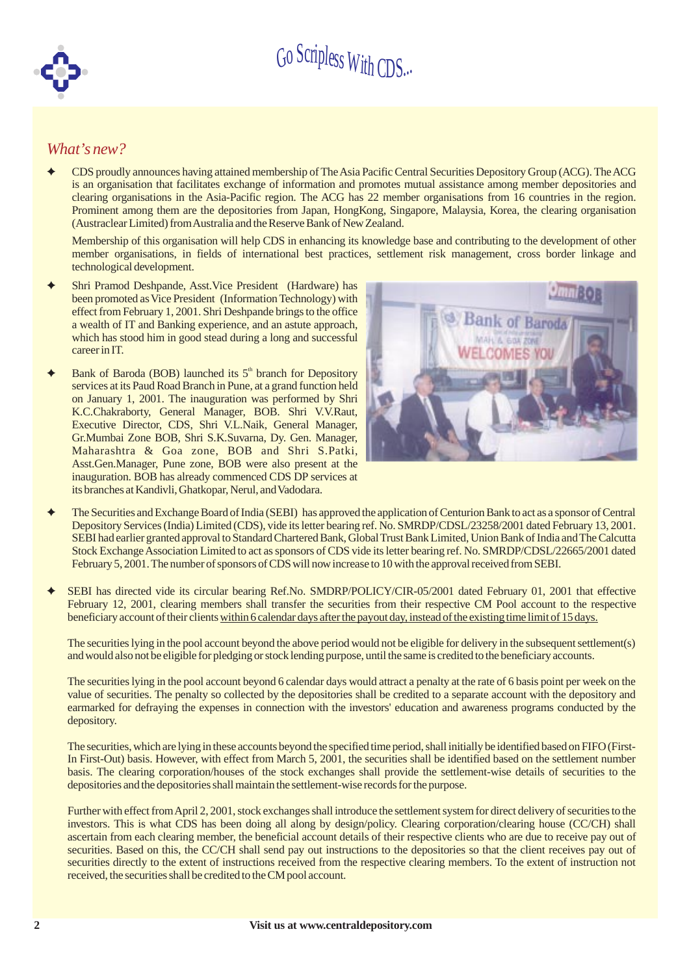

#### *What's new?*

 $\ddotmark$ CDS proudly announces having attained membership of TheAsia Pacific Central Securities Depository Group (ACG). TheACG is an organisation that facilitates exchange of information and promotes mutual assistance among member depositories and clearing organisations in the Asia-Pacific region. The ACG has 22 member organisations from 16 countries in the region. Prominent among them are the depositories from Japan, HongKong, Singapore, Malaysia, Korea, the clearing organisation (Austraclear Limited) fromAustralia and the Reserve Bank of NewZealand.

Membership of this organisation will help CDS in enhancing its knowledge base and contributing to the development of other member organisations, in fields of international best practices, settlement risk management, cross border linkage and technological development.

- $\ddotmark$ Shri Pramod Deshpande, Asst.Vice President (Hardware) has been promoted as Vice President (Information Technology) with effect from February 1, 2001. Shri Deshpande brings to the office a wealth of IT and Banking experience, and an astute approach, which has stood him in good stead during a long and successful career in IT.
- $\ddotmark$ Bank of Baroda (BOB) launched its  $5<sup>th</sup>$  branch for Depository services at its Paud Road Branch in Pune, at a grand function held on January 1, 2001. The inauguration was performed by Shri K.C.Chakraborty, General Manager, BOB. Shri V.V.Raut, Executive Director, CDS, Shri V.L.Naik, General Manager, Gr.Mumbai Zone BOB, Shri S.K.Suvarna, Dy. Gen. Manager, Maharashtra & Goa zone, BOB and Shri S.Patki, Asst.Gen.Manager, Pune zone, BOB were also present at the inauguration. BOB has already commenced CDS DP services at its branches at Kandivli, Ghatkopar, Nerul, and Vadodara.



- $\bigstar$ The Securities and Exchange Board of India (SEBI) has approved the application of Centurion Bank to act as a sponsor of Central Depository Services (India) Limited (CDS), vide its letter bearing ref. No. SMRDP/CDSL/23258/2001 dated February 13, 2001. SEBI had earlier granted approval to Standard Chartered Bank, Global Trust Bank Limited, Union Bank of India and The Calcutta Stock Exchange Association Limited to act as sponsors of CDS vide its letter bearing ref. No. SMRDP/CDSL/22665/2001 dated February 5, 2001.The number of sponsors of CDS will nowincrease to 10 with the approval received fromSEBI.
- $\ddotmark$ SEBI has directed vide its circular bearing Ref.No. SMDRP/POLICY/CIR-05/2001 dated February 01, 2001 that effective February 12, 2001, clearing members shall transfer the securities from their respective CM Pool account to the respective beneficiary account of their clients within 6 calendar days after the payout day, instead of the existing time limit of 15 days.

The securities lying in the pool account beyond the above period would not be eligible for delivery in the subsequent settlement(s) and would also not be eligible for pledging or stock lending purpose, until the same is credited to the beneficiary accounts.

The securities lying in the pool account beyond 6 calendar days would attract a penalty at the rate of 6 basis point per week on the value of securities. The penalty so collected by the depositories shall be credited to a separate account with the depository and earmarked for defraying the expenses in connection with the investors' education and awareness programs conducted by the depository.

The securities, which are lying in these accounts beyond the specified time period, shall initially be identified based on FIFO(First-In First-Out) basis. However, with effect from March 5, 2001, the securities shall be identified based on the settlement number basis. The clearing corporation/houses of the stock exchanges shall provide the settlement-wise details of securities to the depositories and the depositories shall maintain the settlement-wise records for the purpose.

Further with effect fromApril 2, 2001, stock exchanges shall introduce the settlement system for direct delivery of securities to the investors. This is what CDS has been doing all along by design/policy. Clearing corporation/clearing house (CC/CH) shall ascertain from each clearing member, the beneficial account details of their respective clients who are due to receive pay out of securities. Based on this, the CC/CH shall send pay out instructions to the depositories so that the client receives pay out of securities directly to the extent of instructions received from the respective clearing members. To the extent of instruction not received, the securities shall be credited to the CM pool account.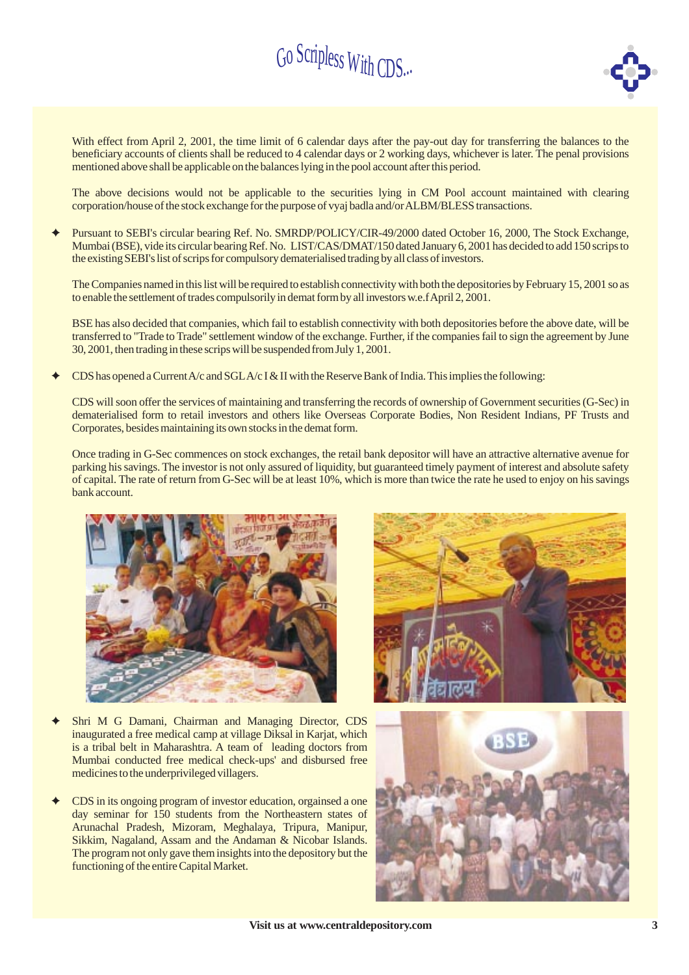

With effect from April 2, 2001, the time limit of 6 calendar days after the pay-out day for transferring the balances to the beneficiary accounts of clients shall be reduced to 4 calendar days or 2 working days, whichever is later. The penal provisions mentioned above shall be applicable on the balances lying in the pool account after this period.

The above decisions would not be applicable to the securities lying in CM Pool account maintained with clearing corporation/house of the stock exchange for the purpose of vyaj badla and/orALBM/BLESS transactions.

Pursuant to SEBI's circular bearing Ref. No. SMRDP/POLICY/CIR-49/2000 dated October 16, 2000, The Stock Exchange, Mumbai (BSE), vide its circular bearing Ref. No. LIST/CAS/DMAT/150 dated January 6, 2001 has decided to add 150 scrips to the existing SEBI's list of scrips for compulsory dematerialised trading by all class of investors.  $\ddotmark$ 

The Companies named in this list will be required to establish connectivity with both the depositories by February 15, 2001 so as to enable the settlement of trades compulsorily in demat formby all investors w.e.fApril 2, 2001.

BSE has also decided that companies, which fail to establish connectivity with both depositories before the above date, will be transferred to "Trade to Trade" settlement window of the exchange. Further, if the companies fail to sign the agreement by June 30, 2001, then trading in these scrips will be suspended fromJuly 1, 2001.

CDS has opened a Current A/c and SGLA/c I & II with the Reserve Bank of India. This implies the following:  $\ddotmark$ 

CDS will soon offer the services of maintaining and transferring the records of ownership of Government securities (G-Sec) in dematerialised form to retail investors and others like Overseas Corporate Bodies, Non Resident Indians, PF Trusts and Corporates, besides maintaining its own stocks in the demat form.

Once trading in G-Sec commences on stock exchanges, the retail bank depositor will have an attractive alternative avenue for parking his savings. The investor is not only assured of liquidity, but guaranteed timely payment of interest and absolute safety of capital. The rate of return from G-Sec will be at least 10%, which is more than twice the rate he used to enjoy on his savings bank account.



- Shri M G Damani, Chairman and Managing Director, CDS inaugurated a free medical camp at village Diksal in Karjat, which is a tribal belt in Maharashtra. A team of leading doctors from Mumbai conducted free medical check-ups' and disbursed free medicines to the underprivileged villagers.  $\ddotmark$
- CDS in its ongoing program of investor education, orgainsed a one day seminar for 150 students from the Northeastern states of Arunachal Pradesh, Mizoram, Meghalaya, Tripura, Manipur, Sikkim, Nagaland, Assam and the Andaman & Nicobar Islands. The program not only gave them insights into the depository but the functioning of the entire Capital Market.  $\ddotmark$



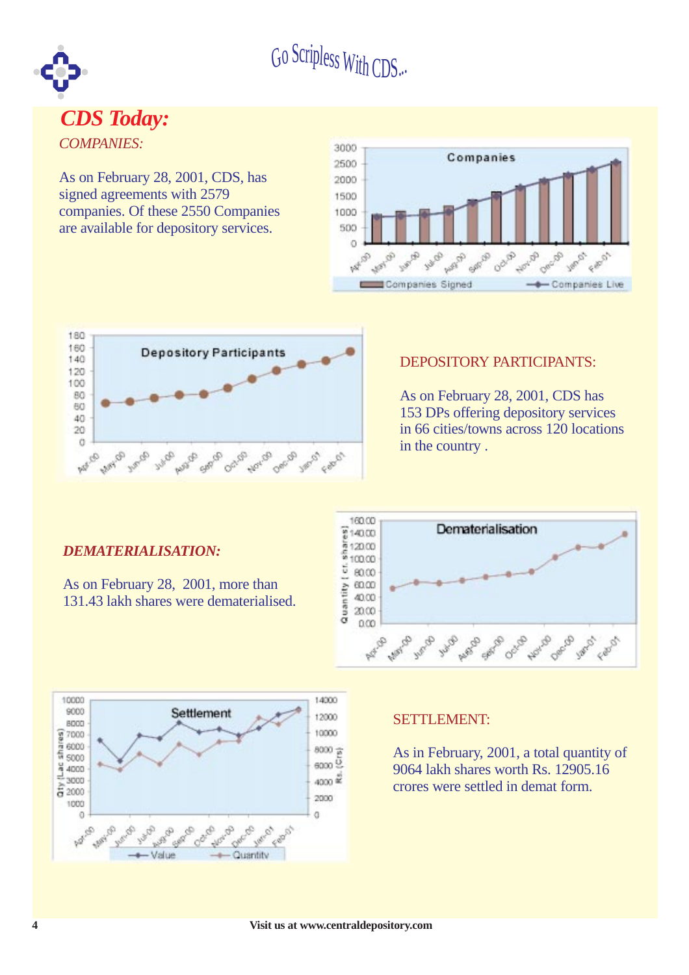

#### *COMPANIES: CDS Today:*

As on February 28, 2001, CDS, has signed agreements with 2579 companies. Of these 2550 Companies are available for depository services.





#### DEPOSITORY PARTICIPANTS:

As on February 28, 2001, CDS has 153 DPs offering depository services in 66 cities/towns across 120 locations in the country .

#### *DEMATERIALISATION:*

As on February 28, 2001, more than 131.43 lakh shares were dematerialised.





#### SETTLEMENT:

As in February, 2001, a total quantity of 9064 lakh shares worth Rs. 12905.16 crores were settled in demat form.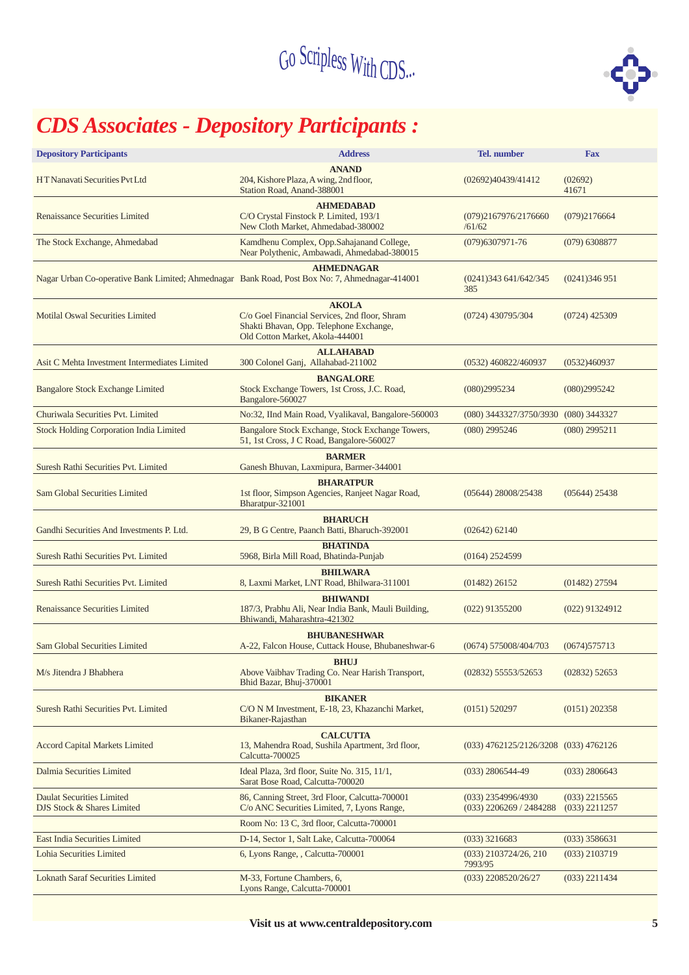

## *CDS Associates - Depository Participants :*

| <b>Depository Participants</b>                                                                   | <b>Address</b>                                                                                                                              | <b>Tel.</b> number                              | <b>Fax</b>                         |  |  |  |
|--------------------------------------------------------------------------------------------------|---------------------------------------------------------------------------------------------------------------------------------------------|-------------------------------------------------|------------------------------------|--|--|--|
| HT Nanavati Securities Pvt Ltd                                                                   | <b>ANAND</b><br>204, Kishore Plaza, A wing, 2nd floor,<br>Station Road, Anand-388001                                                        | (02692)40439/41412                              | (02692)<br>41671                   |  |  |  |
| <b>Renaissance Securities Limited</b>                                                            | <b>AHMEDABAD</b><br>C/O Crystal Finstock P. Limited, 193/1<br>New Cloth Market, Ahmedabad-380002                                            | (079)2167976/2176660<br>/61/62                  | (079)2176664                       |  |  |  |
| The Stock Exchange, Ahmedabad                                                                    | Kamdhenu Complex, Opp.Sahajanand College,<br>Near Polythenic, Ambawadi, Ahmedabad-380015                                                    | $(079)6307971 - 76$                             | $(079)$ 6308877                    |  |  |  |
| Nagar Urban Co-operative Bank Limited; Ahmednagar Bank Road, Post Box No: 7, Ahmednagar-414001   | <b>AHMEDNAGAR</b>                                                                                                                           | (0241)343641/642/345<br>385                     | (0241)346951                       |  |  |  |
| <b>Motilal Oswal Securities Limited</b>                                                          | <b>AKOLA</b><br>C/o Goel Financial Services, 2nd floor, Shram<br>Shakti Bhavan, Opp. Telephone Exchange,<br>Old Cotton Market, Akola-444001 | $(0724)$ 430795/304                             | $(0724)$ 425309                    |  |  |  |
| Asit C Mehta Investment Intermediates Limited                                                    | <b>ALLAHABAD</b><br>300 Colonel Ganj, Allahabad-211002                                                                                      | $(0532)$ 460822/460937                          | (0532)460937                       |  |  |  |
| <b>Bangalore Stock Exchange Limited</b>                                                          | <b>BANGALORE</b><br>Stock Exchange Towers, 1st Cross, J.C. Road,<br>Bangalore-560027                                                        | (080)2995234                                    | (080)2995242                       |  |  |  |
| Churiwala Securities Pvt. Limited                                                                | No:32, IInd Main Road, Vyalikaval, Bangalore-560003                                                                                         | (080) 3443327/3750/3930 (080) 3443327           |                                    |  |  |  |
| <b>Stock Holding Corporation India Limited</b>                                                   | Bangalore Stock Exchange, Stock Exchange Towers,<br>51, 1st Cross, J C Road, Bangalore-560027                                               | $(080)$ 2995246                                 | $(080)$ 2995211                    |  |  |  |
| <b>BARMER</b><br>Suresh Rathi Securities Pvt. Limited<br>Ganesh Bhuvan, Laxmipura, Barmer-344001 |                                                                                                                                             |                                                 |                                    |  |  |  |
| <b>Sam Global Securities Limited</b>                                                             | <b>BHARATPUR</b><br>1st floor, Simpson Agencies, Ranjeet Nagar Road,<br>Bharatpur-321001                                                    | $(05644)$ 28008/25438                           | $(05644)$ 25438                    |  |  |  |
| Gandhi Securities And Investments P. Ltd.                                                        | <b>BHARUCH</b><br>29, B G Centre, Paanch Batti, Bharuch-392001                                                                              | $(02642)$ 62140                                 |                                    |  |  |  |
| Suresh Rathi Securities Pvt. Limited                                                             | <b>BHATINDA</b><br>5968, Birla Mill Road, Bhatinda-Punjab                                                                                   | $(0164)$ 2524599                                |                                    |  |  |  |
| Suresh Rathi Securities Pvt. Limited                                                             | <b>BHILWARA</b><br>8, Laxmi Market, LNT Road, Bhilwara-311001                                                                               | $(01482)$ 26152                                 | $(01482)$ 27594                    |  |  |  |
| <b>Renaissance Securities Limited</b>                                                            | <b>BHIWANDI</b><br>187/3, Prabhu Ali, Near India Bank, Mauli Building,<br>Bhiwandi, Maharashtra-421302                                      | $(022)$ 91355200                                | $(022)$ 91324912                   |  |  |  |
| Sam Global Securities Limited                                                                    | <b>BHUBANESHWAR</b><br>A-22, Falcon House, Cuttack House, Bhubaneshwar-6                                                                    | (0674) 575008/404/703                           | (0674)575713                       |  |  |  |
| M/s Jitendra J Bhabhera                                                                          | <b>BHUJ</b><br>Above Vaibhav Trading Co. Near Harish Transport,<br>Bhid Bazar, Bhuj-370001                                                  | $(02832)$ 55553/52653                           | $(02832)$ 52653                    |  |  |  |
| Suresh Rathi Securities Pvt. Limited                                                             | <b>BIKANER</b><br>C/O N M Investment, E-18, 23, Khazanchi Market,<br>Bikaner-Rajasthan                                                      | $(0151)$ 520297                                 | $(0151)$ 202358                    |  |  |  |
| <b>Accord Capital Markets Limited</b>                                                            | <b>CALCUTTA</b><br>13, Mahendra Road, Sushila Apartment, 3rd floor,<br>Calcutta-700025                                                      | (033) 4762125/2126/3208 (033) 4762126           |                                    |  |  |  |
| Dalmia Securities Limited                                                                        | Ideal Plaza, 3rd floor, Suite No. 315, 11/1,<br>Sarat Bose Road, Calcutta-700020                                                            | $(033)$ 2806544-49                              | $(033)$ 2806643                    |  |  |  |
| Daulat Securities Limited<br>DJS Stock & Shares Limited                                          | 86, Canning Street, 3rd Floor, Calcutta-700001<br>C/o ANC Securities Limited, 7, Lyons Range,                                               | (033) 2354996/4930<br>$(033)$ 2206269 / 2484288 | $(033)$ 2215565<br>$(033)$ 2211257 |  |  |  |
|                                                                                                  | Room No: 13 C, 3rd floor, Calcutta-700001                                                                                                   |                                                 |                                    |  |  |  |
| East India Securities Limited                                                                    | D-14, Sector 1, Salt Lake, Calcutta-700064                                                                                                  | $(033)$ 3216683                                 | $(033)$ 3586631                    |  |  |  |
| Lohia Securities Limited                                                                         | 6, Lyons Range, , Calcutta-700001                                                                                                           | $(033)$ 2103724/26, 210<br>7993/95              | $(033)$ 2103719                    |  |  |  |
| <b>Loknath Saraf Securities Limited</b>                                                          | M-33, Fortune Chambers, 6,<br>Lyons Range, Calcutta-700001                                                                                  | $(033)$ 2208520/26/27                           | $(033)$ 2211434                    |  |  |  |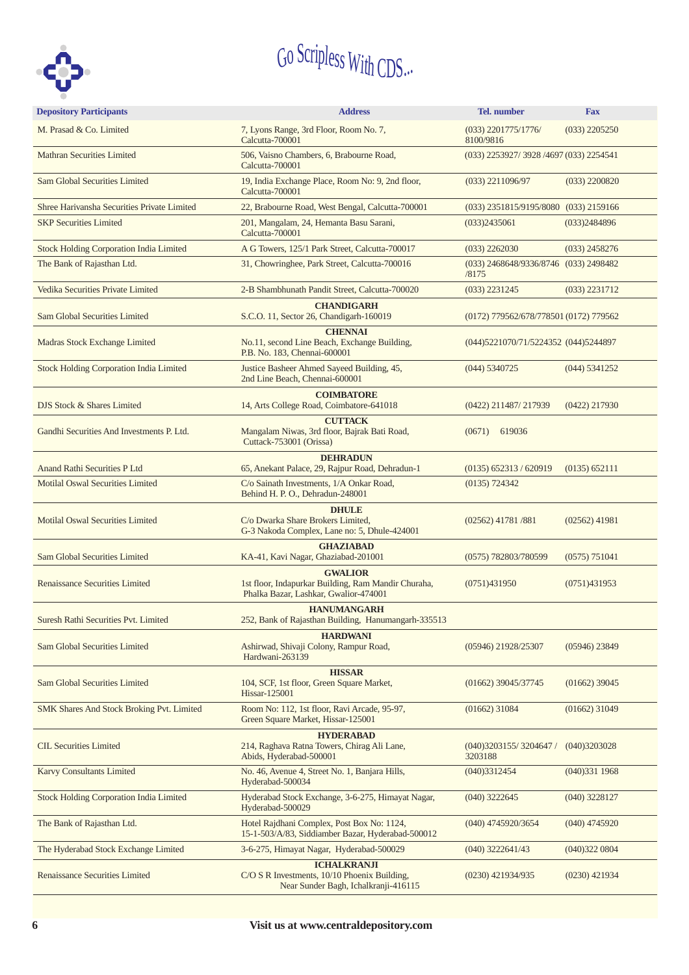

| <b>Depository Participants</b>                 | <b>Address</b>                                                                                                 | <b>Tel.</b> number                     | <b>Fax</b>      |
|------------------------------------------------|----------------------------------------------------------------------------------------------------------------|----------------------------------------|-----------------|
| M. Prasad & Co. Limited                        | 7, Lyons Range, 3rd Floor, Room No. 7,<br>Calcutta-700001                                                      | $(033)$ 2201775/1776/<br>8100/9816     | $(033)$ 2205250 |
| <b>Mathran Securities Limited</b>              | 506, Vaisno Chambers, 6, Brabourne Road,<br>Calcutta-700001                                                    | (033) 2253927/3928 /4697 (033) 2254541 |                 |
| Sam Global Securities Limited                  | 19, India Exchange Place, Room No: 9, 2nd floor,<br>Calcutta-700001                                            | $(033)$ 2211096/97                     | $(033)$ 2200820 |
| Shree Hariyansha Securities Private Limited    | 22, Brabourne Road, West Bengal, Calcutta-700001                                                               | $(033)$ 2351815/9195/8080              | $(033)$ 2159166 |
| <b>SKP Securities Limited</b>                  | 201, Mangalam, 24, Hemanta Basu Sarani,<br>Calcutta-700001                                                     | (033)2435061                           | (033)2484896    |
| <b>Stock Holding Corporation India Limited</b> | A G Towers, 125/1 Park Street, Calcutta-700017                                                                 | $(033)$ 2262030                        | $(033)$ 2458276 |
| The Bank of Rajasthan Ltd.                     | 31, Chowringhee, Park Street, Calcutta-700016                                                                  | (033) 2468648/9336/8746<br>/8175       | $(033)$ 2498482 |
| Vedika Securities Private Limited              | 2-B Shambhunath Pandit Street, Calcutta-700020                                                                 | $(033)$ 2231245                        | $(033)$ 2231712 |
| Sam Global Securities Limited                  | <b>CHANDIGARH</b><br>S.C.O. 11, Sector 26, Chandigarh-160019                                                   | (0172) 779562/678/778501 (0172) 779562 |                 |
|                                                | <b>CHENNAI</b>                                                                                                 |                                        |                 |
| Madras Stock Exchange Limited                  | No.11, second Line Beach, Exchange Building,<br>P.B. No. 183, Chennai-600001                                   | (044) 5221070/71/5224352 (044) 5244897 |                 |
| <b>Stock Holding Corporation India Limited</b> | Justice Basheer Ahmed Sayeed Building, 45,<br>2nd Line Beach, Chennai-600001                                   | (044) 5340725                          | $(044)$ 5341252 |
| DJS Stock & Shares Limited                     | <b>COIMBATORE</b><br>14, Arts College Road, Coimbatore-641018                                                  | $(0422)$ 211487/217939                 | $(0422)$ 217930 |
| Gandhi Securities And Investments P. Ltd.      | <b>CUTTACK</b><br>Mangalam Niwas, 3rd floor, Bajrak Bati Road,<br>Cuttack-753001 (Orissa)                      | $(0671)$ 619036                        |                 |
| <b>Anand Rathi Securities P Ltd</b>            | <b>DEHRADUN</b><br>65, Anekant Palace, 29, Rajpur Road, Dehradun-1                                             | $(0135)$ 652313 / 620919               | (0135) 652111   |
| <b>Motilal Oswal Securities Limited</b>        | C/o Sainath Investments, 1/A Onkar Road,<br>Behind H. P. O., Dehradun-248001                                   | (0135) 724342                          |                 |
| <b>Motilal Oswal Securities Limited</b>        | <b>DHULE</b><br>C/o Dwarka Share Brokers Limited,<br>G-3 Nakoda Complex, Lane no: 5, Dhule-424001              | $(02562)$ 41781/881                    | $(02562)$ 41981 |
| Sam Global Securities Limited                  | <b>GHAZIABAD</b><br>KA-41, Kavi Nagar, Ghaziabad-201001                                                        | (0575) 782803/780599                   | (0575) 751041   |
| <b>Renaissance Securities Limited</b>          | <b>GWALIOR</b><br>1st floor, Indapurkar Building, Ram Mandir Churaha,<br>Phalka Bazar, Lashkar, Gwalior-474001 | (0751)431950                           | (0751)431953    |
| Suresh Rathi Securities Pvt. Limited           | <b>HANUMANGARH</b><br>252, Bank of Rajasthan Building, Hanumangarh-335513                                      |                                        |                 |
| Sam Global Securities Limited                  | <b>HARDWANI</b><br>Ashirwad, Shivaji Colony, Rampur Road,<br>Hardwani-263139                                   | (05946) 21928/25307                    | $(05946)$ 23849 |
| <b>Sam Global Securities Limited</b>           | <b>HISSAR</b><br>104, SCF, 1st floor, Green Square Market,<br>Hissar-125001                                    | (01662) 39045/37745                    | $(01662)$ 39045 |
| SMK Shares And Stock Broking Pvt. Limited      | Room No: 112, 1st floor, Ravi Arcade, 95-97,<br>Green Square Market, Hissar-125001                             | $(01662)$ 31084                        | $(01662)$ 31049 |
| <b>CIL Securities Limited</b>                  | <b>HYDERABAD</b><br>214, Raghava Ratna Towers, Chirag Ali Lane,<br>Abids, Hyderabad-500001                     | (040)3203155/3204647/<br>3203188       | (040)3203028    |
| <b>Karvy Consultants Limited</b>               | No. 46, Avenue 4, Street No. 1, Banjara Hills,<br>Hyderabad-500034                                             | (040)3312454                           | (040)3311968    |
| <b>Stock Holding Corporation India Limited</b> | Hyderabad Stock Exchange, 3-6-275, Himayat Nagar,<br>Hyderabad-500029                                          | (040) 3222645                          | $(040)$ 3228127 |
| The Bank of Rajasthan Ltd.                     | Hotel Rajdhani Complex, Post Box No: 1124,<br>15-1-503/A/83, Siddiamber Bazar, Hyderabad-500012                | (040) 4745920/3654                     | (040) 4745920   |
| The Hyderabad Stock Exchange Limited           | 3-6-275, Himayat Nagar, Hyderabad-500029                                                                       | (040) 3222641/43                       | (040)3220804    |
| <b>Renaissance Securities Limited</b>          | <b>ICHALKRANJI</b><br>$C/O S R$ Investments, $10/10$ Phoenix Building,<br>Near Sunder Bagh, Ichalkranji-416115 | (0230) 421934/935                      | $(0230)$ 421934 |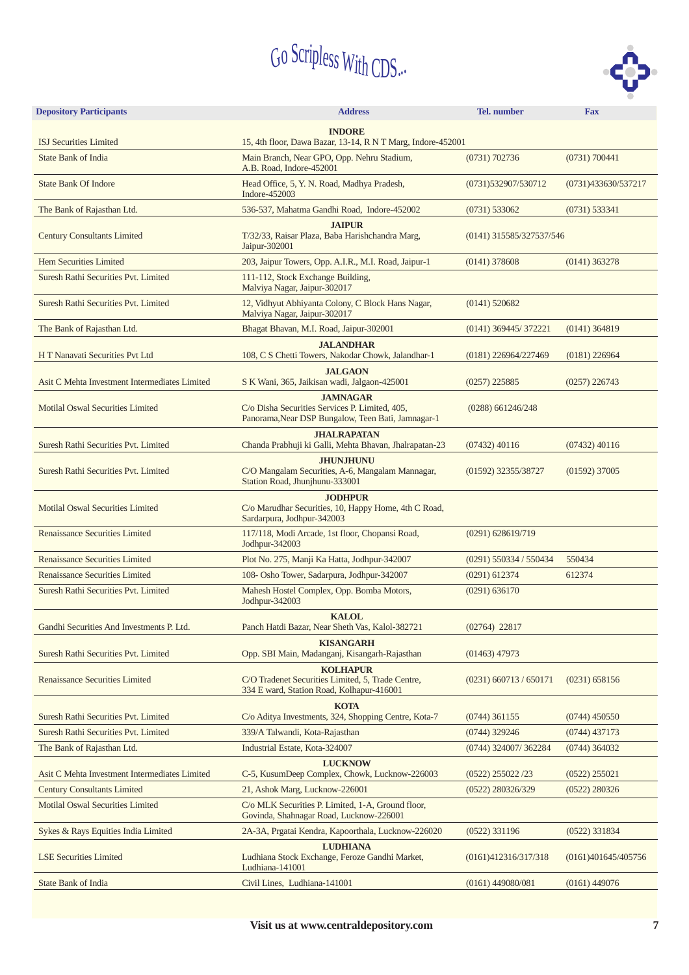

| <b>Depository Participants</b>                              | <b>Address</b>                                                                                                          | Tel. number              | <b>Fax</b>          |  |  |  |
|-------------------------------------------------------------|-------------------------------------------------------------------------------------------------------------------------|--------------------------|---------------------|--|--|--|
|                                                             | <b>INDORE</b><br>15, 4th floor, Dawa Bazar, 13-14, R N T Marg, Indore-452001                                            |                          |                     |  |  |  |
| <b>ISJ Securities Limited</b><br><b>State Bank of India</b> | Main Branch, Near GPO, Opp. Nehru Stadium,<br>A.B. Road, Indore-452001                                                  | (0731) 702736            | (0731) 700441       |  |  |  |
| <b>State Bank Of Indore</b>                                 | Head Office, 5, Y. N. Road, Madhya Pradesh,<br>Indore-452003                                                            | (0731)532907/530712      | (0731)433630/537217 |  |  |  |
| The Bank of Rajasthan Ltd.                                  | 536-537, Mahatma Gandhi Road, Indore-452002                                                                             | (0731) 533062            | (0731) 533341       |  |  |  |
| <b>Century Consultants Limited</b>                          | <b>JAIPUR</b><br>T/32/33, Raisar Plaza, Baba Harishchandra Marg,<br>Jaipur-302001                                       | (0141) 315585/327537/546 |                     |  |  |  |
| <b>Hem Securities Limited</b>                               | 203, Jaipur Towers, Opp. A.I.R., M.I. Road, Jaipur-1                                                                    | $(0141)$ 378608          | $(0141)$ 363278     |  |  |  |
| Suresh Rathi Securities Pvt. Limited                        | 111-112, Stock Exchange Building,<br>Malviya Nagar, Jaipur-302017                                                       |                          |                     |  |  |  |
| Suresh Rathi Securities Pvt. Limited                        | 12, Vidhyut Abhiyanta Colony, C Block Hans Nagar,<br>Malviya Nagar, Jaipur-302017                                       | $(0141)$ 520682          |                     |  |  |  |
| The Bank of Rajasthan Ltd.                                  | Bhagat Bhavan, M.I. Road, Jaipur-302001                                                                                 | (0141) 369445/372221     | $(0141)$ 364819     |  |  |  |
| H T Nanavati Securities Pvt Ltd                             | <b>JALANDHAR</b><br>108, C S Chetti Towers, Nakodar Chowk, Jalandhar-1                                                  | (0181) 226964/227469     | $(0181)$ 226964     |  |  |  |
| Asit C Mehta Investment Intermediates Limited               | <b>JALGAON</b><br>S K Wani, 365, Jaikisan wadi, Jalgaon-425001                                                          | $(0257)$ 225885          | $(0257)$ 226743     |  |  |  |
| <b>Motilal Oswal Securities Limited</b>                     | <b>JAMNAGAR</b><br>C/o Disha Securities Services P. Limited, 405,<br>Panorama, Near DSP Bungalow, Teen Bati, Jamnagar-1 | $(0288)$ 661246/248      |                     |  |  |  |
| Suresh Rathi Securities Pvt. Limited                        | <b>JHALRAPATAN</b><br>Chanda Prabhuji ki Galli, Mehta Bhavan, Jhalrapatan-23                                            | $(07432)$ 40116          | $(07432)$ 40116     |  |  |  |
| Suresh Rathi Securities Pvt. Limited                        | <b>JHUNJHUNU</b><br>C/O Mangalam Securities, A-6, Mangalam Mannagar,<br>Station Road, Jhunjhunu-333001                  | (01592) 32355/38727      | $(01592)$ 37005     |  |  |  |
| <b>Motilal Oswal Securities Limited</b>                     | <b>JODHPUR</b><br>C/o Marudhar Securities, 10, Happy Home, 4th C Road,<br>Sardarpura, Jodhpur-342003                    |                          |                     |  |  |  |
| <b>Renaissance Securities Limited</b>                       | 117/118, Modi Arcade, 1st floor, Chopansi Road,<br>Jodhpur-342003                                                       | $(0291)$ 628619/719      |                     |  |  |  |
| <b>Renaissance Securities Limited</b>                       | Plot No. 275, Manji Ka Hatta, Jodhpur-342007                                                                            | $(0291)$ 550334 / 550434 | 550434              |  |  |  |
| <b>Renaissance Securities Limited</b>                       | 108- Osho Tower, Sadarpura, Jodhpur-342007                                                                              | $(0291)$ 612374          | 612374              |  |  |  |
| Suresh Rathi Securities Pvt. Limited                        | Mahesh Hostel Complex, Opp. Bomba Motors,<br>Jodhpur-342003                                                             | (0291) 636170            |                     |  |  |  |
| Gandhi Securities And Investments P. Ltd.                   | <b>KALOL</b><br>Panch Hatdi Bazar, Near Sheth Vas, Kalol-382721                                                         | $(02764)$ 22817          |                     |  |  |  |
| Suresh Rathi Securities Pvt. Limited                        | <b>KISANGARH</b><br>Opp. SBI Main, Madanganj, Kisangarh-Rajasthan                                                       | $(01463)$ 47973          |                     |  |  |  |
| <b>Renaissance Securities Limited</b>                       | <b>KOLHAPUR</b><br>C/O Tradenet Securities Limited, 5, Trade Centre,<br>334 E ward, Station Road, Kolhapur-416001       | $(0231)$ 660713 / 650171 | (0231) 658156       |  |  |  |
| Suresh Rathi Securities Pvt. Limited                        | <b>KOTA</b><br>C/o Aditya Investments, 324, Shopping Centre, Kota-7                                                     | $(0744)$ 361155          | $(0744)$ 450550     |  |  |  |
| Suresh Rathi Securities Pvt. Limited                        | 339/A Talwandi, Kota-Rajasthan                                                                                          | $(0744)$ 329246          | $(0744)$ 437173     |  |  |  |
| The Bank of Rajasthan Ltd.                                  | Industrial Estate, Kota-324007                                                                                          | (0744) 324007/362284     | $(0744)$ 364032     |  |  |  |
| Asit C Mehta Investment Intermediates Limited               | <b>LUCKNOW</b><br>C-5, KusumDeep Complex, Chowk, Lucknow-226003                                                         | $(0522)$ 255022 /23      | $(0522)$ 255021     |  |  |  |
| <b>Century Consultants Limited</b>                          | 21, Ashok Marg, Lucknow-226001                                                                                          | (0522) 280326/329        | $(0522)$ 280326     |  |  |  |
| <b>Motilal Oswal Securities Limited</b>                     | C/o MLK Securities P. Limited, 1-A, Ground floor,<br>Govinda, Shahnagar Road, Lucknow-226001                            |                          |                     |  |  |  |
| Sykes & Rays Equities India Limited                         | 2A-3A, Prgatai Kendra, Kapoorthala, Lucknow-226020                                                                      | $(0522)$ 331196          | $(0522)$ 331834     |  |  |  |
| <b>LSE Securities Limited</b>                               | <b>LUDHIANA</b><br>Ludhiana Stock Exchange, Feroze Gandhi Market,<br>Ludhiana-141001                                    | (0161)412316/317/318     | (0161)401645/405756 |  |  |  |
| <b>State Bank of India</b>                                  | Civil Lines, Ludhiana-141001                                                                                            | $(0161)$ 449080/081      | $(0161)$ 449076     |  |  |  |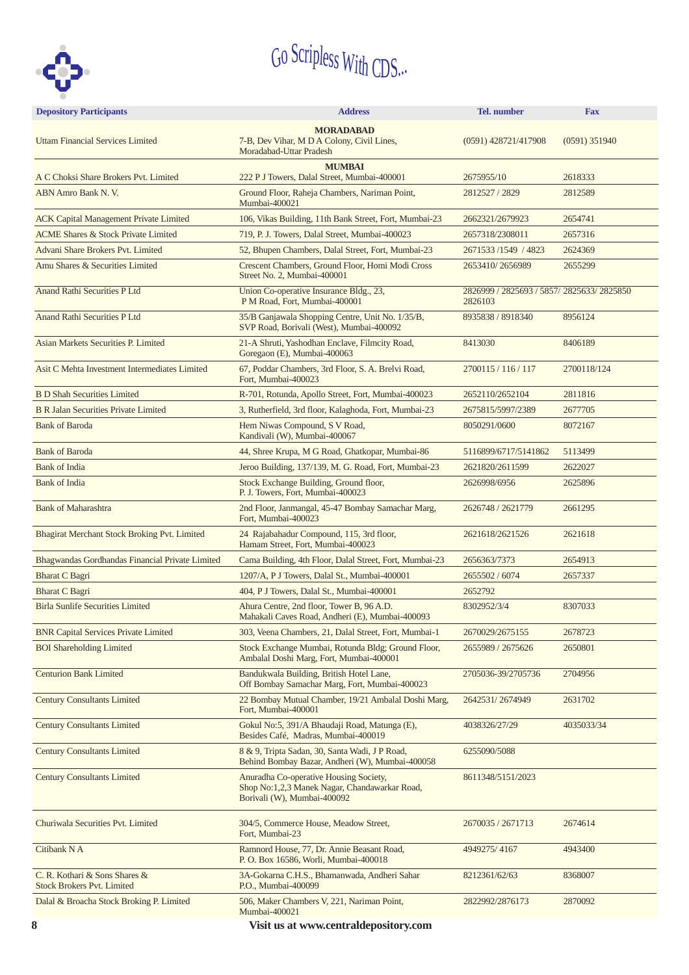

| <b>Depository Participants</b>                                     | <b>Address</b>                                                                                                         | <b>Tel.</b> number                                    | <b>Fax</b>         |  |  |  |
|--------------------------------------------------------------------|------------------------------------------------------------------------------------------------------------------------|-------------------------------------------------------|--------------------|--|--|--|
| <b>Uttam Financial Services Limited</b>                            | <b>MORADABAD</b><br>7-B, Dev Vihar, M D A Colony, Civil Lines,<br>Moradabad-Uttar Pradesh                              | $(0591)$ 428721/417908                                | $(0591)$ 351940    |  |  |  |
|                                                                    | <b>MUMBAI</b><br>222 P J Towers, Dalal Street, Mumbai-400001                                                           |                                                       |                    |  |  |  |
| A C Choksi Share Brokers Pvt. Limited<br>ABN Amro Bank N. V.       | Ground Floor, Raheja Chambers, Nariman Point,<br>Mumbai-400021                                                         | 2675955/10<br>2812527 / 2829                          | 2618333<br>2812589 |  |  |  |
| <b>ACK Capital Management Private Limited</b>                      | 106, Vikas Building, 11th Bank Street, Fort, Mumbai-23                                                                 | 2662321/2679923                                       | 2654741            |  |  |  |
| <b>ACME Shares &amp; Stock Private Limited</b>                     | 719, P. J. Towers, Dalal Street, Mumbai-400023                                                                         | 2657318/2308011                                       | 2657316            |  |  |  |
| Advani Share Brokers Pvt. Limited                                  | 52, Bhupen Chambers, Dalal Street, Fort, Mumbai-23                                                                     | 2671533 /1549 / 4823                                  | 2624369            |  |  |  |
| Amu Shares & Securities Limited                                    | Crescent Chambers, Ground Floor, Homi Modi Cross<br>Street No. 2, Mumbai-400001                                        | 2653410/2656989                                       | 2655299            |  |  |  |
| <b>Anand Rathi Securities P Ltd</b>                                | Union Co-operative Insurance Bldg., 23,<br>P M Road, Fort, Mumbai-400001                                               | 2826999 / 2825693 / 5857/ 2825633/ 2825850<br>2826103 |                    |  |  |  |
| <b>Anand Rathi Securities P Ltd</b>                                | 35/B Ganjawala Shopping Centre, Unit No. 1/35/B,<br>SVP Road, Borivali (West), Mumbai-400092                           | 8935838 / 8918340<br>8956124                          |                    |  |  |  |
| Asian Markets Securities P. Limited                                | 21-A Shruti, Yashodhan Enclave, Filmcity Road,<br>Goregaon (E), Mumbai-400063                                          | 8413030                                               | 8406189            |  |  |  |
| Asit C Mehta Investment Intermediates Limited                      | 67, Poddar Chambers, 3rd Floor, S. A. Brelvi Road,<br>Fort, Mumbai-400023                                              | 2700115 / 116 / 117                                   | 2700118/124        |  |  |  |
| <b>B D Shah Securities Limited</b>                                 | R-701, Rotunda, Apollo Street, Fort, Mumbai-400023                                                                     | 2652110/2652104                                       | 2811816            |  |  |  |
| <b>B R Jalan Securities Private Limited</b>                        | 3, Rutherfield, 3rd floor, Kalaghoda, Fort, Mumbai-23                                                                  | 2675815/5997/2389                                     | 2677705            |  |  |  |
| <b>Bank of Baroda</b>                                              | Hem Niwas Compound, S V Road,<br>Kandivali (W), Mumbai-400067                                                          | 8050291/0600                                          | 8072167            |  |  |  |
| <b>Bank of Baroda</b>                                              | 44, Shree Krupa, M G Road, Ghatkopar, Mumbai-86                                                                        | 5116899/6717/5141862                                  | 5113499            |  |  |  |
| <b>Bank of India</b>                                               | Jeroo Building, 137/139, M. G. Road, Fort, Mumbai-23                                                                   | 2621820/2611599                                       | 2622027            |  |  |  |
| <b>Bank of India</b>                                               | Stock Exchange Building, Ground floor,<br>P. J. Towers, Fort, Mumbai-400023                                            | 2626998/6956                                          | 2625896            |  |  |  |
| <b>Bank of Maharashtra</b>                                         | 2nd Floor, Janmangal, 45-47 Bombay Samachar Marg,<br>Fort, Mumbai-400023                                               | 2626748 / 2621779                                     | 2661295            |  |  |  |
| Bhagirat Merchant Stock Broking Pvt. Limited                       | 24 Rajabahadur Compound, 115, 3rd floor,<br>Hamam Street, Fort, Mumbai-400023                                          | 2621618/2621526                                       | 2621618            |  |  |  |
| Bhagwandas Gordhandas Financial Private Limited                    | Cama Building, 4th Floor, Dalal Street, Fort, Mumbai-23                                                                | 2656363/7373                                          | 2654913            |  |  |  |
| <b>Bharat C Bagri</b>                                              | 1207/A, P J Towers, Dalal St., Mumbai-400001                                                                           | 2655502 / 6074                                        | 2657337            |  |  |  |
| <b>Bharat C Bagri</b>                                              | 404, P J Towers, Dalal St., Mumbai-400001                                                                              | 2652792                                               |                    |  |  |  |
| <b>Birla Sunlife Securities Limited</b>                            | Ahura Centre, 2nd floor, Tower B, 96 A.D.<br>Mahakali Caves Road, Andheri (E), Mumbai-400093                           | 8302952/3/4                                           | 8307033            |  |  |  |
| <b>BNR Capital Services Private Limited</b>                        | 303, Veena Chambers, 21, Dalal Street, Fort, Mumbai-1                                                                  | 2670029/2675155                                       | 2678723            |  |  |  |
| <b>BOI Shareholding Limited</b>                                    | Stock Exchange Mumbai, Rotunda Bldg; Ground Floor,<br>Ambalal Doshi Marg, Fort, Mumbai-400001                          | 2655989 / 2675626                                     | 2650801            |  |  |  |
| <b>Centurion Bank Limited</b>                                      | Bandukwala Building, British Hotel Lane,<br>Off Bombay Samachar Marg, Fort, Mumbai-400023                              | 2705036-39/2705736                                    | 2704956            |  |  |  |
| <b>Century Consultants Limited</b>                                 | 22 Bombay Mutual Chamber, 19/21 Ambalal Doshi Marg,<br>Fort, Mumbai-400001                                             | 2642531/2674949                                       | 2631702            |  |  |  |
| <b>Century Consultants Limited</b>                                 | Gokul No: 5, 391/A Bhaudaji Road, Matunga (E),<br>Besides Café, Madras, Mumbai-400019                                  | 4038326/27/29                                         | 4035033/34         |  |  |  |
| <b>Century Consultants Limited</b>                                 | 8 & 9, Tripta Sadan, 30, Santa Wadi, J P Road,<br>Behind Bombay Bazar, Andheri (W), Mumbai-400058                      | 6255090/5088                                          |                    |  |  |  |
| <b>Century Consultants Limited</b>                                 | Anuradha Co-operative Housing Society,<br>Shop No:1,2,3 Manek Nagar, Chandawarkar Road,<br>Borivali (W), Mumbai-400092 | 8611348/5151/2023                                     |                    |  |  |  |
| Churiwala Securities Pvt. Limited                                  | 304/5, Commerce House, Meadow Street,<br>Fort, Mumbai-23                                                               | 2670035 / 2671713                                     | 2674614            |  |  |  |
| Citibank N A                                                       | Ramnord House, 77, Dr. Annie Beasant Road,<br>P. O. Box 16586, Worli, Mumbai-400018                                    | 4949275/4167                                          | 4943400            |  |  |  |
| C. R. Kothari & Sons Shares &<br><b>Stock Brokers Pvt. Limited</b> | 3A-Gokarna C.H.S., Bhamanwada, Andheri Sahar<br>P.O., Mumbai-400099                                                    | 8212361/62/63                                         | 8368007            |  |  |  |
| Dalal & Broacha Stock Broking P. Limited                           | 506, Maker Chambers V, 221, Nariman Point,<br>Mumbai-400021                                                            | 2822992/2876173                                       | 2870092            |  |  |  |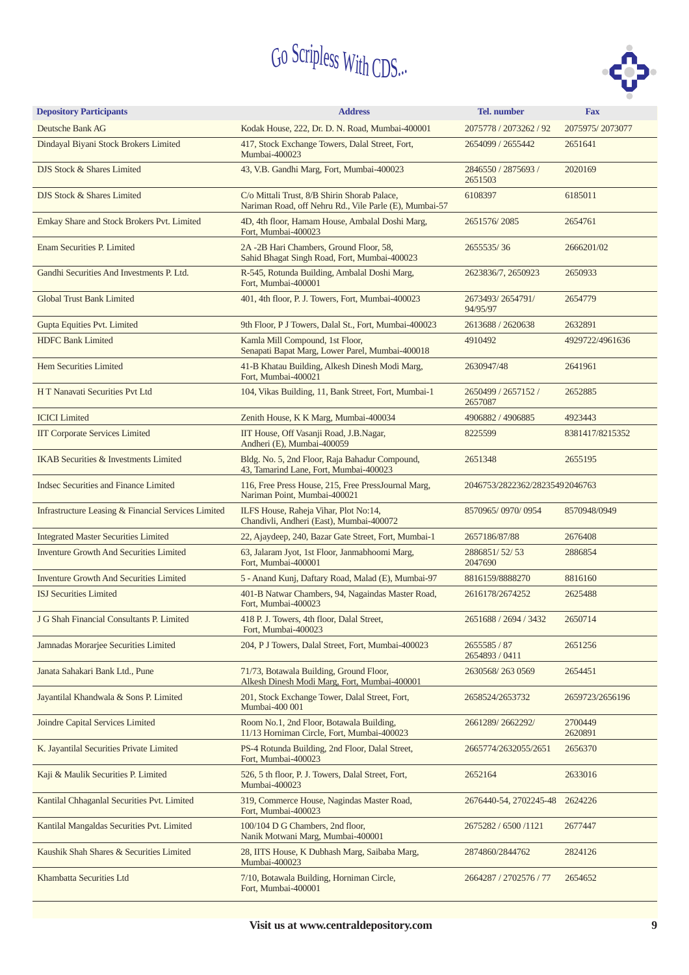

| <b>Depository Participants</b>                      | <b>Address</b>                                                                                         | <b>Tel.</b> number             | <b>Fax</b>         |
|-----------------------------------------------------|--------------------------------------------------------------------------------------------------------|--------------------------------|--------------------|
| Deutsche Bank AG                                    | Kodak House, 222, Dr. D. N. Road, Mumbai-400001                                                        | 2075778 / 2073262 / 92         | 2075975/2073077    |
| Dindayal Biyani Stock Brokers Limited               | 417, Stock Exchange Towers, Dalal Street, Fort,<br>Mumbai-400023                                       | 2654099 / 2655442              | 2651641            |
| DJS Stock & Shares Limited                          | 43, V.B. Gandhi Marg, Fort, Mumbai-400023                                                              | 2846550 / 2875693 /<br>2651503 | 2020169            |
| DJS Stock & Shares Limited                          | C/o Mittali Trust, 8/B Shirin Shorab Palace,<br>Nariman Road, off Nehru Rd., Vile Parle (E), Mumbai-57 | 6108397                        | 6185011            |
| Emkay Share and Stock Brokers Pvt. Limited          | 4D, 4th floor, Hamam House, Ambalal Doshi Marg,<br>Fort, Mumbai-400023                                 | 2651576/2085                   | 2654761            |
| <b>Enam Securities P. Limited</b>                   | 2A -2B Hari Chambers, Ground Floor, 58,<br>Sahid Bhagat Singh Road, Fort, Mumbai-400023                | 2655535/36                     | 2666201/02         |
| Gandhi Securities And Investments P. Ltd.           | R-545, Rotunda Building, Ambalal Doshi Marg,<br>Fort, Mumbai-400001                                    | 2623836/7, 2650923             | 2650933            |
| <b>Global Trust Bank Limited</b>                    | 401, 4th floor, P. J. Towers, Fort, Mumbai-400023                                                      | 2673493/2654791/<br>94/95/97   | 2654779            |
| Gupta Equities Pvt. Limited                         | 9th Floor, P J Towers, Dalal St., Fort, Mumbai-400023                                                  | 2613688 / 2620638              | 2632891            |
| <b>HDFC Bank Limited</b>                            | Kamla Mill Compound, 1st Floor,<br>Senapati Bapat Marg, Lower Parel, Mumbai-400018                     | 4910492                        | 4929722/4961636    |
| Hem Securities Limited                              | 41-B Khatau Building, Alkesh Dinesh Modi Marg,<br>Fort, Mumbai-400021                                  | 2630947/48                     | 2641961            |
| H T Nanavati Securities Pvt Ltd                     | 104, Vikas Building, 11, Bank Street, Fort, Mumbai-1                                                   | 2650499 / 2657152 /<br>2657087 | 2652885            |
| <b>ICICI</b> Limited                                | Zenith House, K K Marg, Mumbai-400034                                                                  | 4906882 / 4906885              | 4923443            |
| <b>IIT Corporate Services Limited</b>               | IIT House, Off Vasanji Road, J.B.Nagar,<br>Andheri (E), Mumbai-400059                                  | 8225599                        | 8381417/8215352    |
| <b>IKAB</b> Securities & Investments Limited        | Bldg. No. 5, 2nd Floor, Raja Bahadur Compound,<br>43, Tamarind Lane, Fort, Mumbai-400023               | 2651348                        | 2655195            |
| <b>Indsec Securities and Finance Limited</b>        | 116, Free Press House, 215, Free PressJournal Marg,<br>Nariman Point, Mumbai-400021                    | 2046753/2822362/28235492046763 |                    |
| Infrastructure Leasing & Financial Services Limited | ILFS House, Raheja Vihar, Plot No:14,<br>Chandivli, Andheri (East), Mumbai-400072                      | 8570965/0970/0954              | 8570948/0949       |
| <b>Integrated Master Securities Limited</b>         | 22, Ajaydeep, 240, Bazar Gate Street, Fort, Mumbai-1                                                   | 2657186/87/88                  | 2676408            |
| <b>Inventure Growth And Securities Limited</b>      | 63, Jalaram Jyot, 1st Floor, Janmabhoomi Marg,<br>Fort, Mumbai-400001                                  | 2886851/52/53<br>2047690       | 2886854            |
| <b>Inventure Growth And Securities Limited</b>      | 5 - Anand Kunj, Daftary Road, Malad (E), Mumbai-97                                                     | 8816159/8888270                | 8816160            |
| <b>ISJ</b> Securities Limited                       | 401-B Natwar Chambers, 94, Nagaindas Master Road,<br>Fort. Mumbai-400023                               | 2616178/2674252                | 2625488            |
| J G Shah Financial Consultants P. Limited           | 418 P. J. Towers, 4th floor, Dalal Street,<br>Fort, Mumbai-400023                                      | 2651688 / 2694 / 3432          | 2650714            |
| Jamnadas Morarjee Securities Limited                | 204, P J Towers, Dalal Street, Fort, Mumbai-400023                                                     | 2655585 / 87<br>2654893 / 0411 | 2651256            |
| Janata Sahakari Bank Ltd., Pune                     | 71/73, Botawala Building, Ground Floor,<br>Alkesh Dinesh Modi Marg, Fort, Mumbai-400001                | 2630568/2630569                | 2654451            |
| Jayantilal Khandwala & Sons P. Limited              | 201, Stock Exchange Tower, Dalal Street, Fort,<br>Mumbai-400 001                                       | 2658524/2653732                | 2659723/2656196    |
| Joindre Capital Services Limited                    | Room No.1, 2nd Floor, Botawala Building,<br>11/13 Horniman Circle, Fort, Mumbai-400023                 | 2661289/2662292/               | 2700449<br>2620891 |
| K. Jayantilal Securities Private Limited            | PS-4 Rotunda Building, 2nd Floor, Dalal Street,<br>Fort, Mumbai-400023                                 | 2665774/2632055/2651           | 2656370            |
| Kaji & Maulik Securities P. Limited                 | 526, 5 th floor, P. J. Towers, Dalal Street, Fort,<br>Mumbai-400023                                    | 2652164                        | 2633016            |
| Kantilal Chhaganlal Securities Pvt. Limited         | 319, Commerce House, Nagindas Master Road,<br>Fort, Mumbai-400023                                      | 2676440-54, 2702245-48         | 2624226            |
| Kantilal Mangaldas Securities Pvt. Limited          | 100/104 D G Chambers, 2nd floor,<br>Nanik Motwani Marg, Mumbai-400001                                  | 2675282 / 6500 /1121           | 2677447            |
| Kaushik Shah Shares & Securities Limited            | 28, IITS House, K Dubhash Marg, Saibaba Marg,<br>Mumbai-400023                                         | 2874860/2844762                | 2824126            |
| Khambatta Securities Ltd                            | 7/10, Botawala Building, Horniman Circle,<br>Fort, Mumbai-400001                                       | 2664287 / 2702576 / 77         | 2654652            |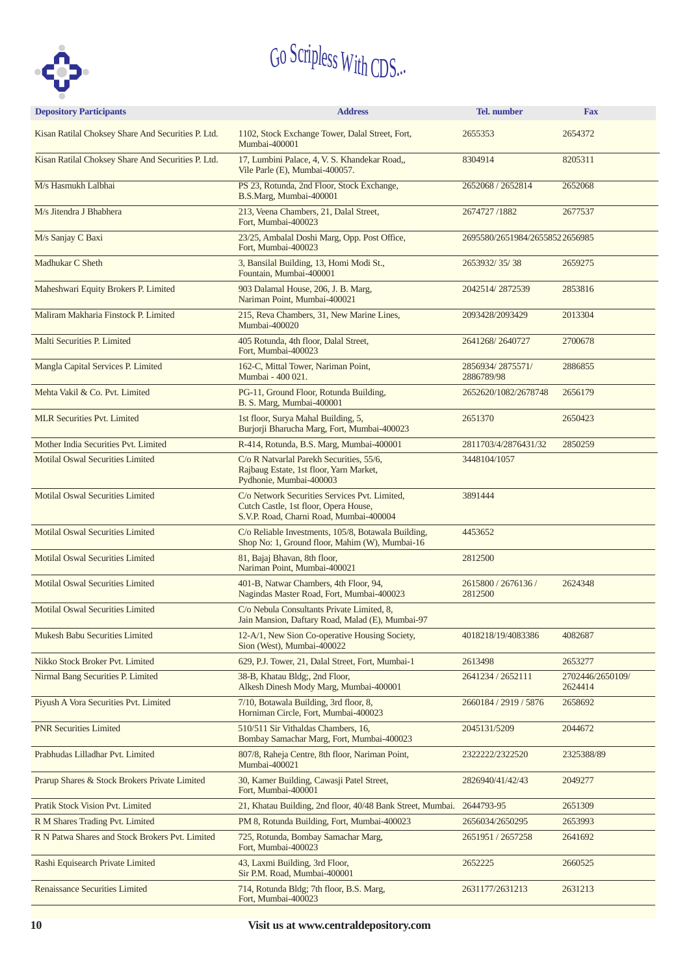

| <b>Depository Participants</b>                     | <b>Address</b>                                                                                                                    | Tel. number                    | <b>Fax</b>                  |  |  |  |
|----------------------------------------------------|-----------------------------------------------------------------------------------------------------------------------------------|--------------------------------|-----------------------------|--|--|--|
| Kisan Ratilal Choksey Share And Securities P. Ltd. | 1102, Stock Exchange Tower, Dalal Street, Fort,<br>Mumbai-400001                                                                  | 2655353                        | 2654372                     |  |  |  |
| Kisan Ratilal Choksey Share And Securities P. Ltd. | 17, Lumbini Palace, 4, V. S. Khandekar Road,,<br>Vile Parle (E), Mumbai-400057.                                                   | 8304914                        | 8205311                     |  |  |  |
| M/s Hasmukh Lalbhai                                | PS 23, Rotunda, 2nd Floor, Stock Exchange,<br>B.S.Marg, Mumbai-400001                                                             | 2652068 / 2652814              | 2652068                     |  |  |  |
| M/s Jitendra J Bhabhera                            | 213, Veena Chambers, 21, Dalal Street,<br>Fort, Mumbai-400023                                                                     | 2674727/1882                   | 2677537                     |  |  |  |
| M/s Sanjay C Baxi                                  | 23/25, Ambalal Doshi Marg, Opp. Post Office,<br>Fort, Mumbai-400023                                                               | 2695580/2651984/26558522656985 |                             |  |  |  |
| Madhukar C Sheth                                   | 3, Bansilal Building, 13, Homi Modi St.,<br>Fountain, Mumbai-400001                                                               | 2653932/35/38                  | 2659275                     |  |  |  |
| Maheshwari Equity Brokers P. Limited               | 903 Dalamal House, 206, J. B. Marg,<br>Nariman Point, Mumbai-400021                                                               | 2042514/2872539                | 2853816                     |  |  |  |
| Maliram Makharia Finstock P. Limited               | 215, Reva Chambers, 31, New Marine Lines,<br>Mumbai-400020                                                                        | 2093428/2093429                | 2013304                     |  |  |  |
| Malti Securities P. Limited                        | 405 Rotunda, 4th floor, Dalal Street,<br>Fort, Mumbai-400023                                                                      | 2641268/2640727                | 2700678                     |  |  |  |
| Mangla Capital Services P. Limited                 | 162-C, Mittal Tower, Nariman Point,<br>Mumbai - 400 021.                                                                          | 2856934/2875571/<br>2886789/98 | 2886855                     |  |  |  |
| Mehta Vakil & Co. Pvt. Limited                     | PG-11, Ground Floor, Rotunda Building,<br>B. S. Marg, Mumbai-400001                                                               | 2652620/1082/2678748           | 2656179                     |  |  |  |
| <b>MLR Securities Pvt. Limited</b>                 | 1st floor, Surya Mahal Building, 5,<br>Burjorji Bharucha Marg, Fort, Mumbai-400023                                                | 2651370                        | 2650423                     |  |  |  |
| Mother India Securities Pvt. Limited               | R-414, Rotunda, B.S. Marg, Mumbai-400001                                                                                          | 2811703/4/2876431/32           | 2850259                     |  |  |  |
| <b>Motilal Oswal Securities Limited</b>            | C/o R Natvarlal Parekh Securities, 55/6,<br>Rajbaug Estate, 1st floor, Yarn Market,<br>Pydhonie, Mumbai-400003                    | 3448104/1057                   |                             |  |  |  |
| <b>Motilal Oswal Securities Limited</b>            | C/o Network Securities Services Pvt. Limited,<br>Cutch Castle, 1st floor, Opera House,<br>S.V.P. Road, Charni Road, Mumbai-400004 | 3891444                        |                             |  |  |  |
| <b>Motilal Oswal Securities Limited</b>            | C/o Reliable Investments, 105/8, Botawala Building,<br>Shop No: 1, Ground floor, Mahim (W), Mumbai-16                             | 4453652                        |                             |  |  |  |
| <b>Motilal Oswal Securities Limited</b>            | 81, Bajaj Bhavan, 8th floor,<br>Nariman Point, Mumbai-400021                                                                      | 2812500                        |                             |  |  |  |
| <b>Motilal Oswal Securities Limited</b>            | 401-B, Natwar Chambers, 4th Floor, 94,<br>Nagindas Master Road, Fort, Mumbai-400023                                               | 2615800 / 2676136 /<br>2812500 | 2624348                     |  |  |  |
| <b>Motilal Oswal Securities Limited</b>            | C/o Nebula Consultants Private Limited, 8,<br>Jain Mansion, Daftary Road, Malad (E), Mumbai-97                                    |                                |                             |  |  |  |
| <b>Mukesh Babu Securities Limited</b>              | 12-A/1, New Sion Co-operative Housing Society,<br>Sion (West), Mumbai-400022                                                      | 4018218/19/4083386             | 4082687                     |  |  |  |
| Nikko Stock Broker Pvt. Limited                    | 629, P.J. Tower, 21, Dalal Street, Fort, Mumbai-1                                                                                 | 2613498                        | 2653277                     |  |  |  |
| Nirmal Bang Securities P. Limited                  | 38-B, Khatau Bldg;, 2nd Floor,<br>Alkesh Dinesh Mody Marg, Mumbai-400001                                                          | 2641234 / 2652111              | 2702446/2650109/<br>2624414 |  |  |  |
| Piyush A Vora Securities Pvt. Limited              | 7/10, Botawala Building, 3rd floor, 8,<br>Horniman Circle, Fort, Mumbai-400023                                                    | 2660184 / 2919 / 5876          | 2658692                     |  |  |  |
| <b>PNR Securities Limited</b>                      | 510/511 Sir Vithaldas Chambers, 16,<br>Bombay Samachar Marg, Fort, Mumbai-400023                                                  | 2045131/5209                   | 2044672                     |  |  |  |
| Prabhudas Lilladhar Pvt. Limited                   | 807/8, Raheja Centre, 8th floor, Nariman Point,<br>Mumbai-400021                                                                  | 2322222/2322520                | 2325388/89                  |  |  |  |
| Prarup Shares & Stock Brokers Private Limited      | 30, Kamer Building, Cawasji Patel Street,<br>Fort, Mumbai-400001                                                                  | 2826940/41/42/43               | 2049277                     |  |  |  |
| Pratik Stock Vision Pvt. Limited                   | 21, Khatau Building, 2nd floor, 40/48 Bank Street, Mumbai.                                                                        | 2644793-95                     | 2651309                     |  |  |  |
| R M Shares Trading Pvt. Limited                    | PM 8, Rotunda Building, Fort, Mumbai-400023                                                                                       | 2656034/2650295                | 2653993                     |  |  |  |
| R N Patwa Shares and Stock Brokers Pvt. Limited    | 725, Rotunda, Bombay Samachar Marg,<br>Fort, Mumbai-400023                                                                        | 2651951 / 2657258              | 2641692                     |  |  |  |
| Rashi Equisearch Private Limited                   | 43, Laxmi Building, 3rd Floor,<br>Sir P.M. Road, Mumbai-400001                                                                    | 2652225                        | 2660525                     |  |  |  |
| <b>Renaissance Securities Limited</b>              | 714, Rotunda Bldg; 7th floor, B.S. Marg,<br>Fort, Mumbai-400023                                                                   | 2631177/2631213                | 2631213                     |  |  |  |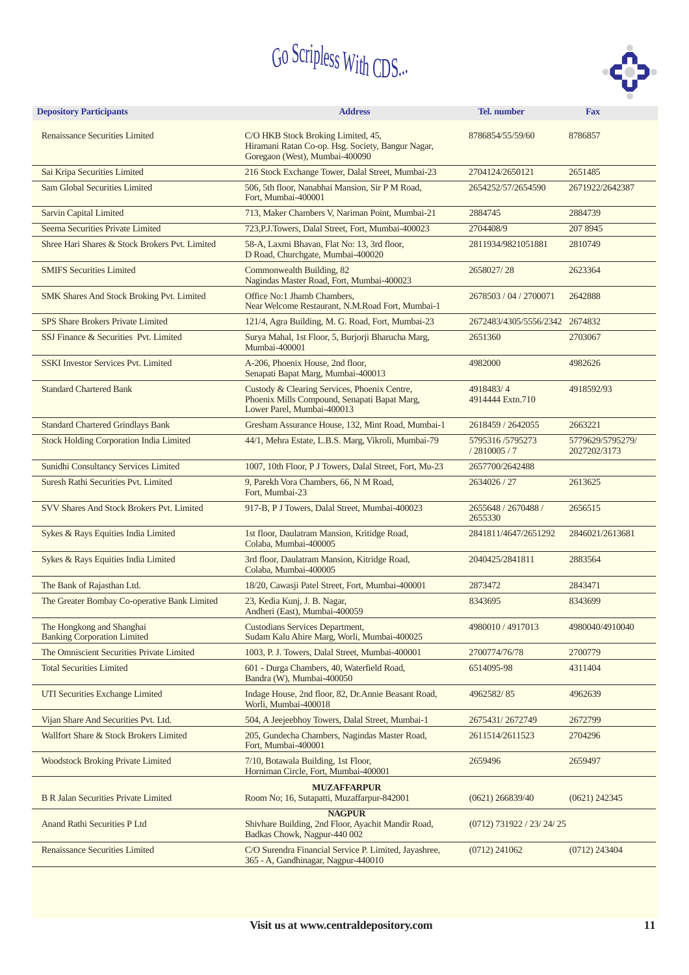

| <b>Depository Participants</b>                                  | <b>Address</b><br><b>Tel.</b> number<br><b>Fax</b>                                                                         |                                |                                  |
|-----------------------------------------------------------------|----------------------------------------------------------------------------------------------------------------------------|--------------------------------|----------------------------------|
| <b>Renaissance Securities Limited</b>                           | C/O HKB Stock Broking Limited, 45,<br>Hiramani Ratan Co-op. Hsg. Society, Bangur Nagar,<br>Goregaon (West), Mumbai-400090  | 8786854/55/59/60               | 8786857                          |
| Sai Kripa Securities Limited                                    | 216 Stock Exchange Tower, Dalal Street, Mumbai-23                                                                          | 2704124/2650121                | 2651485                          |
| <b>Sam Global Securities Limited</b>                            | 506, 5th floor, Nanabhai Mansion, Sir P M Road,<br>Fort, Mumbai-400001                                                     | 2654252/57/2654590             | 2671922/2642387                  |
| <b>Sarvin Capital Limited</b>                                   | 713, Maker Chambers V, Nariman Point, Mumbai-21                                                                            | 2884745                        | 2884739                          |
| Seema Securities Private Limited                                | 723, P.J. Towers, Dalal Street, Fort, Mumbai-400023                                                                        | 2704408/9                      | 207 8945                         |
| Shree Hari Shares & Stock Brokers Pvt. Limited                  | 58-A, Laxmi Bhavan, Flat No: 13, 3rd floor,<br>D Road, Churchgate, Mumbai-400020                                           | 2811934/9821051881             | 2810749                          |
| <b>SMIFS Securities Limited</b>                                 | Commonwealth Building, 82<br>Nagindas Master Road, Fort, Mumbai-400023                                                     | 2658027/28                     | 2623364                          |
| SMK Shares And Stock Broking Pvt. Limited                       | Office No:1 Jhamb Chambers,<br>Near Welcome Restaurant, N.M.Road Fort, Mumbai-1                                            | 2678503 / 04 / 2700071         | 2642888                          |
| <b>SPS Share Brokers Private Limited</b>                        | 121/4, Agra Building, M. G. Road, Fort, Mumbai-23                                                                          | 2672483/4305/5556/2342 2674832 |                                  |
| SSJ Finance & Securities Pvt. Limited                           | Surya Mahal, 1st Floor, 5, Burjorji Bharucha Marg,<br>Mumbai-400001                                                        | 2651360                        | 2703067                          |
| <b>SSKI Investor Services Pvt. Limited</b>                      | A-206, Phoenix House, 2nd floor,<br>Senapati Bapat Marg, Mumbai-400013                                                     | 4982000                        | 4982626                          |
| <b>Standard Chartered Bank</b>                                  | Custody & Clearing Services, Phoenix Centre,<br>Phoenix Mills Compound, Senapati Bapat Marg,<br>Lower Parel, Mumbai-400013 | 4918483/4<br>4914444 Extn.710  | 4918592/93                       |
| <b>Standard Chartered Grindlays Bank</b>                        | Gresham Assurance House, 132, Mint Road, Mumbai-1                                                                          | 2618459 / 2642055              | 2663221                          |
| <b>Stock Holding Corporation India Limited</b>                  | 44/1, Mehra Estate, L.B.S. Marg, Vikroli, Mumbai-79                                                                        | 5795316/5795273<br>/2810005/7  | 5779629/5795279/<br>2027202/3173 |
| Sunidhi Consultancy Services Limited                            | 1007, 10th Floor, P J Towers, Dalal Street, Fort, Mu-23                                                                    | 2657700/2642488                |                                  |
| Suresh Rathi Securities Pvt. Limited                            | 9, Parekh Vora Chambers, 66, N M Road,<br>Fort, Mumbai-23                                                                  | 2634026 / 27                   | 2613625                          |
| SVV Shares And Stock Brokers Pvt. Limited                       | 917-B, P J Towers, Dalal Street, Mumbai-400023                                                                             | 2655648 / 2670488 /<br>2655330 | 2656515                          |
| Sykes & Rays Equities India Limited                             | 1st floor, Daulatram Mansion, Kritidge Road,<br>Colaba, Mumbai-400005                                                      | 2841811/4647/2651292           | 2846021/2613681                  |
| Sykes & Rays Equities India Limited                             | 3rd floor, Daulatram Mansion, Kitridge Road,<br>Colaba, Mumbai-400005                                                      | 2040425/2841811                | 2883564                          |
| The Bank of Rajasthan Ltd.                                      | 18/20, Cawasji Patel Street, Fort, Mumbai-400001                                                                           | 2873472                        | 2843471                          |
| The Greater Bombay Co-operative Bank Limited                    | 23, Kedia Kunj, J. B. Nagar,<br>Andheri (East), Mumbai-400059                                                              | 8343695                        | 8343699                          |
| The Hongkong and Shanghai<br><b>Banking Corporation Limited</b> | <b>Custodians Services Department,</b><br>Sudam Kalu Ahire Marg, Worli, Mumbai-400025                                      | 4980010 / 4917013              | 4980040/4910040                  |
| The Omniscient Securities Private Limited                       | 1003, P. J. Towers, Dalal Street, Mumbai-400001                                                                            | 2700774/76/78                  | 2700779                          |
| <b>Total Securities Limited</b>                                 | 601 - Durga Chambers, 40, Waterfield Road,<br>Bandra (W), Mumbai-400050                                                    | 6514095-98                     | 4311404                          |
| UTI Securities Exchange Limited                                 | Indage House, 2nd floor, 82, Dr.Annie Beasant Road,<br>Worli, Mumbai-400018                                                | 4962582/85                     | 4962639                          |
| Vijan Share And Securities Pvt. Ltd.                            | 504, A Jeejeebhoy Towers, Dalal Street, Mumbai-1                                                                           | 2675431/2672749                | 2672799                          |
| Wallfort Share & Stock Brokers Limited                          | 205, Gundecha Chambers, Nagindas Master Road,<br>Fort, Mumbai-400001                                                       | 2611514/2611523                | 2704296                          |
| <b>Woodstock Broking Private Limited</b>                        | 7/10, Botawala Building, 1st Floor,<br>Horniman Circle, Fort, Mumbai-400001                                                | 2659496                        | 2659497                          |
| <b>B R Jalan Securities Private Limited</b>                     | <b>MUZAFFARPUR</b><br>Room No; 16, Sutapatti, Muzaffarpur-842001                                                           | $(0621)$ 266839/40             | $(0621)$ 242345                  |
| Anand Rathi Securities P Ltd                                    | <b>NAGPUR</b><br>Shivhare Building, 2nd Floor, Ayachit Mandir Road,<br>Badkas Chowk, Nagpur-440 002                        | $(0712)$ 731922 / 23/ 24/ 25   |                                  |
| <b>Renaissance Securities Limited</b>                           | C/O Surendra Financial Service P. Limited, Jayashree,<br>365 - A, Gandhinagar, Nagpur-440010                               | $(0712)$ 241062                | $(0712)$ 243404                  |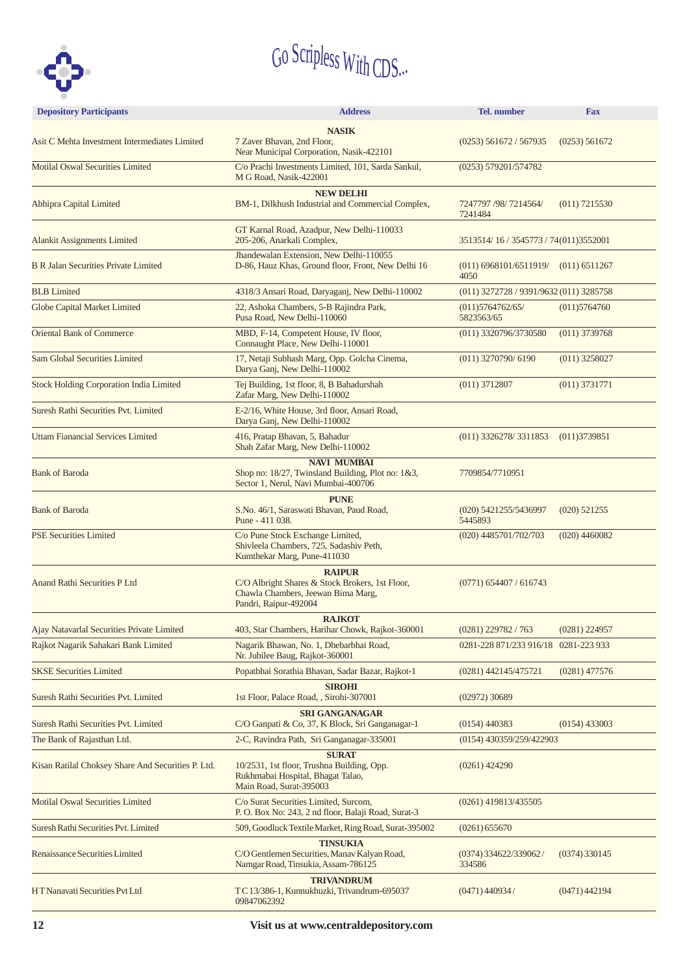

| <b>Depository Participants</b><br><b>Tel.</b> number<br><b>Address</b><br><b>Fax</b> |                                                                                                                                 |                                         |                 |  |
|--------------------------------------------------------------------------------------|---------------------------------------------------------------------------------------------------------------------------------|-----------------------------------------|-----------------|--|
| Asit C Mehta Investment Intermediates Limited                                        | <b>NASIK</b><br>7 Zaver Bhavan, 2nd Floor,<br>Near Municipal Corporation, Nasik-422101                                          | $(0253)$ 561672 / 567935                | (0253) 561672   |  |
| <b>Motilal Oswal Securities Limited</b>                                              | C/o Prachi Investments Limited, 101, Sarda Sankul,<br>M G Road, Nasik-422001                                                    | (0253) 579201/574782                    |                 |  |
| <b>Abhipra Capital Limited</b>                                                       | <b>NEW DELHI</b><br>BM-1, Dilkhush Industrial and Commercial Complex,                                                           | 7247797 /98/ 7214564/<br>7241484        | $(011)$ 7215530 |  |
| <b>Alankit Assignments Limited</b>                                                   | GT Karnal Road, Azadpur, New Delhi-110033<br>205-206, Anarkali Complex,                                                         | 3513514/16/3545773/74(011)3552001       |                 |  |
| <b>B R Jalan Securities Private Limited</b>                                          | Jhandewalan Extension, New Delhi-110055<br>D-86, Hauz Khas, Ground floor, Front, New Delhi 16                                   | $(011)$ 6968101/6511919/<br>4050        | $(011)$ 6511267 |  |
| <b>BLB</b> Limited                                                                   | 4318/3 Ansari Road, Daryaganj, New Delhi-110002                                                                                 | (011) 3272728 / 9391/9632 (011) 3285758 |                 |  |
| <b>Globe Capital Market Limited</b>                                                  | 22, Ashoka Chambers, 5-B Rajindra Park,<br>Pusa Road, New Delhi-110060                                                          | (011)5764762/65/<br>5823563/65          | (011)5764760    |  |
| <b>Oriental Bank of Commerce</b>                                                     | MBD, F-14, Competent House, IV floor,<br>Connaught Place, New Delhi-110001                                                      | (011) 3320796/3730580                   | $(011)$ 3739768 |  |
| <b>Sam Global Securities Limited</b>                                                 | 17, Netaji Subhash Marg, Opp. Golcha Cinema,<br>Darya Ganj, New Delhi-110002                                                    | $(011)$ 3270790/6190                    | $(011)$ 3258027 |  |
| <b>Stock Holding Corporation India Limited</b>                                       | Tej Building, 1st floor, 8, B Bahadurshah<br>Zafar Marg, New Delhi-110002                                                       | $(011)$ 3712807                         | $(011)$ 3731771 |  |
| <b>Suresh Rathi Securities Pvt. Limited</b>                                          | E-2/16, White House, 3rd floor, Ansari Road,<br>Darya Ganj, New Delhi-110002                                                    |                                         |                 |  |
| <b>Uttam Fianancial Services Limited</b>                                             | 416, Pratap Bhavan, 5, Bahadur<br>Shah Zafar Marg, New Delhi-110002                                                             | $(011)$ 3326278/3311853                 | (011)3739851    |  |
| <b>Bank of Baroda</b>                                                                | <b>NAVI MUMBAI</b><br>Shop no: 18/27, Twinsland Building, Plot no: 1&3,<br>Sector 1, Nerul, Navi Mumbai-400706                  | 7709854/7710951                         |                 |  |
| <b>Bank of Baroda</b>                                                                | <b>PUNE</b><br>S.No. 46/1, Saraswati Bhavan, Paud Road,<br>Pune - 411 038.                                                      | (020) 5421255/5436997<br>5445893        | $(020)$ 521255  |  |
| <b>PSE Securities Limited</b>                                                        | C/o Pune Stock Exchange Limited,<br>Shivleela Chambers, 725, Sadashiv Peth,<br>Kumthekar Marg, Pune-411030                      | (020) 4485701/702/703                   | $(020)$ 4460082 |  |
| <b>Anand Rathi Securities P Ltd</b>                                                  | <b>RAIPUR</b><br>C/O Albright Shares & Stock Brokers, 1st Floor,<br>Chawla Chambers, Jeewan Bima Marg,<br>Pandri, Raipur-492004 | $(0771)$ 654407 / 616743                |                 |  |
| Ajay Natavarlal Securities Private Limited                                           | <b>RAJKOT</b><br>403, Star Chambers, Harihar Chowk, Rajkot-360001                                                               | $(0281)$ 229782 / 763                   | $(0281)$ 224957 |  |
| Rajkot Nagarik Sahakari Bank Limited                                                 | Nagarik Bhawan, No. 1, Dhebarbhai Road,<br>Nr. Jubilee Baug, Rajkot-360001                                                      | 0281-228 871/233 916/18 0281-223 933    |                 |  |
| <b>SKSE Securities Limited</b>                                                       | Popatbhai Sorathia Bhavan, Sadar Bazar, Rajkot-1                                                                                | $(0281)$ 442145/475721                  | $(0281)$ 477576 |  |
| Suresh Rathi Securities Pvt. Limited                                                 | <b>SIROHI</b><br>1st Floor, Palace Road, , Sirohi-307001                                                                        | $(02972)$ 30689                         |                 |  |
| Suresh Rathi Securities Pvt. Limited                                                 | <b>SRI GANGANAGAR</b><br>C/O Ganpati & Co, 37, K Block, Sri Ganganagar-1                                                        | $(0154)$ 440383                         | $(0154)$ 433003 |  |
| The Bank of Rajasthan Ltd.                                                           | 2-C, Ravindra Path, Sri Ganganagar-335001                                                                                       | (0154) 430359/259/422903                |                 |  |
| Kisan Ratilal Choksey Share And Securities P. Ltd.                                   | <b>SURAT</b><br>10/2531, 1st floor, Trushna Building, Opp.<br>Rukhmabai Hospital, Bhagat Talao,<br>Main Road, Surat-395003      | $(0261)$ 424290                         |                 |  |
| <b>Motilal Oswal Securities Limited</b>                                              | C/o Surat Securities Limited, Surcom,<br>P. O. Box No: 243, 2 nd floor, Balaji Road, Surat-3                                    | $(0261)$ 419813/435505                  |                 |  |
| Suresh Rathi Securities Pvt. Limited                                                 | 509, Goodluck Textile Market, Ring Road, Surat-395002                                                                           | (0261) 655670                           |                 |  |
| Renaissance Securities Limited                                                       | <b>TINSUKIA</b><br>C/O Gentlemen Securities, Manav Kalyan Road,<br>Namgar Road, Tinsukia, Assam-786125                          | $(0374)$ 334622/339062/<br>334586       | $(0374)$ 330145 |  |
| HT Nanavati Securities Pvt Ltd                                                       | <b>TRIVANDRUM</b><br>TC 13/386-1, Kunnukhuzki, Trivandrum-695037<br>09847062392                                                 | $(0471)$ 440934/                        | (0471)442194    |  |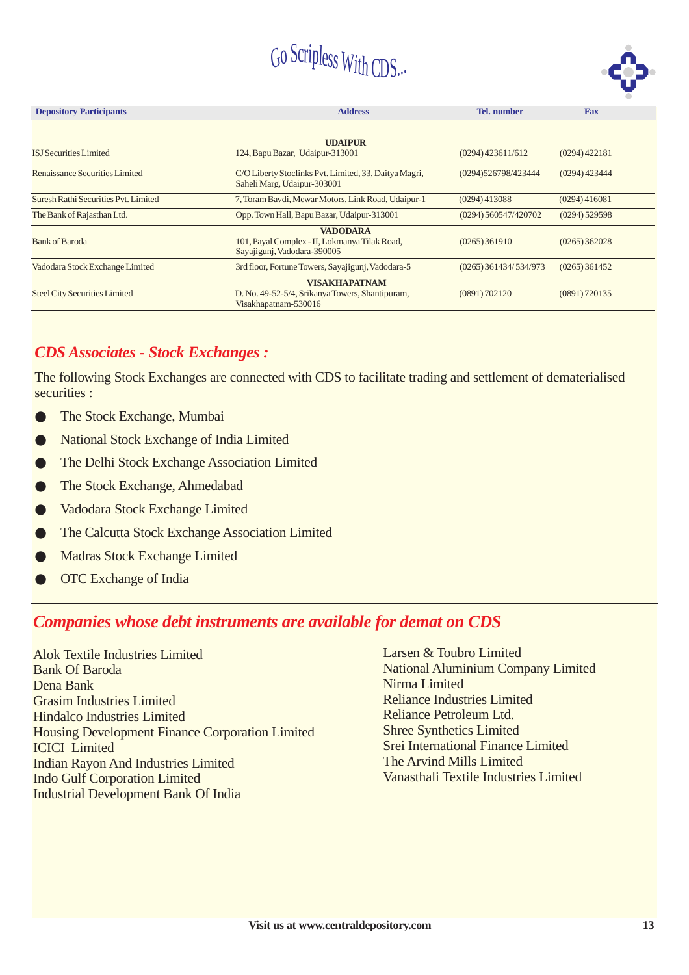

| <b>Depository Participants</b>       | <b>Address</b>                                                                                  | <b>Tel.</b> number      | <b>Fax</b>      |
|--------------------------------------|-------------------------------------------------------------------------------------------------|-------------------------|-----------------|
| <b>ISJ</b> Securities Limited        | <b>UDAIPUR</b><br>124, Bapu Bazar, Udaipur-313001                                               | $(0294)$ 423611/612     | $(0294)$ 422181 |
| Renaissance Securities Limited       | C/O Liberty Stoclinks Pvt. Limited, 33, Daitya Magri,<br>Saheli Marg, Udaipur-303001            | (0294)526798/423444     | $(0294)$ 423444 |
| Suresh Rathi Securities Pvt. Limited | 7, Toram Bavdi, Mewar Motors, Link Road, Udaipur-1                                              | $(0294)$ 413088         | (0294)416081    |
| The Bank of Rajasthan Ltd.           | Opp. Town Hall, Bapu Bazar, Udaipur-313001                                                      | (0294) 560547/420702    | $(0294)$ 529598 |
| <b>Bank of Baroda</b>                | <b>VADODARA</b><br>101, Payal Complex - II, Lokmanya Tilak Road,<br>Sayajigunj, Vadodara-390005 | $(0265)$ 361910         | $(0265)$ 362028 |
| Vadodara Stock Exchange Limited      | 3rd floor, Fortune Towers, Sayajigunj, Vadodara-5                                               | $(0265)$ 361434/534/973 | $(0265)$ 361452 |
| <b>Steel City Securities Limited</b> | <b>VISAKHAPATNAM</b><br>D. No. 49-52-5/4, Srikanya Towers, Shantipuram,<br>Visakhapatnam-530016 | (0891) 702120           | (0891) 720135   |

#### *CDS Associates - Stock Exchanges :*

The following Stock Exchanges are connected with CDS to facilitate trading and settlement of dematerialised securities :

- The Stock Exchange, Mumbai  $\bullet$
- National Stock Exchange of India Limited ●
- The Delhi Stock Exchange Association Limited ●
- The Stock Exchange, Ahmedabad ●
- Vadodara Stock Exchange Limited  $\bullet$
- The Calcutta Stock Exchange Association Limited ●
- Madras Stock Exchange Limited ●
- OTC Exchange of India ●

#### *Companies whose debt instruments are available for demat on CDS*

Alok Textile Industries Limited Bank Of Baroda Dena Bank Grasim Industries Limited Hindalco Industries Limited Housing Development Finance Corporation Limited ICICI Limited Indian Rayon And Industries Limited Indo Gulf Corporation Limited Industrial Development Bank Of India

Larsen & Toubro Limited National Aluminium Company Limited Nirma Limited Reliance Industries Limited Reliance Petroleum Ltd. Shree Synthetics Limited Srei International Finance Limited The Arvind Mills Limited Vanasthali Textile Industries Limited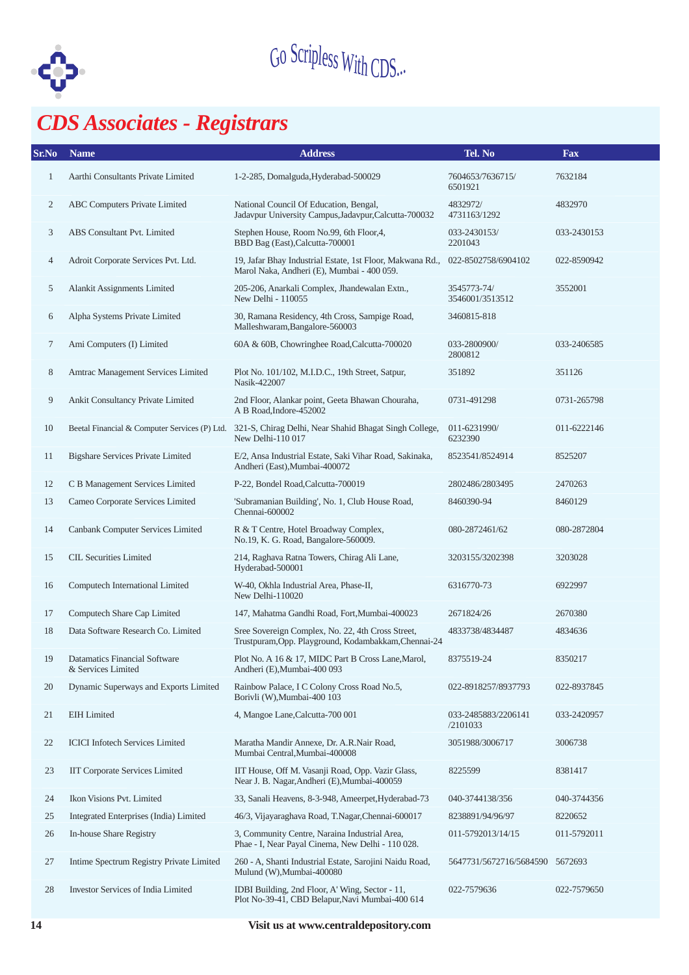

## *CDS Associates - Registrars*

| Sr.No        | <b>Name</b>                                                                                      | <b>Address</b>                                                                                            | Tel. No                         | Fax         |
|--------------|--------------------------------------------------------------------------------------------------|-----------------------------------------------------------------------------------------------------------|---------------------------------|-------------|
| $\mathbf{1}$ | Aarthi Consultants Private Limited                                                               | 1-2-285, Domalguda, Hyderabad-500029                                                                      | 7604653/7636715/<br>6501921     | 7632184     |
| 2            | ABC Computers Private Limited                                                                    | National Council Of Education, Bengal,<br>Jadavpur University Campus, Jadavpur, Calcutta-700032           | 4832972/<br>4731163/1292        | 4832970     |
| 3            | ABS Consultant Pvt. Limited                                                                      | Stephen House, Room No.99, 6th Floor, 4,<br>BBD Bag (East), Calcutta-700001                               | 033-2430153/<br>2201043         | 033-2430153 |
| 4            | Adroit Corporate Services Pvt. Ltd.                                                              | 19, Jafar Bhay Industrial Estate, 1st Floor, Makwana Rd.,<br>Marol Naka, Andheri (E), Mumbai - 400 059.   | 022-8502758/6904102             | 022-8590942 |
| 5            | Alankit Assignments Limited                                                                      | 205-206, Anarkali Complex, Jhandewalan Extn.,<br>New Delhi - 110055                                       | 3545773-74/<br>3546001/3513512  | 3552001     |
| 6            | Alpha Systems Private Limited                                                                    | 30, Ramana Residency, 4th Cross, Sampige Road,<br>Malleshwaram, Bangalore-560003                          | 3460815-818                     |             |
| 7            | Ami Computers (I) Limited                                                                        | 60A & 60B, Chowringhee Road, Calcutta-700020                                                              | 033-2800900/<br>2800812         | 033-2406585 |
| 8            | Amtrac Management Services Limited                                                               | Plot No. 101/102, M.I.D.C., 19th Street, Satpur,<br>Nasik-422007                                          | 351892                          | 351126      |
| 9            | Ankit Consultancy Private Limited                                                                | 2nd Floor, Alankar point, Geeta Bhawan Chouraha,<br>A B Road, Indore-452002                               | 0731-491298                     | 0731-265798 |
| 10           | Beetal Financial & Computer Services (P) Ltd.                                                    | 321-S, Chirag Delhi, Near Shahid Bhagat Singh College,<br>New Delhi-110 017                               | 011-6231990/<br>6232390         | 011-6222146 |
| 11           | <b>Bigshare Services Private Limited</b>                                                         | E/2, Ansa Industrial Estate, Saki Vihar Road, Sakinaka,<br>Andheri (East), Mumbai-400072                  | 8523541/8524914                 | 8525207     |
| 12           | C B Management Services Limited                                                                  | P-22, Bondel Road, Calcutta-700019                                                                        | 2802486/2803495                 | 2470263     |
| 13           | Cameo Corporate Services Limited                                                                 | 'Subramanian Building', No. 1, Club House Road,<br>Chennai-600002                                         | 8460390-94                      | 8460129     |
| 14           | Canbank Computer Services Limited                                                                | R & T Centre, Hotel Broadway Complex,<br>No.19, K. G. Road, Bangalore-560009.                             | 080-2872461/62                  | 080-2872804 |
| 15           | <b>CIL Securities Limited</b><br>214, Raghava Ratna Towers, Chirag Ali Lane,<br>Hyderabad-500001 |                                                                                                           | 3203155/3202398                 | 3203028     |
| 16           | Computech International Limited                                                                  | W-40, Okhla Industrial Area, Phase-II,<br>New Delhi-110020                                                |                                 | 6922997     |
| 17           | Computech Share Cap Limited                                                                      | 147, Mahatma Gandhi Road, Fort, Mumbai-400023                                                             | 2671824/26                      | 2670380     |
| 18           | Data Software Research Co. Limited                                                               | Sree Sovereign Complex, No. 22, 4th Cross Street,<br>Trustpuram, Opp. Playground, Kodambakkam, Chennai-24 | 4833738/4834487                 | 4834636     |
| 19           | Datamatics Financial Software<br>& Services Limited                                              | Plot No. A 16 & 17, MIDC Part B Cross Lane, Marol,<br>Andheri (E), Mumbai-400 093                         | 8375519-24                      | 8350217     |
| 20           | Dynamic Superways and Exports Limited                                                            | Rainbow Palace, I C Colony Cross Road No.5,<br>Borivli (W), Mumbai-400 103                                | 022-8918257/8937793             | 022-8937845 |
| 21           | <b>EIH</b> Limited                                                                               | 4, Mangoe Lane, Calcutta-700 001                                                                          | 033-2485883/2206141<br>/2101033 | 033-2420957 |
| 22           | <b>ICICI</b> Infotech Services Limited                                                           | Maratha Mandir Annexe, Dr. A.R.Nair Road,<br>Mumbai Central, Mumbai-400008                                | 3051988/3006717                 | 3006738     |
| 23           | <b>IIT Corporate Services Limited</b>                                                            | IIT House, Off M. Vasanji Road, Opp. Vazir Glass,<br>Near J. B. Nagar, Andheri (E), Mumbai-400059         | 8225599                         | 8381417     |
| 24           | Ikon Visions Pvt. Limited                                                                        | 33, Sanali Heavens, 8-3-948, Ameerpet, Hyderabad-73                                                       | 040-3744138/356                 | 040-3744356 |
| 25           | Integrated Enterprises (India) Limited                                                           | 46/3, Vijayaraghava Road, T.Nagar, Chennai-600017                                                         | 8238891/94/96/97                | 8220652     |
| 26           | In-house Share Registry                                                                          | 3, Community Centre, Naraina Industrial Area,<br>Phae - I, Near Payal Cinema, New Delhi - 110 028.        | 011-5792013/14/15               | 011-5792011 |
| 27           | Intime Spectrum Registry Private Limited                                                         | 260 - A, Shanti Industrial Estate, Sarojini Naidu Road,<br>Mulund (W), Mumbai-400080                      | 5647731/5672716/5684590         | 5672693     |
| 28           | <b>Investor Services of India Limited</b>                                                        | IDBI Building, 2nd Floor, A' Wing, Sector - 11,<br>Plot No-39-41, CBD Belapur, Navi Mumbai-400 614        | 022-7579636                     | 022-7579650 |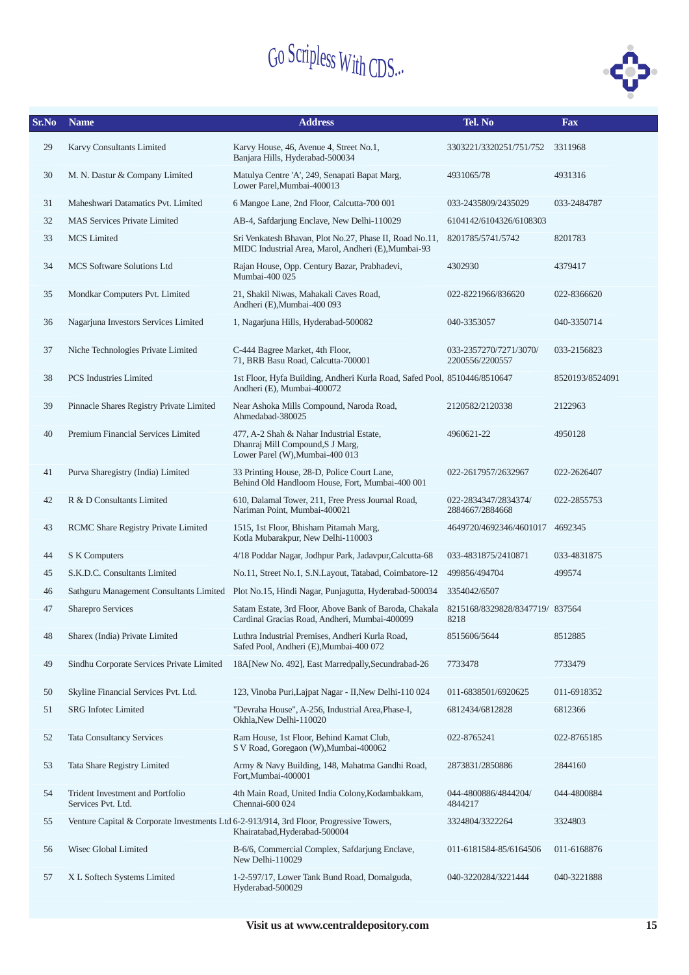

| Sr.No | <b>Name</b>                                            | Tel. No<br><b>Address</b>                                                                                                |                                           |                 |  |  |  |
|-------|--------------------------------------------------------|--------------------------------------------------------------------------------------------------------------------------|-------------------------------------------|-----------------|--|--|--|
| 29    | Karvy Consultants Limited                              | Karvy House, 46, Avenue 4, Street No.1,<br>Banjara Hills, Hyderabad-500034                                               | 3303221/3320251/751/752                   | 3311968         |  |  |  |
| 30    | M. N. Dastur & Company Limited                         | Matulya Centre 'A', 249, Senapati Bapat Marg,<br>Lower Parel, Mumbai-400013                                              | 4931065/78                                | 4931316         |  |  |  |
| 31    | Maheshwari Datamatics Pvt. Limited                     | 6 Mangoe Lane, 2nd Floor, Calcutta-700 001                                                                               | 033-2435809/2435029                       | 033-2484787     |  |  |  |
| 32    | <b>MAS Services Private Limited</b>                    | AB-4, Safdarjung Enclave, New Delhi-110029                                                                               | 6104142/6104326/6108303                   |                 |  |  |  |
| 33    | <b>MCS</b> Limited                                     | Sri Venkatesh Bhavan, Plot No.27, Phase II, Road No.11,<br>MIDC Industrial Area, Marol, Andheri (E), Mumbai-93           | 8201785/5741/5742                         | 8201783         |  |  |  |
| 34    | <b>MCS</b> Software Solutions Ltd                      | Rajan House, Opp. Century Bazar, Prabhadevi,<br>Mumbai-400 025                                                           | 4302930                                   | 4379417         |  |  |  |
| 35    | Mondkar Computers Pvt. Limited                         | 21, Shakil Niwas, Mahakali Caves Road,<br>Andheri (E), Mumbai-400 093                                                    | 022-8221966/836620                        | 022-8366620     |  |  |  |
| 36    | Nagarjuna Investors Services Limited                   | 1, Nagarjuna Hills, Hyderabad-500082                                                                                     | 040-3353057                               | 040-3350714     |  |  |  |
| 37    | Niche Technologies Private Limited                     | C-444 Bagree Market, 4th Floor,<br>71, BRB Basu Road, Calcutta-700001                                                    | 033-2357270/7271/3070/<br>2200556/2200557 | 033-2156823     |  |  |  |
| 38    | <b>PCS</b> Industries Limited                          | 1st Floor, Hyfa Building, Andheri Kurla Road, Safed Pool, 8510446/8510647<br>Andheri (E), Mumbai-400072                  |                                           | 8520193/8524091 |  |  |  |
| 39    | Pinnacle Shares Registry Private Limited               | Near Ashoka Mills Compound, Naroda Road,<br>Ahmedabad-380025                                                             | 2120582/2120338                           | 2122963         |  |  |  |
| 40    | Premium Financial Services Limited                     | 477, A-2 Shah & Nahar Industrial Estate,<br>Dhanraj Mill Compound, S J Marg,<br>Lower Parel (W), Mumbai-400 013          | 4960621-22                                | 4950128         |  |  |  |
| 41    | Purva Sharegistry (India) Limited                      | 33 Printing House, 28-D, Police Court Lane,<br>Behind Old Handloom House, Fort, Mumbai-400 001                           | 022-2617957/2632967                       | 022-2626407     |  |  |  |
| 42    | R & D Consultants Limited                              | 610, Dalamal Tower, 211, Free Press Journal Road,<br>Nariman Point, Mumbai-400021                                        | 022-2834347/2834374/<br>2884667/2884668   | 022-2855753     |  |  |  |
| 43    | RCMC Share Registry Private Limited                    | 1515, 1st Floor, Bhisham Pitamah Marg,<br>Kotla Mubarakpur, New Delhi-110003                                             | 4649720/4692346/4601017                   | 4692345         |  |  |  |
| 44    | S K Computers                                          | 4/18 Poddar Nagar, Jodhpur Park, Jadavpur, Calcutta-68                                                                   | 033-4831875/2410871                       | 033-4831875     |  |  |  |
| 45    | S.K.D.C. Consultants Limited                           | No.11, Street No.1, S.N.Layout, Tatabad, Coimbatore-12                                                                   | 499856/494704                             | 499574          |  |  |  |
| 46    | Sathguru Management Consultants Limited                | Plot No.15, Hindi Nagar, Punjagutta, Hyderabad-500034                                                                    | 3354042/6507                              |                 |  |  |  |
| 47    | Sharepro Services                                      | Satam Estate, 3rd Floor, Above Bank of Baroda, Chakala<br>Cardinal Gracias Road, Andheri, Mumbai-400099                  | 8215168/8329828/8347719/837564<br>8218    |                 |  |  |  |
| 48    | Sharex (India) Private Limited                         | Luthra Industrial Premises, Andheri Kurla Road,<br>Safed Pool, Andheri (E), Mumbai-400 072                               | 8515606/5644                              | 8512885         |  |  |  |
| 49    | Sindhu Corporate Services Private Limited              | 18A[New No. 492], East Marredpally, Secundrabad-26                                                                       | 7733478                                   | 7733479         |  |  |  |
| 50    | Skyline Financial Services Pvt. Ltd.                   | 123, Vinoba Puri, Lajpat Nagar - II, New Delhi-110 024                                                                   | 011-6838501/6920625                       | 011-6918352     |  |  |  |
| 51    | <b>SRG</b> Infotec Limited                             | "Devraha House", A-256, Industrial Area, Phase-I,<br>Okhla, New Delhi-110020                                             | 6812434/6812828                           | 6812366         |  |  |  |
| 52    | <b>Tata Consultancy Services</b>                       | Ram House, 1st Floor, Behind Kamat Club,<br>S V Road, Goregaon (W), Mumbai-400062                                        | 022-8765241                               | 022-8765185     |  |  |  |
| 53    | Tata Share Registry Limited                            | Army & Navy Building, 148, Mahatma Gandhi Road,<br>Fort.Mumbai-400001                                                    | 2873831/2850886                           | 2844160         |  |  |  |
| 54    | Trident Investment and Portfolio<br>Services Pvt. Ltd. | 4th Main Road, United India Colony, Kodambakkam,<br>Chennai-600 024                                                      | 044-4800886/4844204/<br>4844217           | 044-4800884     |  |  |  |
| 55    |                                                        | Venture Capital & Corporate Investments Ltd 6-2-913/914, 3rd Floor, Progressive Towers,<br>Khairatabad, Hyderabad-500004 | 3324804/3322264                           | 3324803         |  |  |  |
| 56    | Wisec Global Limited                                   | B-6/6, Commercial Complex, Safdarjung Enclave,<br>New Delhi-110029                                                       | 011-6181584-85/6164506                    | 011-6168876     |  |  |  |
| 57    | X L Softech Systems Limited                            | 1-2-597/17, Lower Tank Bund Road, Domalguda,<br>Hyderabad-500029                                                         | 040-3220284/3221444                       | 040-3221888     |  |  |  |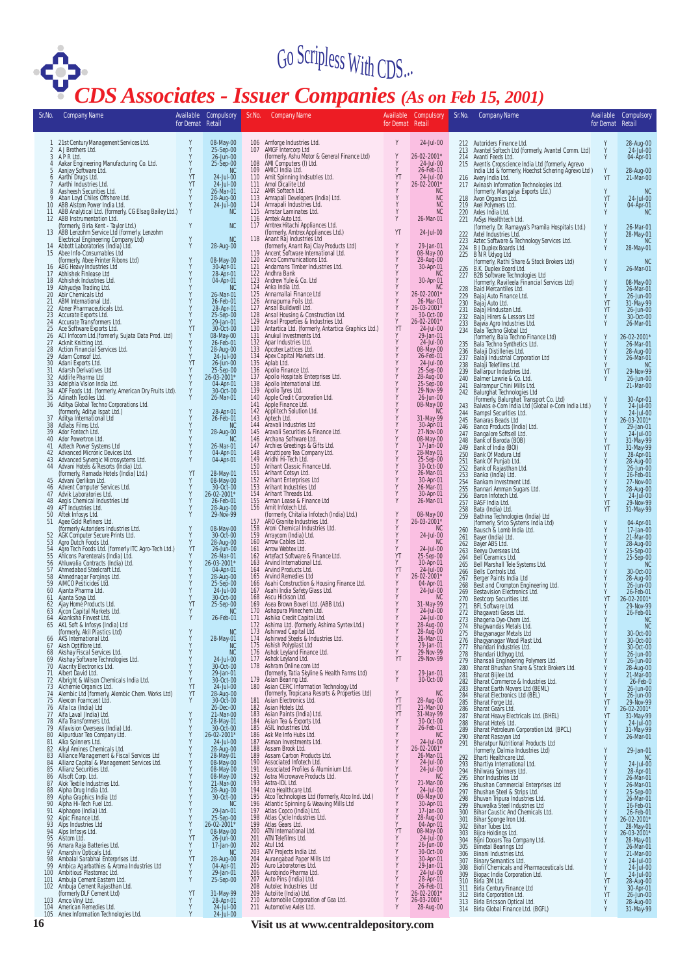

### *CDS Associates - Issuer Companies (As on Feb 15, 2001)*

| Sr.No.                | <b>Company Name</b>                                                                                                                                                 | for Demat Retail | Available Compulsory                | Sr.No.     | <b>Company Name</b>                                                                                                                                                                  | for Demat Retail        | Available Compulsory                             | Sr.No.                   | <b>Company Name</b>                                                                                                             | Available<br>for Demat Retail | Compulsory                                                    |
|-----------------------|---------------------------------------------------------------------------------------------------------------------------------------------------------------------|------------------|-------------------------------------|------------|--------------------------------------------------------------------------------------------------------------------------------------------------------------------------------------|-------------------------|--------------------------------------------------|--------------------------|---------------------------------------------------------------------------------------------------------------------------------|-------------------------------|---------------------------------------------------------------|
|                       |                                                                                                                                                                     |                  |                                     |            |                                                                                                                                                                                      |                         |                                                  |                          |                                                                                                                                 |                               |                                                               |
|                       | 1 21st Century Management Services Ltd.<br>2 A J Brothers Ltd.                                                                                                      |                  | 08-May-00<br>25-Sep-00              |            | 106 Amforge Industries Ltd.<br>107 AMGF Intercorp Ltd                                                                                                                                | Y<br>Y                  | 24-Jul-00                                        |                          | 212 Autoriders Finance Ltd.<br>213 Avantel Softech Ltd (formerly, Avantel Comm. Ltd)                                            | Υ<br>Y                        | 28-Aug-00<br>24-Jul-00                                        |
|                       | 3 APRLtd.<br>4 Aakar Engineering Manufacturing Co. Ltd.                                                                                                             |                  | 26-Jun-00<br>25-Sep-00              | 108        | (formerly, Ashu Motor & General Finance Ltd)<br>AMI Computers (I) Ltd.<br>109 AMICI India Ltd.                                                                                       | Υ<br>Y                  | 26-02-2001*<br>24-Jul-00<br>26-Feb-01            | 215                      | 214 Avanti Feeds Ltd.<br>Aventis Cropscience India Ltd (formerly, Agrevo<br>India Ltd & formerly, Hoechst Schering Agrevo Ltd ) |                               | 04-Apr-01                                                     |
|                       | 5 Aanjay Software Ltd.<br>6 Aarthí Drugs Ltd.                                                                                                                       | YT               | <b>NC</b><br>24-Jul-00              |            | 110 Amit Spinning Indsutries Ltd.<br>111 Amol Dicalite Ltd                                                                                                                           | $_{\rm Y}^{\rm YT}$     | 24-Jul-00                                        |                          | 216 Avery India Ltd.                                                                                                            | ÝT.                           | 28-Aug-00<br>21-Mar-00                                        |
| 7                     | Aarthi Industries Ltd.<br>8 Aasheesh Securities Ltd.                                                                                                                | YT               | 24-Jul-00<br>26-Mar-01              |            | 112 AMR Softech Ltd.                                                                                                                                                                 | Y                       | 26-02-2001*<br><b>NC</b>                         | 217                      | Avinash Information Technologies Ltd.<br>(formerly, Mangalya Exports Ltd.)                                                      | Y<br>YT                       | <b>NC</b>                                                     |
|                       | 9 Aban Loyd Chiles Offshore Ltd.<br>10 ABB Alstom Power India Ltd.                                                                                                  |                  | 28-Aug-00<br>24-Jul-00              |            | 113 Amrapali Developers (India) Ltd.<br>114 Amrapali Industries Ltd.                                                                                                                 | Υ<br>Y<br>Y             | $NC$<br>$NC$<br><b>NC</b>                        | 218                      | Avon Organics Ltd.<br>219 Axel Polymers Ltd.                                                                                    | Y                             | 24-Jul-00<br>04-Apr-01                                        |
|                       | 11 ABB Analytical Ltd. (formerly, CG Elsag Bailey Ltd.)<br>12 ABB Instrumentation Ltd.                                                                              | Υ                | NC                                  |            | 115 Amstar Laminates Ltd.<br>116 Amtek Auto Ltd.                                                                                                                                     | Y                       | 26-Mar-01                                        | 220<br>221               | Axles India Ltd.<br>AxSys Healthtech Ltd.                                                                                       | Y                             | <b>NC</b>                                                     |
|                       | (formerly, Birla Kent - Taylor Ltd.)<br>13 ABB Lenzohm Service Ltd (formerly, Lenzohm<br>Electrical Engineering Company Ltd)<br>14 Abbott Laboratories (India) Ltd. | Y                | <b>NC</b>                           | 117        | Amtrex Hitachi Appliances Ltd.<br>(formerly, Amtrex Appliances Ltd.)                                                                                                                 | YT                      | 24-Jul-00                                        | 222                      | (formerly, Dr. Ramayya's Pramila Hospitals Ltd.)<br>Axtel Industries Ltd.                                                       | Y                             | 26-Mar-01<br>28-May-01                                        |
|                       |                                                                                                                                                                     | Υ                | <b>NC</b><br>28-Aug-00              | 118        | Anant Raj Industries Ltd<br>(formerly, Anant Raj Clay Products Ltd)<br>Ancent Software International Ltd.                                                                            | Y                       | 29-Jan-01                                        | 223                      | Aztec Software & Technology Services Ltd.<br>224 B J Duplex Boards Ltd.                                                         | Y<br>Y                        | <b>NC</b><br>28-May-01                                        |
|                       | 15 Abee Info-Consumables Ltd<br>(formerly, Abee Printer Ribons Ltd)                                                                                                 |                  | 08-May-00                           | 119        | 120 Anco Communications Ltd.                                                                                                                                                         | Υ<br>Υ                  | 08-May-00<br>28-Aug-00                           | 225                      | B N R Udyog Ltd<br>(formerly, Rathi Share & Stock Brokers Ltd)<br>B.K. Duplex Board Ltd.                                        | Y                             |                                                               |
|                       | 16 ÀBG Heavy Industries Ltd<br>17 Abhishek Finlease Ltd                                                                                                             |                  | 30-Apr-01<br>28-Apr-01              |            | 121 Andamans Timber Industries Ltd.<br>122 Andhra Bank                                                                                                                               |                         | 30-Apr-01<br><b>NC</b>                           | 226<br>227               | B2B Software Technologies Ltd                                                                                                   | Ý                             | 26-Mar-01                                                     |
| 19                    | 18 Abhishek Industries Ltd.<br>Abhyudya Trading Ltd.                                                                                                                |                  | 04-Apr-01<br><b>NC</b>              | 123<br>124 | Andrew Yule & Co. Ltd<br>Anka India Ltd.                                                                                                                                             |                         | 30-Apr-01<br><b>NC</b>                           | 228                      | (formerly, Ravileela Financial Services Ltd)<br>Baid Mercantiles Ltd.                                                           | Y                             | 08-May-00<br>26-Mar-01                                        |
| 21                    | 20 Abir Chemicals Ltd<br>ABM International Ltd.                                                                                                                     |                  | 26-Mar-01<br>26-Feb-01              | 125<br>126 | Annamallai Finance Ltd<br>Annapurna Foils Ltd.                                                                                                                                       |                         | 26-02-2001*<br>26-Mar-01                         | 229<br>230               | Bajaj Auto Finance Ltd.<br>Bajaj Auto Ltd.                                                                                      | Y<br>YT                       | 26-Jun-00<br>31-May-99                                        |
| 22                    | Abner Pharmaceuticals Ltd.<br>23 Accurate Exports Ltd.                                                                                                              |                  | 28-Apr-01<br>25-Sep-00              | 127<br>128 | Ansal Buildwell Ltd.<br>Ansal Housing & Construction Ltd.                                                                                                                            | Υ<br>Y                  | 26-03-2001*<br>30-Oct-00                         | 231<br>232               | Bajaj Hindustan Ltd.<br>Bajaj Hirers & Lessors Ltd                                                                              | YT                            | 26-Jun-00<br>30-Oct-00                                        |
| 25                    | 24 Accurate Transformers Ltd.<br>Ace Software Exports Ltd.<br>ACI Infocom Ltd.(formerly, Sujata Data Prod. Ltd)                                                     | YT               | 29-Jan-01<br>30-Oct-00              | 129<br>130 | Ansal Properties & Industries Ltd.<br>Antartica Ltd. (formerly, Antartica Graphics Ltd.)                                                                                             | Y<br>YT                 | 26-02-2001*<br>24-Jul-00                         | 233<br>234               | Bajwa Agro Industries Ltd.<br>Bala Techno Global Ltd                                                                            |                               | 26-Mar-01                                                     |
| 26<br>27              | Acknit Knitting Ltd.                                                                                                                                                |                  | 08-May-00<br>26-Feb-01              | 131<br>132 | Anukul Investments Ltd.<br>Apar Industries Ltd.                                                                                                                                      | Y                       | 29-Jan-01<br>24-Jul-00                           | 235                      | (formerly, Bala Techno Finance Ltd)<br>Bala Techno Synthetics Ltd.                                                              |                               | 26-02-2001*<br>26-Mar-01                                      |
| 28<br>29              | Action Financial Services Ltd.<br>Adam Comsof Ltd.                                                                                                                  |                  | 28-Aug-00<br>24-Jul-00              | 133<br>134 | Apcotex Lattices Ltd.<br>Apex Capital Markets Ltd.                                                                                                                                   | Y                       | 08-May-00<br>26-Feb-01                           | 236<br>237               | Balaji Distilleries Ltd.<br>Balaji Industrial Corporation Ltd                                                                   |                               | 28-Aug-00<br>26-Mar-01                                        |
| 30 <sup>°</sup><br>31 | Adani Exports Ltd.<br>Adarsh Derivatives Ltd                                                                                                                        | YT               | 26-Jun-00<br>25-Sep-00              | 135<br>136 | Aplab Ltd.<br>Apollo Finance Ltd.                                                                                                                                                    | Y<br>Y                  | 24-Jul-00<br>25-Sep-00                           | 238<br>239               | Balaji Telefilms Ltd.<br>Ballarpur Industries Ltd.                                                                              | YT                            | <b>NC</b><br>29-Nov-99                                        |
| 32<br>33              | Addlife Pharma Ltd<br>Adelphia Vision India Ltd.                                                                                                                    |                  | 26-03-2001*<br>04-Apr-01            | 137<br>138 | Apollo Hospitals Enterprises Ltd.<br>Apollo International Ltd.                                                                                                                       | Υ<br>Y                  | 28-Aug-00<br>25-Sep-00                           | 240<br>241               | Balmer Lawrie & Co. Ltd.<br>Balrampur Chini Mills Ltd.                                                                          | Y                             | 26-Jun-00<br>21-Mar-00                                        |
| 34<br>35              | ADF Foods Ltd. (formerly, American Dry Fruits Ltd).<br>Adinath Textiles Ltd.                                                                                        |                  | 30-Oct-00<br>26-Mar-01              | 139<br>140 | Apollo Tyres Ltd.<br>Apple Credit Corporation Ltd.                                                                                                                                   | Y                       | 29-Nov-99<br>26-Jun-00                           | 242                      | Balurghat Technologies Ltd                                                                                                      |                               |                                                               |
| 36                    | Aditya Global Techno Corporations Ltd.<br>(formerly, Aditya Ispat Ltd.)                                                                                             |                  | 28-Apr-01                           | 141<br>142 | Apple Finance Ltd.<br>Applitech Solution Ltd.                                                                                                                                        |                         | 08-May-00<br><b>NC</b>                           | 243                      | (Formerly, Balurghat Transport Co. Ltd)<br>Balwas e-Com India Ltd (Global e-Com India Ltd.)                                     |                               | 30-Apr-01<br>$24$ -Jul-00                                     |
| 37                    | Aditya International Ltd                                                                                                                                            |                  | 26-Feb-01                           | 143<br>144 | Aptech Ltd.<br>Aravali Industries Ltd                                                                                                                                                | Y                       | 31-May-99                                        | 244<br>245               | Bampsl Securities Ltd.<br>Banaras Beads Ltd                                                                                     |                               | 24-Jul-00<br>26-03-2001*                                      |
| 38<br>39              | Adlabs Films Ltd.<br>Ador Fontech Ltd.                                                                                                                              |                  | NC<br>28-Aug-00                     | 145        | Aravali Securities & Finance Ltd.                                                                                                                                                    |                         | 30-Apr-01<br>27-Nov-00                           | 246<br>247               | Banco Products (India) Ltd.<br>Bangalore Softsell Ltd.<br>Bank of Baroda (BOB)                                                  |                               | 29-Jan-01<br>24-Jul-00                                        |
| 40                    | Ador Powertron Ltd.<br>41 Adtech Power Systems Ltd                                                                                                                  |                  | <b>NC</b><br>26-Mar-01              | 146<br>147 | Archana Software Ltd.<br>Archies Greetings & Gifts Ltd.<br>Arcuttipore Tea Company Ltd.                                                                                              | Y<br>Y<br>Y             | 08-May-00                                        | 248<br>249               | Bank of India (BOI)                                                                                                             | YT                            | 31-May-99<br>31-May-99<br>28-Apr-01<br>28-Aug-00<br>26-Jun-00 |
|                       | 42 Advanced Micronic Devices Ltd.<br>43 Advanced Synergic Microsystems Ltd.                                                                                         |                  | 04-Apr-01<br>04-Apr-01              | 148        | 149 Aridhi Hi-Tech Ltd.                                                                                                                                                              | Y                       | 17-Jan-00<br>28-May-01<br>25-Sep-00<br>30-Oct-00 | 250                      | Bank Of Madura Ltd<br>Bank Of Punjab Ltd.<br>Bank of Rajasthan Ltd.<br>Banka (India) Ltd.                                       |                               |                                                               |
|                       | 44 Advani Hotels & Resorts (India) Ltd.<br>(formerly, Ramada Hotels (India) Ltd.)                                                                                   | YT               | 28-May-01                           | 151        | 150 Arihant Classic Finance Ltd.<br>Arihant Cotsyn Ltd.                                                                                                                              | Y<br>Y                  | 26-Mar-01                                        | $\frac{251}{252}$<br>253 |                                                                                                                                 |                               | 26-Feb-01                                                     |
| 45                    | Advani Öerlikon Ltd.<br>46 Advent Computer Services Ltd.                                                                                                            |                  | 08-May-00<br>30-Oct-00              | 152<br>153 | Arihant Enterprises Ltd<br>Arihant Industries Ltd                                                                                                                                    | Y<br>Y                  | 30-Apr-01<br>26-Mar-01                           | 254<br>255               | Bankam Investment Ltd.<br>Bannari Amman Sugars Ltd.                                                                             | Υ                             | 27-Nov-00                                                     |
| 48                    | 47 Advik Laboratories Ltd.<br>Aegis Chemical Industries Ltd                                                                                                         |                  | 26-02-2001*<br>26-Feb-01            | 154        | Arihant Threads Ltd.<br>155 Arman Lease & Finance Ltd                                                                                                                                | Y<br>Y                  | 30-Apr-01<br>26-Mar-01                           | 256<br>257               | Baron Infotech Ltd.<br>BASF India Ltd.                                                                                          | Υ<br>YT                       | 28-Aug-00<br>24-Jul-00<br>29-Nov-99                           |
|                       | 49 AFT Industries Ltd.<br>50 Aftek Infosys Ltd.                                                                                                                     |                  | 28-Aug-00<br>29-Nov-99              |            | 156 Arnit Infotech Ltd.<br>(formerly, Chitalia Infotech (India) Ltd.)                                                                                                                | Y                       | 08-May-00                                        | 258<br>259               | Bata (India) Ltd.<br>Bathina Technologies (India) Ltd                                                                           | YT                            | 31-May-99                                                     |
| 51                    | Agee Gold Refiners Ltd.                                                                                                                                             |                  | 08-May-00                           |            | 157 ÀRO Granite Industries Ltd.<br>158 Aroni Chemical Industries Ltd.                                                                                                                | Y<br>Y                  | 26-03-2001*<br><b>NC</b>                         |                          | (formerly, Srico Systems India Ltd)                                                                                             | Υ                             | 04-Apr-01                                                     |
| 52                    | (formerly Autoriders Industries Ltd.<br>AGK Computer Secure Prints Ltd.<br>53 Agro Dutch Foods Ltd.                                                                 |                  | 30-Oct-00<br>28-Aug-00              | 160        | 159 Arraycom (India) Ltd.<br>Arrow Cables Ltd.                                                                                                                                       | Υ<br>Y                  | 24-Jul-00<br>NC                                  | 260<br>261               | Bausch & Lomb India Ltd.<br>Bayer (India) Ltd.                                                                                  | Y                             | 17-Jan-00<br>21-Mar-00                                        |
|                       | 54 Agro Tech Foods Ltd. (formerly ITC Agro-Tech Ltd.)                                                                                                               | YT               | 26-Jun-00                           |            | 161 Arrow Webtex Ltd.                                                                                                                                                                | Y<br>YT                 | 24-Jul-00                                        | 262<br>263               | Bayer ABS Ltd.<br>Beeyu Overseas Ltd.                                                                                           |                               | 28-Aug-00<br>25-Sep-00<br>25-Sep-00                           |
| 55                    | Ahlcons Parenterals (India) Ltd.<br>56 Ahluwalia Contracts (India) Ltd.                                                                                             |                  | 26-Mar-01<br>26-03-2001*            |            | 162 Artefact Software & Finance Ltd.<br>163 Arvind International Ltd.                                                                                                                | Υ                       | 25-Sep-00<br>30-Apr-01                           | 264<br>265               | Bell Ceramics Ltd.<br>Bell Marshall Tele Systems Ltd.                                                                           |                               | <b>NC</b>                                                     |
| 57                    | Ahmedabad Steelcraft Ltd.<br>58 Ahmednagar Forgings Ltd.<br>59 AIMCO Pesticides Ltd.                                                                                |                  | 04-Apr-01<br>28-Aug-00<br>25-Sep-00 |            | 164 Arvind Products Ltd.<br>165 Arvind Remedies Ltd                                                                                                                                  | YT<br>Y                 | $24$ -Jul-00<br>26-02-2001*                      | 266<br>267               | Bells Controls Ltd.<br>Berger Paints India Ltd                                                                                  |                               | 30-Oct-00<br>28-Aug-00                                        |
|                       | 60 Ajanta Pharma Ltd.                                                                                                                                               |                  | $24$ -Jul-00                        |            | 166 Asahi Construction & Housing Finance Ltd.<br>167 Asahi India Safety Glass Ltd.<br>168 Ascu Hickson Ltd.                                                                          | Y                       | 04-Apr-01<br>$24$ -Jul-00                        | 268<br>269               | Best and Crompton Engineering Ltd.<br>Bestavision Electronics Ltd.                                                              | Y                             | 26-Jun-00<br>26-Feb-01                                        |
| 62                    | 61 Ajanta Soya Ltd.<br>Ajay Homé Products Ltd.                                                                                                                      | YT               | 30-Oct-00<br>25-Sep-00              |            | 169 Asea Brown Boveri Ltd. (ABB Ltd.)<br>170 Ashapura Minechem Ltd.                                                                                                                  | $_{\rm Y}^{\rm Y}$      | N <sub>C</sub><br>31-May-99<br>24-Jul-00         | 270<br>271               | Bestcorp Securities Ltd.<br>BFL Software Ltd.                                                                                   | YT                            | 26-02-2001*<br>29-Nov-99                                      |
| 63<br>64              | Ajcon Capital Markets Ltd.<br>Akanksha Finvest Ltd.                                                                                                                 | Y                | <b>NC</b><br>26-Feb-01              |            | 171 Ashika Credit Capital Ltd.                                                                                                                                                       |                         | 24-Jul-00                                        | 272<br>273               | Bhagawati Gases Ltd.<br>Bhageria Dye-Chem Ltd.                                                                                  |                               | 26-Feb-01<br><b>NC</b>                                        |
|                       | 65 AKL Soft & Infosys (India) Ltd<br>(formerly, Akil Plastics Ltd)                                                                                                  |                  | <b>NC</b>                           |            | 172 Ashima Ltd. (formerly, Ashima Syntex Ltd.)<br>173 Ashirwad Capital Ltd.                                                                                                          | Υ                       | 28-Aug-00<br>28-Aug-00                           | 274                      | Bhagwandas Metals Ltd.<br>275 Bhagyanagar Metals Ltd                                                                            | Y<br>Y                        | NC.<br>30-Oct-00                                              |
| 66<br>67              | AKS International Ltd.                                                                                                                                              | Y                | 28-May-01<br><b>NC</b>              | 175        | 174 Ashirwad Steels & Industries Ltd.                                                                                                                                                | Y<br>Y                  | 26-Mar-01                                        | 276<br>277               | Bhagyanagar Wood Plast Ltd.<br>Bhandari Industries Ltd.                                                                         | Y<br>Y                        | 30-Oct-00<br>30-Oct-00                                        |
| 68<br>69              | Aksh Optifibre Ltd.<br>Akshay Fiscal Services Ltd.<br>Akshay Software Technologies Ltd.                                                                             | Y                | <b>NC</b><br>24-Jul-00              | 176        | Ashish Polyplast Ltd<br>Ashok Leyland Finance Ltd.                                                                                                                                   | Y<br>YT                 | 29-Jan-01<br>29-Nov-99<br>29-Nov-99              | 278<br>279               | Bhandari Udhyog Ltd.<br>Bhansali Engineering Polymers Ltd.<br>Bharat Bhushan Share & Stock Brokers Ltd.                         | Y                             | 26-Jun-00                                                     |
| 71                    | 70 Alacrity Electronics Ltd.<br>Albert David Ltd.                                                                                                                   | Y                | 30-Oct-00<br>29-Jan-01              |            | 177 Ashok Leyland Ltd.<br>178 Ashram Online.com Ltd                                                                                                                                  | Υ                       | 29-Jan-01                                        | 280<br>281               | Bharat Bijlee Ltd.                                                                                                              | Ý<br>Y                        | 26-Jun-00<br>28-Aug-00<br>21-Mar-00                           |
| 72<br>73              | Albright & Wilson Chemicals India Ltd.<br>Alchemie Organics Ltd.                                                                                                    | Y<br>YT          | 30-Oct-00<br>24-Jul-00              | 179<br>180 | Ashrun Unine.com<br>(Kormerly, Tatia Skyline & Health Farms Ltd)<br>Asian Bearing Ltd.<br>Asian CERC Information Technology Ltd<br>(Stain Electronics Ltd.<br>Asian Electronics Ltd. | Y                       | 30-Oct-00                                        | 282<br>283               | Bharat Commerce & Industries Ltd.<br>Bharat Earth Movers Ltd (BEML)                                                             | Y<br>Y                        | 26-Feb-0<br>26-Jun-00                                         |
| 74                    | Alembic Ltd (formerly, Alembic Chem. Works Ltd)<br>75 Alexcon Foamcast Ltd.                                                                                         | YT<br>Y          | 28-Aug-00<br>30-Oct-00              | 181        |                                                                                                                                                                                      | Υ<br>YT                 | <b>NC</b><br>28-Aug-00                           | 284                      | <b>Bharat Electronics Ltd (BEL)</b>                                                                                             | Y                             | 26-Jun-00                                                     |
| 77                    | 76 Alfa Ica (India) Ltd<br>Alfa Laval (India) Ltd.                                                                                                                  | Υ                | 26-Dec-00<br>21-Mar-00              | 182<br>183 | Asian Hotels Ltd.<br>Asian Paints (India) Ltd.                                                                                                                                       | YT<br>YT                | 21-Mar-00<br>31-May-99                           | 285<br>286               | Bharat Forge Ltd.<br>Bharat Gears Ltd.                                                                                          | YT<br>Υ                       | 29-Nov-99<br>26-02-2001*                                      |
| 78                    | Alfa Transformers Ltd.                                                                                                                                              |                  | 28-May-01                           | 184        | Asian Tea & Exports Ltd.                                                                                                                                                             | Υ<br>Υ                  | 30-Oct-00                                        | 287<br>288               | Bharat Heavy Electricals Ltd. (BHEL)<br>Bharat Hotels Ltd.                                                                      | ŶT<br>Y                       | 31-May-99<br>24-Jul-00                                        |
| 79<br>80              | Alfavision Overseas (India) Ltd.<br>Alipurduar Tea Company Ltd.                                                                                                     | Y                | 30-Oct-00<br>26-02-2001*            | 185<br>186 | ASIL Industries Ltd.<br>Ask Me Info Hubs Ltd.                                                                                                                                        | Y                       | 26-Feb-01<br><b>NC</b>                           | 289<br>290               | Bharat Petroleum Corporation Ltd. (BPCL)<br>Bharat Rasayan Ltd                                                                  | Y<br>Y                        | 31-May-99<br>26-Mar-01                                        |
| 81<br>82              | Alka Spinners Ltd.<br>Alkyl Amines Chemicals Ltd.                                                                                                                   |                  | 24-Jul-00<br>28-Aug-00              | 187<br>188 | Asman Investments Ltd.<br>Assam Brook Ltd.                                                                                                                                           | Y<br>Y                  | 24-Jul-00<br>26-02-2001*                         | 291                      | <b>Bharatpur Nutritional Products Ltd</b><br>(formerly, Dalmia Industries Ltd)                                                  | Y                             | 29-Jan-01                                                     |
| 83<br>84              | Alliance Management & Fiscal Services Ltd<br>Allianz Capital & Management Services Ltd.                                                                             |                  | 28-May-01<br>08-May-00              | 189<br>190 | Assam Carbon Products Ltd.<br>Associated Infotech Ltd.                                                                                                                               | Y<br>Y                  | 26-Mar-01<br>24-Jul-00                           | 292<br>293               | Bharti Healthcare Ltd.<br>Bhartiya International Ltd.                                                                           | Y                             | <b>NC</b><br>24-Jul-00                                        |
| 85<br>86              | Allianz Securities Ltd.<br>Allsoft Corp. Ltd.                                                                                                                       |                  | 08-May-00<br>08-May-00              | 191<br>192 | Associated Profiles & Aluminium Ltd.<br>Astra Microwave Products Ltd.                                                                                                                | Υ<br>Υ                  | 24-Jul-00<br><b>NC</b>                           | 294<br>295               | Bhilwara Spinners Ltd.<br><b>Bhor Industries Ltd</b>                                                                            | Y                             | 28-Apr-01<br>26-Mar-01                                        |
| 87<br>88              | Alok Textile Industries Ltd.<br>Alpha Drug India Ltd.                                                                                                               |                  | 21-Mar-00<br>28-Aug-00              | 193<br>194 | Astra-IDL Ltd.<br>Atco Healthcare Ltd.                                                                                                                                               | Υ<br>$_{\rm Y}^{\rm Y}$ | 21-Mar-00<br>24-Jul-00                           | 296<br>297               | Bhushan Commercial Enterprises Ltd                                                                                              | Y                             | 26-Mar-01                                                     |
| 89<br>90              | Alpha Graphics India Ltd<br>Alpha Hi-Tech Fuel Ltd.                                                                                                                 |                  | 30-Oct-00<br><b>NC</b>              | 195<br>196 | Atco Technologies Ltd (formerly, Atco Ind. Ltd.)<br>Atlantic Spinning & Weaving Mills Ltd                                                                                            | Y                       | 08-May-00<br>30-Apr-01                           | 298<br>299               | Bhushan Steel & Strips Ltd.<br>Bhuvan Tripura Industries Ltd.                                                                   |                               | 25-Sep-00<br>26-Mar-01                                        |
| 91<br>92              | Alphageo (India) Ltd.<br>Alpic Finance Ltd.                                                                                                                         |                  | 29-Jan-01<br>25-Sep-00              | 197        | Atlas Copco (India) Ltd.<br>198 Atlas Cycle Industries Ltd.                                                                                                                          | Y<br>Υ                  | 17-Jan-00<br>28-Aug-00                           | 300<br>301               | Bhuwalka Steel Industries Ltd<br>Bihar Caustic And Chemicals Ltd.                                                               |                               | 26-Feb-01<br>26-Feb-01<br>26-02-2001'                         |
| 93<br>94              | Alps Industries Ltd<br>Alps Infosys Ltd.                                                                                                                            | Y                | 26-02-2001*<br>08-May-00            | 200        | 199 Atlas Gears Ltd.<br>ATN International Ltd.                                                                                                                                       | Ÿ<br>YT                 | 04-Apr-01<br>08-May-00                           | 302                      | Bihar Sponge Iron Ltd.<br>Bihar Tubes Ltd.                                                                                      |                               | 28-May-01<br>*26-03-2001                                      |
| 95<br>96              | Alstom Ltd.<br>Amara Raja Batteries Ltd.                                                                                                                            | YT<br>Y          | 26-Jun-00<br>17-Jan-00              | 201<br>202 | ATN Telefilms Ltd.<br>Atul Ltd.                                                                                                                                                      | Y<br>Ÿ                  | 24-Jul-00<br>26-Jun-00                           | 303<br>304               | Bijco Holdings Ltd.<br>Bijni Dooars Tea Company Ltd.                                                                            | Y                             | 28-May-01<br>26-Mar-01                                        |
| 97                    | Amarshiv Opticals Ltd.                                                                                                                                              | Y<br>YT          | <b>NC</b>                           | 203<br>204 | ATV Projects India Ltd.<br>Aurangabad Paper Mills Ltd                                                                                                                                | Y<br>Υ                  | 30-Oct-00<br>30-Apr-01                           | 305<br>306               | Bimetal Bearings Ltd<br>Binani Industries Ltd.                                                                                  | Y                             |                                                               |
| 99                    | 98 Ambalal Sarabhai Enterprises Ltd.<br>Ambica Agarbathies & Aroma Industries Ltd                                                                                   | Y                | 28-Aug-00<br>04-Apr-01              | 205        | Auro Laboratories Ltd.                                                                                                                                                               | Y<br>Y                  | 29-Jan-01                                        | 307<br>308               | Binary Semantics Ltd.<br>Biofil Chemicals and Pharmaceuticals Ltd.                                                              | Υ                             | 21-Mar-00<br>24-Jul-00<br>24-Jul-00<br>24-Jul-00              |
|                       | 100 Ambitious Plastomac Ltd.<br>101 Ambuja Cement Eastern Ltd.                                                                                                      | Y<br>Y           | 29-Jan-01<br>25-Sep-00              | 206<br>207 | Aurobindo Pharma Ltd.<br>Auto Pins (India) Ltd.                                                                                                                                      | Y                       | 24-Jul-00<br>28-Apr-01                           | 309<br>310               | Biopac India Corporation Ltd.<br>Birla 3M Ltd.                                                                                  | Y<br>YT                       |                                                               |
|                       | 102 Ambuja Cement Rajasthan Ltd.<br>(formerly DLF Cement Ltd)                                                                                                       | YT               | 31-May-99                           | 208<br>209 | Autolec Industries Ltd<br>Autolite (India) Ltd.                                                                                                                                      | Y<br>Y                  | 26-Feb-01<br>26-02-2001*                         | 311<br>312               | Birla Century Finance Ltd<br>Birla Corporation Ltd.                                                                             | Υ<br>YT                       | 24-5a1-00<br>28-Aug-00<br>30-Apr-01<br>26-Jun-00              |
| 104                   | Amco Vinyl Ltd.<br>American Remedies Ltd.                                                                                                                           |                  | 28-Apr-01<br>24-Jul-00              | 210        | Automobile Corporation of Goa Ltd.<br>211 Automotive Axles Ltd.                                                                                                                      | Y<br>Y                  | 26-03-2001*<br>28-Aug-00                         | 313                      | Birla Ericsson Optical Ltd.<br>314 Birla Global Finance Ltd. (BGFL)                                                             |                               | 28-Aug-00<br>31-May-99                                        |
|                       | 105 Amex Information Technologies Ltd.                                                                                                                              |                  | 24-Jul-00                           |            |                                                                                                                                                                                      |                         |                                                  |                          |                                                                                                                                 |                               |                                                               |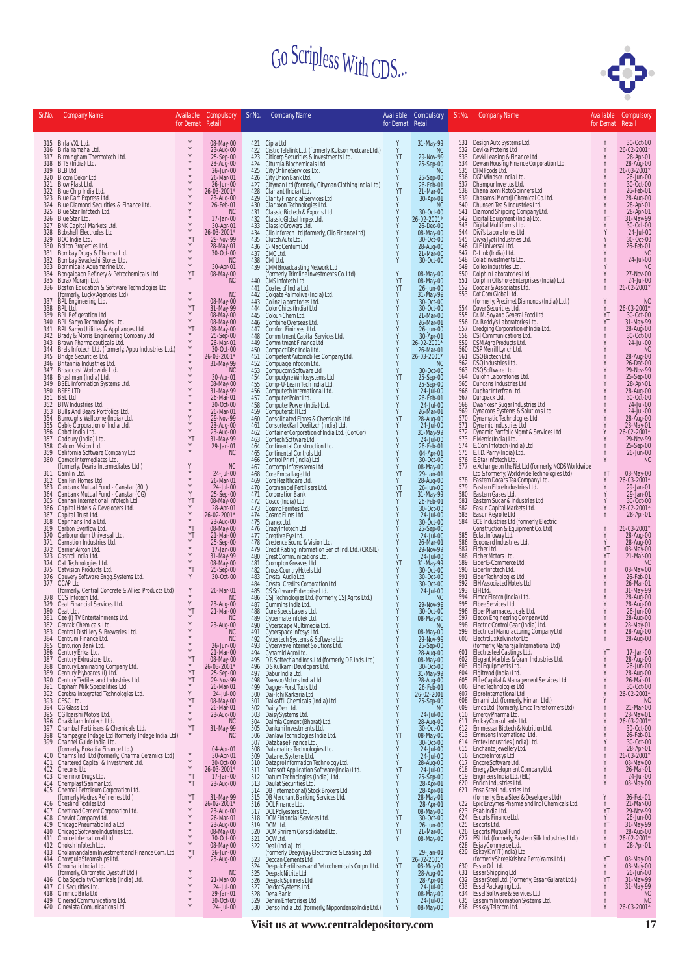

| Sr.No.     | <b>Company Name</b>                                                                                | Available<br>for Demat Retail | Compulsory                          | Sr.No.         | <b>Company Name</b>                                                                                                              | for Demat Retail | Available Compulsory                | Sr.No.     | <b>Company Name</b>                                                                                                                  | Available<br>for Demat Retail | Compulsory                          |
|------------|----------------------------------------------------------------------------------------------------|-------------------------------|-------------------------------------|----------------|----------------------------------------------------------------------------------------------------------------------------------|------------------|-------------------------------------|------------|--------------------------------------------------------------------------------------------------------------------------------------|-------------------------------|-------------------------------------|
|            |                                                                                                    |                               |                                     |                |                                                                                                                                  |                  |                                     |            |                                                                                                                                      |                               |                                     |
| 316        | 315 Birla VXL Ltd.<br>Birla Yamaha Ltd.                                                            | Y                             | 08-May-00<br>28-Aug-00              | 422            | 421 Cipla Ltd.<br>Cistro Telelink Ltd. (formerly, Kukson Footcare Ltd.)                                                          | Y                | 31-May-99<br><b>NC</b>              | 532        | 531 Design Auto Systems Ltd.<br>Devika Proteins Ltd                                                                                  | Y<br>Y                        | 30-Oct-00<br>26-02-2001*            |
| 317<br>318 | Birmingham Thermotech Ltd.<br>BITS (India) Ltd.                                                    | Y<br>Y                        | 25-Sep-00<br>28-Aug-00              | 423            | Citicorp Securities & Investments Ltd.<br>424 Citurgia Biochemicals Ltd                                                          | YT<br>Y          | 29-Nov-99<br>25-Sep-00              | 533<br>534 | Devki Leasing & Finance Ltd.<br>Dewan Housing Finance Corporation Ltd.                                                               | Y<br>Y                        | 28-Apr-01<br>28-Aug-00              |
| 319        | BLB Ltd.                                                                                           | Y                             | 26-Jun-00                           |                | 425 City Online Services Ltd.                                                                                                    |                  | <b>NC</b>                           | 535        | DFM Foods Ltd.<br>DGP Windsor India Ltd.                                                                                             | Y                             | 26-03-2001*                         |
| 320<br>321 | <b>Bloom Dekor Ltd</b><br>Blow Plast Ltd.                                                          | Y<br>Y                        | 26-Mar-01<br>26-Jun-00              | 426<br>427     | City Union Bank Ltd.<br>Cityman Ltd (formerly, Cityman Clothing India Ltd)                                                       |                  | 25-Sep-00<br>26-Feb-01              | 536<br>537 | Dhampur Invertos Ltd.                                                                                                                |                               | 26-Jun-00<br>30-Oct-00              |
| 322<br>323 | Blue Chip India Ltd.                                                                               | Y<br>Y                        | 26-03-2001*<br>28-Aug-00            | 428<br>429     | Clariant (India) Ltd.<br>Clarity Financial Services Ltd                                                                          | YT<br>Y          | 21-Mar-00<br>30-Apr-01              | 538<br>539 | Dhanalaxmi Roto Spinners Ltd.<br>Dharamsi Morarji Chemical Co.Ltd.<br>Dhunseri Tea & Industries Ltd.                                 | Y                             | 26-Feb-01<br>28-Aug-00              |
| 324<br>325 | Blue Dart Express Ltd.<br>Blue Diamond Securities & Finance Ltd.<br>Blue Star Infotech Ltd.        | Y<br>Y                        | 26-Feb-01<br><b>NC</b>              | 430<br>431     | Clarixxon Technologies Ltd.<br>Classic Biotech & Exports Ltd.                                                                    | Y                | <b>NC</b><br>30-Oct-00              | 540<br>541 |                                                                                                                                      | Y<br>Y                        | 28-Apr-01<br>28-Apr-01              |
| 326        | Blue Star Ltd.                                                                                     | Y                             | 17-Jan-00                           | 432            | Classic Global Impex Ltd.                                                                                                        | Y                | 26-02-2001*                         | 542        | Diamond Shipping Company Ltd.<br>Digital Equipment (India) Ltd.<br>Digital Multiforms Ltd.                                           | YT                            | 31-May-99<br>30-Oct-00              |
| 327<br>328 | BNK Capital Markets Ltd.<br>Bobshell Electrodes Ltd                                                | Y<br>Y                        | 30-Apr-01<br>26-03-2001*            | $433$<br>$434$ | Classic Growers Ltd.<br>Clio Infotech Ltd (formerly, Clio Finance Ltd)                                                           |                  | 26-Dec-00<br>08-May-00              | 543<br>544 | Divi's Laboratories Ltd.                                                                                                             |                               | 24-Jul-00                           |
| 329<br>330 | BOC India Ltd.<br>Bolton Properties Ltd.                                                           | YT<br>Υ                       | 29-Nov-99<br>28-May-01              |                | 435 Clutch Auto Ltd.<br>436 C-Mac Centum Ltd.                                                                                    |                  | 30-Oct-00<br>28-Aug-00              | 545        | Divya Jyoti Industries Ltd.<br>546 DLF Universal Ltd.                                                                                |                               | 30-Oct-00<br>26-Feb-01              |
| 331<br>332 | Bombay Drugs & Pharma Ltd.<br>Bombay Swadeshi Stores Ltd.                                          | Y<br>Y                        | 30-Oct-00<br><b>NC</b>              | 437<br>438     | CMC Ltd.<br>CMI Ltd.                                                                                                             | Y<br>Y           | 21-Mar-00<br>30-Oct-00              | 548        | 547 D-Link (India) Ltd.<br>Dolat Investments Ltd.                                                                                    |                               | <sub>NC</sub><br>24-Jul-00          |
| 333        | Bommidala Aquamarine Ltd.                                                                          | Y                             | 30-Apr-01                           | 439            | CMM Broadcasting Network Ltd<br>(formerly, Trimline Investments Co. Ltd)                                                         |                  |                                     | 549        | Dollex Industries Ltd.                                                                                                               |                               | <b>NC</b>                           |
| 334<br>335 | Bongaigaon Refinery & Petrochemicals Ltd.<br>Borax Morarji Ltd.                                    | YT<br>Y                       | 08-May-00<br><b>NC</b>              | 440            | CMS Infotech Ltd.                                                                                                                | Y<br>YT          | 08-May-00<br>08-May-00              | 550<br>551 | Dolphin Laboratories Ltd.<br>Dolphin Offshore Enterprises (India) Ltd.                                                               | Y                             | 27-Nov-00<br>24-Jul-00              |
| 336        | Boston Education & Software Technologies Ltd<br>(formerly, Lucky Agencies Ltd)                     | Y                             | <b>NC</b>                           | 441<br>442     | Coates of India Ltd.<br>Colgate Palmolive (India) Ltd.                                                                           | YT<br>Y          | 26-Jun-00<br>31-May-99              | 552<br>553 | Doogar & Associates Ltd.<br>Dot Com Global Ltd.                                                                                      | Y                             | 26-02-2001*                         |
| 337        | BPL Engineering Ltd.                                                                               | Y                             | 08-May-00                           | 443            | Colinz Laboratories Ltd.                                                                                                         |                  | 30-Oct-00                           |            | (formerly, Precimet Diamonds (India) Ltd.)                                                                                           | Y                             | <b>NC</b>                           |
| 338<br>339 | BPL Ltd.<br>BPL Refigeration Ltd.                                                                  | YT<br>Y                       | 31-May-99<br>08-May-00              |                | 444 Color Chips (India) Ltd<br>445 Colour-Chem Ltd.                                                                              |                  | 30-Oct-00<br>21-Mar-00              | 554<br>555 | Dover Securities Ltd.<br>Dr. M. Soy and General Food Ltd                                                                             | Y<br>YT                       | 26-03-2001*<br>30-Oct-00            |
| 340<br>341 | BPL Sanyo Technologies Ltd.<br>BPL Sanyo Utilities & Appliances Ltd.                               | Y<br>YT                       | 08-May-00<br>08-May-00              | 447            | 446 Combine Overseas Ltd.<br>Comfort Fininvest Ltd.                                                                              |                  | 26-Mar-01<br>26-Jun-00              | 556<br>557 | Dr. Reddy's Laboratories Ltd.<br>Dredging Corporation of India Ltd.                                                                  | YT                            | 31-May-99<br>28-Aug-00              |
| 342        | Brady & Morris Engineering Company Ltd<br>Brawn Pharmaceuticals Ltd.                               |                               | 25-Sep-00<br>26-Mar-01              | 448            | Commitment Capital Services Ltd.                                                                                                 | Y                | 30-Apr-01                           | 558        | DSJ Communications Ltd.                                                                                                              | Y<br>Y<br>Y                   | 30-Oct-00                           |
| 343<br>344 | Brels Infotech Ltd. (formerly, Appu Industries Ltd.)                                               | Y                             | 30-Oct-00                           | 449<br>450     | Commitment Finance Ltd<br>Compact Disc India Ltd.                                                                                | Y<br>Y           | 26-02-2001*<br>26-Mar-01            | 559<br>560 | DSM Agro Products Ltd.<br>DSP Merrill Lynch Ltd.                                                                                     |                               | 24-Jul-00<br><b>NC</b>              |
| 345<br>346 | Bridge Securities Ltd.<br>Britannia Industries Ltd.                                                | Y                             | 26-03-2001*<br>31-May-99            | 451<br>452     | Competent Automobiles Company Ltd.<br>Compuage Infocom Ltd.                                                                      | Y                | 26-03-2001*<br><b>NC</b>            | 561<br>562 | DSQ Biotech Ltd.<br>DSQ Industries Ltd.                                                                                              |                               | 28-Aug-00<br>26-Dec-00              |
| 347        | Broadcast Worldwide Ltd.                                                                           |                               | <b>NC</b>                           | 453            | Compucom Software Ltd                                                                                                            | Y                | 30-Oct-00                           | 563<br>564 | DSQ Software Ltd.                                                                                                                    |                               | 29-Nov-99<br>25-Sep-00              |
| 348<br>349 | Brushman (India) Ltd.<br><b>BSEL Information Systems Ltd.</b>                                      |                               | 30-Apr-01<br>08-May-00<br>31-May-99 | 454<br>455     | Compudyne Winfosystems Ltd.<br>Comp-U-Learn Tech India Ltd.                                                                      | YT<br>Y          | 25-Sep-00<br>25-Sep-00              | 565        | Dujohn Laboratories Ltd.<br>Duncans Industries Ltd                                                                                   | Y<br>Y<br>Y<br>Y              | 28-Apr-01                           |
| 350<br>351 | <b>BSES LTD</b><br><b>BSL Ltd</b>                                                                  | Y<br>Y                        | 26-Mar-01                           | 456            | Computech International Ltd.<br>457 Computer Point Ltd.                                                                          | Y<br>Y           | 24-Jul-00<br>26-Feb-01              | 566<br>567 | Duphar Interfran Ltd.<br>Duropack Ltd.                                                                                               | Y                             | 28-Aug-00<br>30-Oct-00              |
| 352        | BTW Industries Ltd.                                                                                | Y<br>Y                        | 30-Oct-00                           |                | 458 Computer Power (India) Ltd.                                                                                                  |                  | 24-Jul-00                           | 568<br>569 | Dwarikesh Sugar Industries Ltd<br>Dynacons Systems & Solutions Ltd.                                                                  | Y<br>Y                        | 24-Jul-00<br>24-Jul-00              |
| 353<br>354 | Bulls And Bears Portfolios Ltd.<br>Burroughs Wellcome (India) Ltd.                                 | Y                             | 26-Mar-01<br>29-Nov-99              | 459<br>460     | Computerskill Ltd<br>Consolidated Fibres & Chemicals Ltd                                                                         | Y<br>YT          | 26-Mar-01<br>28-Aug-00              | 570        | Dynamatic Technologies Ltd.                                                                                                          |                               | 28-Aug-00<br>28-May-01              |
| 355<br>356 | Cable Corporation of India Ltd.<br>Cabot India Ltd.                                                | Y<br>Y                        | 28-Aug-00<br>28-Aug-00              | 461<br>462     | Consortex Karl Doelitzch (India) Ltd.<br>Container Corporation of India Ltd. (ConCor)                                            | Y                | $24 -$ Jul $-00$<br>31-May-99       |            | 571 Dynamic Industries Ltd<br>572 Dynamic Portfolio Mgmt & Services Ltd                                                              | Y                             | 26-02-2001*                         |
| 357        | Cadbury (India) Ltd.                                                                               | YT<br>Y                       | 31-May-99                           | 463            | Contech Software Ltd.                                                                                                            | Y                | 24-Jul-00                           |            | 573 EMerck (India) Ltd.<br>574 E.Com Infotech (India) Ltd                                                                            |                               | 29-Nov-99                           |
| 358<br>359 | Calcom Vision Ltd.<br>California Software Company Ltd.                                             | Y                             | 29-Jan-01<br><b>NC</b>              | 464<br>465     | Continental Construction Ltd.<br>Continental Controls Ltd.                                                                       | Y                | 26-Feb-01<br>04-Apr-01              |            | 575 E.I.D. Parry (India) Ltd.                                                                                                        |                               | 25-Sep-00<br>26-Jun-00              |
| 360        | Camex Intermediates Ltd.<br>(formerly, Devria Intermediates Ltd.)                                  | Y                             | <b>NC</b>                           | 466<br>467     | Control Print (India) Ltd.<br>Corcomp Infosystems Ltd.                                                                           | Y                | 30-Oct-00<br>08-May-00              | 577        | 576 E.Star Infotech Ltd.                                                                                                             | Y                             | <b>NC</b>                           |
| 361        | Camlin Ltd.                                                                                        | Y<br>Y                        | 24-Jul-00<br>26-Mar-01              | 468            | Core Emballage Ltd<br>469 Core Healthcare Ltd.                                                                                   | YT<br>Y          | 29-Jan-01                           | 578        | e.Xchange on the Net Ltd (formerly, NODS Worldwide<br>Ltd & formerly, Worldwide Technologies Ltd)<br>Eastern Dooars Tea Company Ltd. | YT<br>Y                       | 08-May-00<br>26-03-2001*            |
| 363        | 362 Can Fin Homes Ltd<br>Canbank Mutual Fund - Canstar (80L)<br>Canbank Mutual Fund - Canstar (CG) | Y                             | 24-Jul-00                           |                | 470 Coromandel Fertilisers Ltd.                                                                                                  | YT               | 28-Aug-00<br>26-Jun-00              |            | 579 Eastern Fibre Industries Ltd.                                                                                                    |                               | 29-Jan-01                           |
| 364<br>365 | Cannan International Infotech Ltd.                                                                 | Y<br>YT                       | 25-Sep-00<br>08-May-00              |                | 471 Corporation Bank<br>472 Cosco (India) Ltd.                                                                                   | YT               | 31-May-99<br>26-Feb-01              | 580<br>581 | Eastern Gases Ltd.                                                                                                                   |                               | 29-Jan-01<br>30-Oct-00              |
| 366<br>367 | Capital Hotels & Developers Ltd.<br>Capital Trust Ltd.                                             | Y<br>Y                        | 28-Apr-01<br>26-02-2001*            |                | 473 Cosmo Ferrites Ltd.<br>474 Cosmo Films Ltd.                                                                                  |                  | 30-Oct-00<br>24-Jul-00              | 582<br>583 | Eastern Sugar & Industries Ltd<br>Easun Capital Markets Ltd.<br>Easun Reyrolle Ltd                                                   | Y                             | 26-02-2001*<br>28-Apr-01            |
| 368        | Caprihans India Ltd.                                                                               | Y                             | 28-Aug-00                           |                | 475 Cranex Ltd.                                                                                                                  |                  | 30-Oct-00                           | 584        | ECE Industries Ltd (formerly, Electric                                                                                               |                               |                                     |
| 370        | 369 Carbon Everflow Ltd.<br>Carborundum Universal Ltd.                                             | YT<br>YT                      | 08-May-00<br>21-Mar-00              |                | 476 Crazy Infotech Ltd.<br>477 Creative Eye Ltd.                                                                                 |                  | 25-Sep-00<br>24-Jul-00              | 585        | Construction & Equipment Co. Ltd)<br>Eclat Infoway Ltd.                                                                              | Y<br>Y                        | 26-03-2001*<br>28-Aug-00            |
| 371        | Carnation Industries Ltd.<br>372 Carrier Aircon Ltd.                                               | Y<br>Y                        | 25-Sep-00<br>17-Jan-00              |                | 478 Credence Sound & Vision Ltd.<br>479 Credit Rating Information Ser. of Ind. Ltd. (CRISIL)                                     |                  | 26-Mar-01<br>29-Nov-99              | 586<br>587 | Ecoboard Industries Ltd.<br>Eicher Ltd.                                                                                              | Y<br>YT                       | 28-Aug-00<br>08-May-00              |
|            | 373 Castrol India Ltd.                                                                             | Y                             | 31-May-99                           |                | 480 Crest Communications Ltd.                                                                                                    |                  | 24-Jul-00                           | 588        | Eicher Motors Ltd.                                                                                                                   | YT                            | 21-Mar-00                           |
|            | 374 Cat Technologies Ltd.<br>375 Catvision Products Ltd.                                           | Y<br>YT                       | 08-May-00<br>25-Sep-00              |                | 481 Crompton Greaves Ltd.<br>482 Cross Country Hotels Ltd.                                                                       | YT<br>Y          | 31-May-99<br>30-Oct-00              | 589<br>590 | Eider E-Commerce Ltd.<br>Eider Infotech Ltd.                                                                                         | Y<br>Y<br>Y                   | NC<br>08-May-00<br>26-Feb-01        |
| 377        | 376 Cauvery Software Engg. Systems Ltd.<br><b>CCAP Ltd</b>                                         | Y                             | 30-Oct-00                           | 483<br>484     | Crystal Audio Ltd.<br>Crystal Credits Corporation Ltd.                                                                           |                  | 30-Oct-00<br>30-Oct-00              | 591<br>592 | Eider Technologies Ltd.<br>EIH Associated Hotels Ltd                                                                                 | Y                             | 26-Mar-01                           |
| 378        | (formerly, Central Concrete & Allied Products Ltd)<br>CCS Infotech Ltd.                            | Y<br>Y                        | 26-Mar-01<br>NC                     |                | 485 CS Software Enterprise Ltd.                                                                                                  |                  | 24-Jul-00                           | 593<br>594 | EIHLtd.<br>Eimco Elecon (India) Ltd.                                                                                                 |                               | 31-May-99                           |
| 379        | Ceat Financial Services Ltd.                                                                       | Y                             | 28-Aug-00                           | 487            | 486 CSJ Technologies Ltd. (formerly, CSJ Agros Ltd.)<br>Cummins India Ltd.                                                       |                  | <b>NC</b><br>29-Nov-99              | 595        | Elbee Services Ltd.                                                                                                                  |                               | 28-Aug-00<br>28-Aug-00              |
| 380<br>381 | Ceat Ltd.<br>Cee (I) TV Entertainments Ltd.                                                        | YT<br>Y                       | 21-Mar-00<br>NC.                    | 489            | 488 Cure Specs Lasers Ltd.<br>Cybermate Infotek Ltd.                                                                             | Y                | $30 - 0ct - 00$<br>08-May-00        | 596<br>597 | Elder Pharmaceuticals Ltd.<br>Elecon Engineering Company Ltd.                                                                        |                               | 26-Jun-00<br>28-Aug-00              |
| 382<br>383 | Centak Chemicals Ltd.<br>Central Distillery & Breweries Ltd.                                       | Y                             | 28-Aug-00<br><b>NC</b>              |                | 490 Cyberscape Multimedia Ltd.<br>491 Cyberspace Infosys Ltd.                                                                    | Y                | -NG<br>08-May-00                    |            | 598 Electric Control Gear (India) Ltd.<br>599 Electrical Manufacturing Company Ltd                                                   | Y                             | 28-May-01<br>28-Aug-00              |
| 384        | Centrum Finance Ltd.                                                                               |                               | <b>NC</b>                           |                | 492 Cybertech Systems & Software Ltd.<br>493 Cyberwave Internet Solutions Ltd.                                                   |                  | 29-Nov-99                           | 600        | Electrolux Kelvinator Ltd                                                                                                            | Y                             | 28-Aug-00                           |
| 385<br>386 | Centurion Bank Ltd.<br>Century Enka Ltd.                                                           | Y<br>Y                        | 26-Jun-00<br>21-Mar-00              |                | 494 Cynamid Agro Ltd.                                                                                                            |                  | 25-Sep-00<br>28-Aug-00<br>08-May-00 |            | Concerned Maharaja International Ltd)<br>601 Electrosteel Castings Ltd.<br>602 Elegant Marbles & Grani Industries Ltd.               | YT                            | 17-Jan-00                           |
| 387<br>388 | Century Extrusions Ltd.                                                                            | YT<br>Υ                       | 08-May-00<br>26-03-2001*            |                | 495 DR Softech and Inds.Ltd (formerly, D R Inds.Ltd)<br>496 DS Kulkarni Developers Ltd.<br>497 Dabur India Ltd.                  |                  | 30-Oct-00                           | 603        | Elgi Equipments Ltd.                                                                                                                 |                               | 28-Aug-00<br>26-Jun-00<br>28-Aug-00 |
| 389        | Century Laminating Company Ltd.<br>Century Plyboards (I) Ltd.                                      | YT<br>YT                      | 25-Sep-00<br>29-Nov-99              | 498            | Daewoo Motors India Ltd.                                                                                                         |                  | 31-May-99<br>28-Aug-00              | 604        | Elgitread (India) Ltd.                                                                                                               |                               | 26-Mar-01                           |
| 390<br>391 | Century Textiles and Industries Ltd.<br>Cepham Milk Specialities Ltd.                              | Y                             | 26-Mar-01                           |                | 499 Dagger-Forst Tools Ltd                                                                                                       |                  | 26-Feb-01                           | 606        | 605 Elite Capital & Management Services Ltd<br>Elnet Technologies Ltd.                                                               |                               | 30-Oct-00                           |
| 392<br>393 | Cerebra Integrated Technologies Ltd.<br>CESC Ltd.                                                  | Y<br>YT                       | 24-Jul-00<br>08-May-00              | 500<br>501     | Dai-Ichi Karkaria Ltd<br>Daikaffil Chemicals (India) Ltd                                                                         |                  | 26-02-2001<br>25-Sep-00             | 607<br>608 | Elpro International Ltd                                                                                                              |                               | 26-02-2001*<br><b>NC</b>            |
| 394        | CG Glass Ltd<br>395 CG Igarshi Motors Ltd.                                                         |                               | 26-Mar-01                           | 502            | Dairy Den Ltd.                                                                                                                   |                  | <b>NC</b>                           | 609<br>610 | Emami Ltd. (formerly, Himani Ltd.)<br>Emco Ltd. (formerly, Emco Transformers Ltd)<br>Emergy Pharma Ltd.                              |                               | 21-Mar-00                           |
| 396        | Chakkilam Infotech Ltd.                                                                            |                               | 28-Aug-00<br><b>NC</b>              | 503<br>504     | Daisy Systems Ltd.<br>Dalmia Cement (Bharat) Ltd.                                                                                |                  | 24-Jul-00<br>28-Aug-00              |            | 611 Emkay Consultants Ltd.                                                                                                           |                               | 28-May-01<br>*103-2001              |
| 397        | Chambal Fertilisers & Chemicals Ltd.<br>398 Champagne Indage Ltd (formerly, Indage India Ltd)      | YT                            | 31-May-99<br><b>NC</b>              | 505<br>506     | Dankuni Investments Ltd.<br>Danlaw Technologies India Ltd.                                                                       | YT               | 30-Oct-00<br>08-May-00              |            | 612 Emmessar Biotech & Nutrition Ltd.<br>613 Emmsons International Ltd.                                                              |                               | 30-Oct-00<br>26-Feb-01              |
| 399        | Channel Guide India Ltd.<br>(formerly, Bokadia Finance Ltd.)                                       |                               | 04-Apr-01                           | 507<br>508     | Database Finance Ltd.<br>Datamatics Technologies Ltd.                                                                            |                  | 30-Oct-00<br>24-Jul-00              |            | 614 Emtex Industries (India) Ltd.<br>615 Enchante Jewellery Ltd.                                                                     |                               | 30-Oct-00                           |
| 400        | Charms Ind. Ltd (formerly, Charma Ceramics Ltd)                                                    | Y                             | 30-Apr-01                           | 509            | Datanet Systems Ltd.                                                                                                             |                  | 24-Jul-00                           |            | 616 Encore Infosys Ltd.                                                                                                              |                               | 28-Apr-01<br>*100-03-2001           |
| 401<br>402 | Chartered Capital & Investment Ltd.<br>Checons Ltd                                                 | Y<br>Y                        | 30-Oct-00<br>26-03-2001*            |                | 510 Datapro Information Technology Ltd.<br>511 Datasoft Application Software (India) Ltd.<br>512 Datum Technologies (India) Ltd. | Y<br>YT          | 28-Aug-00<br>24-Jul-00              |            | 617 Encore Software Ltd.<br>618 Energy Development Company Ltd.<br>619 Engineers India Ltd. (EIL)<br>620 Enrich Industries Ltd.      |                               | 08-May-00<br>26-Mar-01              |
|            | 403 Cheminor Drugs Ltd.<br>404 Chemplast Sanmar Ltd.                                               | YT<br>YT                      | 17-Jan-00<br>28-Aug-00              |                | 513 Daulat Securities Ltd.                                                                                                       |                  | 25-Sep-00<br>28-Apr-01              |            |                                                                                                                                      | Y                             | 24-Jul-00<br>08-May-00              |
| 405        | Chennai Petroleum Corporation Ltd.                                                                 |                               |                                     |                | 514 DB (International) Stock Brokers Ltd.                                                                                        |                  | 28-Apr-01                           |            | 621 Ensa Steel Industries Ltd                                                                                                        |                               |                                     |
| 406        | (formerly Madras Refineries Ltd.)<br>Cheslind Textiles Ltd                                         | YT<br>Y                       | 31-May-99<br>26-02-2001*            |                | 515 DB Merchant Banking Services Ltd.<br>516 DCL Finance Ltd.                                                                    |                  | 28-May-01<br>28-Apr-01              | 622        | (formerly, Ensa Steel & Developers Ltd)<br>Epic Enzymes Pharma and Indl Chemicals Ltd.                                               | Y<br>Y                        | 26-Feb-01<br>21-Mar-00              |
| 407        | Chettinad Cement Corporation Ltd.                                                                  | Y<br>Y                        | 28-Aug-00<br>26-Mar-01              |                | 517 DCL Polyesters Ltd.<br>518 DCM Financial Services Ltd.                                                                       | Y<br>YT          | 08-May-00<br>30-Oct-00              |            | 623 Esab India Ltd.<br>624 Escorts Finance Ltd.                                                                                      | YT<br>Y                       | 29-Nov-99<br>26-Jun-00              |
|            | 408 Cheviot Company Ltd.<br>409 Chicago Pneumatic India Ltd.                                       | Y                             | 28-Aug-00                           | 519            | DCMLtd.                                                                                                                          | Y                | 26-Jun-00<br>21-Mar-00              |            | 625 Escorts Ltd.                                                                                                                     | YT                            | 31-May-99<br>28-Aug-00              |
|            | 410 Chicago Software Industries Ltd.<br>411 Choice International Ltd.                              | Y                             | 08-May-00<br>30-Oct-00              | 520            | DCM Shriram Consolidated Ltd.<br>521 DCW Ltd.                                                                                    | YT               | 08-May-00                           |            | 626 Escorts Mutual Fund<br>627 ESI Ltd. (formerly, Eastern Silk Industries Ltd.)                                                     | Y<br>Y                        | 26-02-2001*                         |
|            | 412 Choksh Infotech Ltd.<br>413 Cholamandalam Investment and Finance Com. Ltd.                     | Y<br>YT                       | 08-May-00<br>26-Jun-00              |                | 522 Deal (India) Ltd<br>(formerly, Deegvijay Electronics & Leasing Ltd)                                                          | Y                | 29-Jan-01                           |            | 628 Esjay Commerce Ltd.<br>629 Eskay K'n'lT (India) Ltd                                                                              |                               | 28-Apr-01                           |
|            | 414 Chowqule Steamships Ltd.                                                                       |                               | 28-Aug-00                           |                | 523 Deccan Cements Ltd                                                                                                           |                  | 26-02-2001*                         |            | (formerly Shree Krishna Petro Yarns Ltd.)<br>Èssar Oil Ltd.                                                                          | YT                            |                                     |
|            | 415 Chromatic India Ltd.<br>(formerly, Chromatic Dyestuff Ltd.)                                    |                               | NC.                                 | 524<br>525     | Deepak Fertilisers and Petrochemicals Corpn. Ltd.<br>Deepak Nitrite Ltd.                                                         | YT               | 08-May-00<br>28-Aug-00<br>28-Apr-01 | 630        | 631 Essar Shipping Ltd<br>632 Essar Steel Ltd. (Formerly, Essar Gujarat Ltd.)                                                        |                               | 08-May-00<br>08-May-00<br>26-Jun-00 |
| 416<br>417 | Ciba Specialty Chemicals (India) Ltd.<br>CIL Securities Ltd.                                       |                               | 21-Mar-00<br>24-Jul-00              |                | 526 Deepak Spinners Ltd<br>527 Deldot Systems Ltd.                                                                               |                  | $24$ -Jul-00                        |            |                                                                                                                                      | YT                            | 31-May-99<br>31-May-99              |
| 419        | 418 Cimmco Birla Ltd<br>Cinerad Communications Ltd.                                                | Y                             | 29-Jan-01<br>30-Oct-00              | 528<br>529     | Dena Bank<br>Denim Enterprises Ltd.                                                                                              |                  | 08-May-00<br>24-Jul-00              |            | 633 Essel Packaging Ltd.<br>634 Essel Software & Services Ltd.<br>635 Essemm Information Systems Ltd.                                |                               | <b>NC</b><br><b>NC</b>              |
|            | 420 Cinevista Comunications Ltd.                                                                   |                               | 24-Jul-00                           |                | 530 Denso India Ltd. (formerly, Nippondenso India Ltd.)                                                                          |                  | 08-May-00                           |            | 636 Esskay Telecom Ltd.                                                                                                              |                               | 26-03-2001*                         |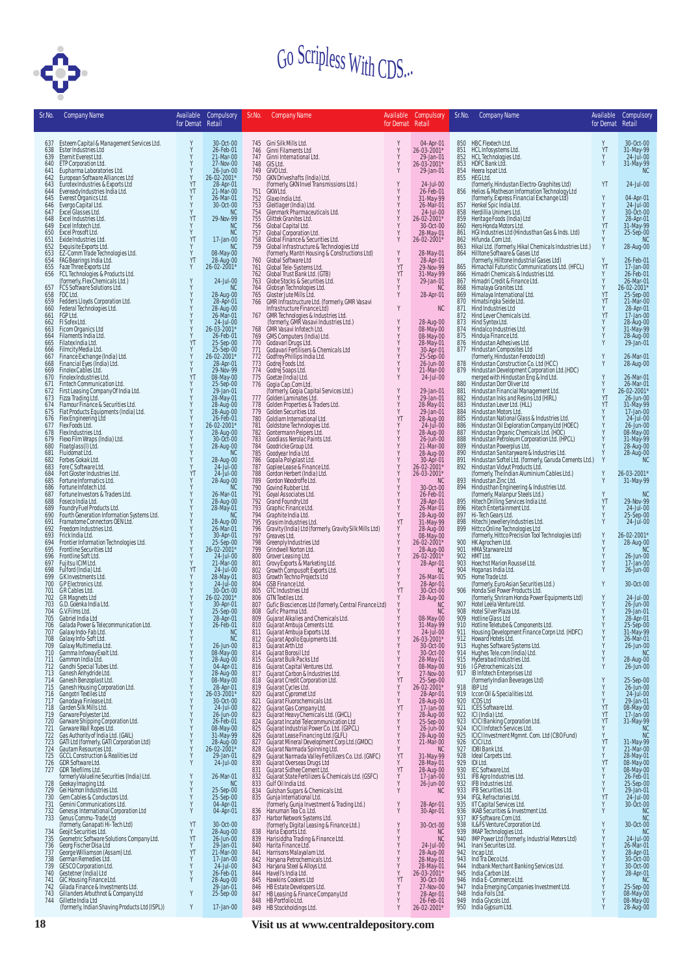

| Sr.No.     | <b>Company Name</b>                                                                                                                                                                                                                | for Demat Retail | Available Compulsory           | Sr.No.     | Company Name                                                                                                                                                                                                                                           | for Demat Retail                             | Available Compulsory                                                                                                  | Sr.No.     | <b>Company Name</b>                                                                                                                                                                                                                                    | Available<br>for Demat Retail | Compulsory                                       |
|------------|------------------------------------------------------------------------------------------------------------------------------------------------------------------------------------------------------------------------------------|------------------|--------------------------------|------------|--------------------------------------------------------------------------------------------------------------------------------------------------------------------------------------------------------------------------------------------------------|----------------------------------------------|-----------------------------------------------------------------------------------------------------------------------|------------|--------------------------------------------------------------------------------------------------------------------------------------------------------------------------------------------------------------------------------------------------------|-------------------------------|--------------------------------------------------|
|            | 637 Esteem Capital & Management Services Ltd.                                                                                                                                                                                      | Υ                | 30-Oct-00                      |            | 745 Gini Silk Mills Ltd.                                                                                                                                                                                                                               |                                              | 04-Apr-01                                                                                                             |            | 850 HBC Flextech Ltd.                                                                                                                                                                                                                                  | Υ                             | 30-Oct-00                                        |
| 638<br>639 | Ester Industries Ltd<br>Eternit Everest Ltd.                                                                                                                                                                                       | γ                | 26-Feb-01<br>21-Mar-00         |            | 746 Ginni Filaments Ltd<br>747 Ginni International Ltd.                                                                                                                                                                                                | Y                                            | 26-03-2001*<br>29-Jan-01                                                                                              | 851<br>852 | HCL Infosystems Ltd.<br>HCL Technologies Ltd.                                                                                                                                                                                                          | YT<br>Y                       | 31-May-99<br>24-Jul-00                           |
| 640<br>641 | ETP Corporation Ltd.                                                                                                                                                                                                               | Y<br>Y           | 27-Nov-00<br>26-Jun-00         | 749        | 748 GIS Ltd.<br>GIVO Ltd.                                                                                                                                                                                                                              | Y<br>Y                                       | 26-03-2001*<br>29-Jan-01                                                                                              | 853<br>854 | HDFC Bank Ltd.<br>Heera Ispat Ltd.                                                                                                                                                                                                                     | Y                             | 31-May-99<br><b>NC</b>                           |
| 642<br>643 | Eur cuputation<br>Cuputation Laboratories Ltd.<br>European Software Alliances Ltd<br>European Industries Alexports Ltd<br>Eveready Industries India<br>Ltd.<br>Excel Dotation Ltd.<br>Excel Dotations Ltd.<br>Excel Dotations Ltd. | Y<br>YT          | 26-02-2001*<br>28-Apr-01       | 750        | GKN Driveshafts (India) Ltd.<br>(formerly, GKN Invel Transmissions Ltd.)                                                                                                                                                                               | Y                                            | 24-Jul-00                                                                                                             |            | 855 HEG Ltd.                                                                                                                                                                                                                                           | YT                            | 24-Jul-00                                        |
| 644<br>645 |                                                                                                                                                                                                                                    | YT<br>Y          | 21-Mar-00<br>26-Mar-01         | 751<br>752 | <b>GKWLtd.</b>                                                                                                                                                                                                                                         | Y                                            | 26-Feb-01<br>31-May-99                                                                                                | 856        | rteu tuo<br>(formerly, Hindustan Electro-Graphites Ltd)<br>Helios & Matheson Information Technology Ltd<br>(formerly, Express Financial Exchange Ltd)<br>Herdillia Unimers Ltd.<br>Heridage Foods (India) Ltd<br>Heridage Foods (India) Ltd<br>Heri    | Y                             |                                                  |
| 646<br>647 |                                                                                                                                                                                                                                    |                  | 30-Oct-00<br>NC.               | 753        |                                                                                                                                                                                                                                                        |                                              | 26-Mar-01                                                                                                             | 857<br>858 |                                                                                                                                                                                                                                                        | Y<br>Υ                        | 04-Apr-01<br>24-Jul-00<br>30-Oct-00              |
| 648        | Excel Industries Ltd.                                                                                                                                                                                                              | YT               | 29-Nov-99                      | 754<br>755 |                                                                                                                                                                                                                                                        |                                              | 24-Jul-00<br>26-02-2001*                                                                                              | 859        |                                                                                                                                                                                                                                                        | Y                             | 28-Apr-01                                        |
| 649<br>650 | Excel Infotech Ltd.<br>Excel Prosoft Ltd.                                                                                                                                                                                          |                  | <b>NC</b><br><b>NC</b>         | 756<br>757 | Giviruta<br>Glava India Ltd.<br>Glentinger (India) Ltd.<br>Glenmark Pharmaceuticals Ltd.<br>Glenmark Pharmaceuticals Ltd.<br>Global Capital Ltd.<br>Global Infrastructure & Technologies Ltd<br>(India) Transce & Sechnologies Ltd<br>(India) Software | Y                                            | 30-Oct-00<br>28-May-01<br>*26-02-2001                                                                                 | 860<br>861 |                                                                                                                                                                                                                                                        | YT<br>Y                       | 31-May-99<br>25-Sep-00                           |
| 651<br>652 | Exide Industries Ltd.                                                                                                                                                                                                              | YT               | 17-Jan-00<br><b>NC</b>         | 758<br>759 |                                                                                                                                                                                                                                                        | Y                                            |                                                                                                                       | 862<br>863 |                                                                                                                                                                                                                                                        | Y                             | <b>NC</b><br>28-Aug-00                           |
| 653<br>654 | Exquisite Exports Ltd.<br>EZ-Comm Trade Technologies Ltd.<br>FAG Bearings India Ltd.<br>Faze Three Exports Ltd                                                                                                                     | Y<br>YT          | 08-May-00<br>28-Aug-00         | 760        | Global Software Ltd                                                                                                                                                                                                                                    | Y<br>Y                                       | 28-May-01<br>28-Apr-01                                                                                                | 864        |                                                                                                                                                                                                                                                        |                               | 26-Feb-01                                        |
| 655<br>656 |                                                                                                                                                                                                                                    | Y                | 26-02-2001*                    | 761<br>762 |                                                                                                                                                                                                                                                        | YT<br>YT                                     | 29-Nov-99<br>31-May-99                                                                                                | 865<br>866 |                                                                                                                                                                                                                                                        | YT<br>Υ                       | 17-Jan-00<br>26-Feb-01                           |
| 657        | FOL Technologies & Products Ltd.<br>(formerly, Flex Chemicals Ltd.)<br>FCS Software Solutions Ltd.)                                                                                                                                | Y                | 24-Jul-00<br><b>NC</b>         | 763<br>764 | Global Software Ltd<br>Global Software Ltd<br>Global Tele-Systems Ltd<br>Global Tust Bank Ltd (GTB)<br>Global Tust Bank Ltd (GTB)<br>Global Tust Bank Ltd (GTB)<br>Global Tust Bank Ltd (GTB)<br>Global Technologies Ltd .<br>GMR Infrastructure Ltd ( | Y                                            | 29-Jan-01<br>NC.                                                                                                      | 867<br>868 | HGI Industries Ltd (Hindusthan Gas & Inds. Ltd)<br>Hifunda Com Ltd.<br>Hikial Ltd. (formerly, Hikal Chemicals Industries Ltd.)<br>Hilltone Software & Gases Ltd<br>(formerly, Hilltone Industrial Gases Ltd)<br>Himachal Futuristic Communica          | Υ<br>Y                        | 26-Mar-01<br>26-02-2001*                         |
| 658<br>659 | FDC Ltd.                                                                                                                                                                                                                           |                  | 28-Aug-00<br>28-Apr-01         | 765<br>766 |                                                                                                                                                                                                                                                        | Y                                            | 28-Apr-01                                                                                                             | 869<br>870 |                                                                                                                                                                                                                                                        | YT                            | 25-Sep-00<br>21-Mar-00                           |
| 660<br>661 | Fedders Lloyds Corporation Ltd.<br>Federal Technologies Ltd.<br>FGP Ltd.                                                                                                                                                           |                  | 28-Aug-00<br>26-Mar-01         |            |                                                                                                                                                                                                                                                        | Y                                            | <b>NC</b>                                                                                                             | 871<br>872 |                                                                                                                                                                                                                                                        | YT<br>Y<br>YT                 | 28-Apr-01<br>17-Jan-00                           |
| 662        | FI Sofex Ltd.                                                                                                                                                                                                                      |                  | 24-Jul-00                      | 767<br>768 |                                                                                                                                                                                                                                                        | Y<br>Y                                       |                                                                                                                       | 873        | Hind Lever Chemicals Ltd.<br>Hind Syntex Ltd.                                                                                                                                                                                                          |                               | 28-Aug-00                                        |
| 663<br>664 | Ficom Organics Ltd<br>Filaments India Ltd.                                                                                                                                                                                         |                  | 26-03-2001*<br>26-Feb-01       | 769        |                                                                                                                                                                                                                                                        | Y                                            | 28-Aug-00<br>08-May-00<br>08-May-00<br>28-May-01<br>30-Apr-01                                                         | 874<br>875 | Hind Syntex.Ltd.<br>Hindaloo Industries.Ltd.<br>Hinduja Finance Ltd.<br>Hinduja Finance Ltd.<br>Hindustan Adhesives.Ltd.<br>Hindustan Composites.Ltd.<br>Hindustan Construction Co. Ltd (HCC)<br>Hindustan Development Corporation Ltd.(HDC)<br>Hindus |                               | 31-May-99<br>28-Aug-00                           |
| 665<br>666 | Filatex India Ltd.<br>Filmcity Media Ltd.                                                                                                                                                                                          | YT<br>Υ          | 25-Sep-00<br>25-Sep-00         | 770<br>771 |                                                                                                                                                                                                                                                        | Y                                            |                                                                                                                       | 876<br>877 |                                                                                                                                                                                                                                                        | Y                             | 29-Jan-01                                        |
| 667<br>668 | Finance Exchange (India) Ltd.<br>Financial Eyes (India) Ltd.                                                                                                                                                                       | Υ                | 26-02-2001*<br>28-Apr-01       | 772<br>773 |                                                                                                                                                                                                                                                        |                                              | 25-Sep-00<br>26-Jun-00                                                                                                | 878        |                                                                                                                                                                                                                                                        | Υ<br>Υ                        | 26-Mar-01<br>28-Aug-00                           |
| 669<br>670 | Finolex Cables Ltd.<br>Finolex Industries Ltd.                                                                                                                                                                                     | YT               | 29-Nov-99<br>08-May-00         | 774<br>775 |                                                                                                                                                                                                                                                        | Y                                            | 21-Mar-00<br>24-Jul-00                                                                                                | 879        |                                                                                                                                                                                                                                                        | Υ                             | 26-Mar-01                                        |
| 671<br>672 | Fintech Communication Ltd.                                                                                                                                                                                                         | Y                | 25-Sep-00<br>29-Jan-01         | 776        | Gogia Cap.Com Ltd.<br>(formerly, Gogia Capital Services Ltd.)<br>Golden Laminates Ltd.                                                                                                                                                                 | Y                                            | 29-Jan-01                                                                                                             | 880<br>881 |                                                                                                                                                                                                                                                        | Υ<br>Υ                        | 26-Mar-01<br>26-02-2001*                         |
| 673<br>674 | First Leasing Company Of India Ltd.<br>Fizza Trading Ltd.<br>Flamour Finance & Securities Ltd.                                                                                                                                     |                  | 28-May-01<br>28-Aug-00         | 777<br>778 |                                                                                                                                                                                                                                                        | Y<br>Y                                       | 29-Jan-01<br>28-May-01                                                                                                | 882<br>883 |                                                                                                                                                                                                                                                        |                               | 26-Jun-00<br>26-Jun-00<br>31-May-99<br>17-Jan-00 |
| 675        | Flat Products Equipments (India) Ltd.                                                                                                                                                                                              |                  | 28-Aug-00<br>26-Feb-01         | 779<br>780 | Golden Properties & Traders Ltd.<br>Golden Securities Ltd.                                                                                                                                                                                             | $_{\rm{YT}}^{\rm{Y}}$                        | 29-Jan-01                                                                                                             | 884<br>885 |                                                                                                                                                                                                                                                        | トメメン                          | 24-Jul-00                                        |
| 676<br>677 | Flex Engineering Ltd<br>Flex Foods Ltd.                                                                                                                                                                                            |                  | 26-02-2001*                    | 781        | Goldiam International Ltd.<br>Goldstone Technologies Ltd.<br>Gontermann Peipers Ltd.                                                                                                                                                                   |                                              | 28-Aug-00<br>24-Jul-00                                                                                                | 886        | Hindustan Motors Ltd.<br>Hindustan Mational Glass & Industries Ltd.<br>Hindustan Oil Exploration Company Ltd (HDEC)<br>Hindustan Oil Exploration Company Ltd (HDC)<br>Hindustan Petroleum Corporation Ltd. (HPCL)<br>Hindustan Petroleum Corp          |                               |                                                  |
| 678<br>679 | Flex Industries Ltd.<br>Flexo Film Wraps (India) Ltd.                                                                                                                                                                              |                  | 28-Aug-00<br>30-Oct-00         | 782<br>783 | Goodlass Nerolac Paints Ltd.                                                                                                                                                                                                                           | >>>>>                                        | 28-Aug-00<br>26-Jun-00                                                                                                | 887<br>888 |                                                                                                                                                                                                                                                        | Ÿ<br>Y                        | 26-Jun-00<br>08-May-00<br>31-May-99              |
| 680<br>681 | Floatglass(I) Ltd.<br>Fluidomat Ltd.                                                                                                                                                                                               |                  | 28-Aug-00<br>N <sub>C</sub>    | 784<br>785 | Goodricke Group Ltd.<br>Goodyear India Ltd.                                                                                                                                                                                                            | Ÿ                                            | 21-Mar-00<br>28-Aug-00                                                                                                | 889<br>890 |                                                                                                                                                                                                                                                        | Y                             | 28-Aug-00<br>28-Aug-00<br>28-Aug-00              |
| 682<br>683 | Forbes Gokak Ltd.<br>Fore C Software Ltd.                                                                                                                                                                                          | Y                | 28-Aug-00<br>24-Jul-00         | 786<br>787 | Gopala Polyplast Ltd.<br>Goplee Lease & Finance Ltd.<br>Gordon Herbert (India) Ltd.                                                                                                                                                                    | $\begin{array}{c}\nY \\ Y \\ Y\n\end{array}$ | $30-A\tilde{p}r-01$<br>$26-02-2001*$                                                                                  | 891<br>892 |                                                                                                                                                                                                                                                        | Y                             |                                                  |
| 684<br>685 | Fort Gloster Industries Ltd.<br>Fortune Informatics Ltd.                                                                                                                                                                           | YT<br>Υ          | 24-Jul-00<br>28-Aug-00         | 788<br>789 | Gordon Woodroffe Ltd.                                                                                                                                                                                                                                  | Y                                            | 26-03-2001*<br><b>NC</b>                                                                                              | 893        |                                                                                                                                                                                                                                                        | Y<br>Y                        | 26-03-2001*<br>31-May-99                         |
| 686<br>687 | Fortune Infotech Ltd.<br>Fortune Investors & Traders Ltd.                                                                                                                                                                          |                  | NC<br>26-Mar-01                | 790<br>791 | Govind Rubber Ltd.                                                                                                                                                                                                                                     | Y<br>Y                                       | 30-Oct-00<br>26-Feb-01                                                                                                | 894        | Hindusthan Engineering & Industries Ltd.<br>(formerly, Malanpur Steels Ltd.)<br>Hitech Drilling Services India Ltd.                                                                                                                                    |                               |                                                  |
| 688<br>689 | Foseco India Ltd.<br>Foundry Fuel Products Ltd.                                                                                                                                                                                    |                  | 28-Aug-00<br>28-May-01         | 792<br>793 |                                                                                                                                                                                                                                                        | Y<br>Y                                       | 28-Apr-01<br>26-Mar-01                                                                                                | 895<br>896 | Hitech Entertainment Ltd.                                                                                                                                                                                                                              | YT<br>Y                       | 29-Nov-99<br>24-Jul-00                           |
| 690        | Fourth Generation Information Systems Ltd.<br>Framatome Connectors OEN Ltd.                                                                                                                                                        | Y                | <b>NC</b>                      | 794<br>795 | Govina Rabbel Eta.<br>Goyal Associates Ltd.<br>Graphic Finance Ltd.<br>Graphite India Ltd.<br>Grasim Industries Ltd.                                                                                                                                   | Y<br>YT                                      | 28-Aug-00<br>31-May-99                                                                                                | 897        | Hi-Tech Gears Ltd.                                                                                                                                                                                                                                     | Υ<br>Υ                        | 25-Sep-00<br>$24 -$ Jul-00                       |
| 691<br>692 | Freedom Industries Ltd.                                                                                                                                                                                                            | Υ                | 28-Aug-00<br>26-Mar-01         | 796        | Gravity (India) Ltd (formerly, Gravity Silk Mills Ltd)                                                                                                                                                                                                 | Υ                                            | 28-Aug-00                                                                                                             | 898<br>899 | Hitechi Jewellery Industries Ltd.<br>Hittco Online Technologies Ltd                                                                                                                                                                                    |                               |                                                  |
| 693<br>694 | Frick India Ltd.<br>Frontier Information Technologies Ltd.                                                                                                                                                                         | Υ                | 30-Apr-01<br>25-Sep-00         | 797<br>798 | Greaves Ltd.<br>Greenply Industries Ltd<br>Grindwell Norton Ltd.                                                                                                                                                                                       | Y<br>Y                                       | 08-May-00<br>26-02-2001*                                                                                              | 900        | (formerly, Hittco Precision Tool Technologies Ltd)<br>HK Agrochem Ltd.                                                                                                                                                                                 | Y<br>Y                        | 26-02-2001*<br>28-Aug-00                         |
| 695<br>696 | Frontline Securities Ltd<br>Frontline Soft Ltd.                                                                                                                                                                                    |                  | $26 - 02 - 2001*$<br>24-Jul-00 | 799<br>800 |                                                                                                                                                                                                                                                        | Y<br>Y                                       | 28-Aug-00<br>26-02-2001*                                                                                              | 901<br>902 | HMA Starware Ltd<br>HMT Ltd.                                                                                                                                                                                                                           |                               | <b>NC</b><br>26-Jun-00                           |
| 697<br>698 | Fujitsu ICIM Ltd.<br>Fulford (India) Ltd.                                                                                                                                                                                          | YT               | 21-Mar-00<br>24-Jul-00         | 801<br>802 | Grover Leasing Ltd.<br>Grovy Exports & Marketing Ltd.<br>Growth Compusoft Exports Ltd.<br>Growth Techno Projects Ltd                                                                                                                                   |                                              | 28-Apr-01<br>N <sub>C</sub>                                                                                           | 903<br>904 | Hoechst Marion Roussel Ltd.<br>Hoganas India Ltd.                                                                                                                                                                                                      |                               | 17-Jan-00<br>26-Jun-00                           |
|            | 699 GK Investments Ltd.<br>700 GP Electronics Ltd.                                                                                                                                                                                 | Y<br>Y           | 28-May-01<br>24-Jul-00         | 803<br>804 | GSB Finance Ltd.                                                                                                                                                                                                                                       | Y<br>Y                                       | 26-Mar-01<br>28-Apr-01                                                                                                | 905        | Home Trade Ltd.<br>(formerly, Euro Asian Securities Ltd.)                                                                                                                                                                                              | Υ                             | 30-Oct-00                                        |
| 701<br>702 | GR Cables Ltd.<br>GR Magnets Ltd                                                                                                                                                                                                   |                  | 30-Oct-00<br>26-02-2001*       | 806        | 805 GTC Industries Ltd<br>GTN Textiles Ltd.                                                                                                                                                                                                            | YT                                           | 30-Oct-00<br>28-Aug-00                                                                                                | 906        | Honda Siel Power Products Ltd.                                                                                                                                                                                                                         | Υ                             | 24-Jul-00                                        |
| 703<br>704 | G.D. Goenka India Ltd.<br>G.V.Films Ltd.                                                                                                                                                                                           |                  | 30-Apr-01<br>25-Sep-00         | 807<br>808 | Gufic Biosciences Ltd (formerly, Central Finance Ltd)<br>Gufic Pharma Ltd.                                                                                                                                                                             |                                              | <b>NC</b><br>$\rm {NC}$                                                                                               | 907<br>908 | (formerly, Shriram Honda Power Equipments Ltd)<br>Hotel Leela Venture Ltd.<br>Hotel Silver Plaza Ltd.                                                                                                                                                  | Y<br>Y                        | 26-Jun-00<br>29-Jan-01                           |
| 705<br>706 | Gabriel India Ltd<br>Galada Power & Telecommunication Ltd.                                                                                                                                                                         |                  | 28-Apr-01<br>26-Feb-01         | 809        | Gujarat Alkalies and Chemicals Ltd.<br>810 Gujarat Ambuja Cements Ltd.                                                                                                                                                                                 |                                              | 08-May-00<br>31-May-99                                                                                                | 909        | Hotline Glass Ltd<br>910 Hotline Teletube & Components Ltd.                                                                                                                                                                                            | Y<br>Y                        | 28-Apr-01<br>25-Sep-00                           |
|            | 707 Galaxy Indo-Fab Ltd.<br>708 Galaxy Info-Soft Ltd.                                                                                                                                                                              |                  | <b>INC</b><br><b>NC</b>        |            | 811 Gujarat Ambuja Exports Ltd.                                                                                                                                                                                                                        |                                              | 24-Jul-00<br>26-03-2001*                                                                                              |            | 911 Housing Development Finance Corpn Ltd. (HDFC)                                                                                                                                                                                                      | V                             | 31-May-99<br>26-Mar-01                           |
|            | 709 Galaxy Multimedia Ltd.<br>710 Gamma Infoway Exalt Ltd.                                                                                                                                                                         |                  | 26-Jun-00<br>08-May-00         |            |                                                                                                                                                                                                                                                        |                                              | 30-Oct-00                                                                                                             |            | 912 Howard Hotels Ltd.                                                                                                                                                                                                                                 |                               | $26$ -Jun-00                                     |
| 711        | Gammon India Ltd.                                                                                                                                                                                                                  |                  | 28-Aug-00                      |            |                                                                                                                                                                                                                                                        | $\frac{Y}{Y}$                                | 30-0ct-00<br>30-0ct-00<br>28-May-01<br>08-May-00<br>27-Nov-00                                                         |            | 913 Hughes Software Systems Ltd.<br>914 Hughes Tele.com (India) Ltd.<br>915 Hyderabad Industries Ltd.                                                                                                                                                  |                               | 28-Aug-00<br>26-Jun-00                           |
|            | 712 Gandhi Special Tubes Ltd.<br>713 Ganesh Anhydride Ltd.                                                                                                                                                                         |                  | 04-Apr-01<br>28-Aug-00         |            |                                                                                                                                                                                                                                                        | $\mathsf Y$                                  |                                                                                                                       | 917        | 916 I G Petrochemicals Ltd.<br>IB Infotech Enterprises Ltd                                                                                                                                                                                             | Y                             |                                                  |
|            | 713 Ganesh Benzoplast Ltd.<br>714 Ganesh Benzoplast Ltd.<br>715 Ganesh Housing Corporation Ltd.<br>716 Gangotri Textiles Ltd                                                                                                       | Y<br>Y           | 08-May-00<br>28-Apr-01         |            |                                                                                                                                                                                                                                                        | YT<br>Y                                      |                                                                                                                       | 918        | (formerly Indian Beverages Ltd)<br><b>IBP Ltd</b>                                                                                                                                                                                                      | Υ<br>Υ                        | 25-Sep-00<br>26-Jun-00                           |
| 717        | Ganodaya Finlease Ltd.                                                                                                                                                                                                             |                  | 26-03-2001*<br>30-0ct-00       |            | 811 Gujarat Ambuja Exports Ltd.<br>812 Gujarat Applio Equipments Ltd.<br>813 Gujarat Arth Ltd<br>813 Gujarat Arth Ltd<br>815 Gujarat Bulk Packs Ltd<br>815 Gujarat Bulk Packs Ltd<br>815 Gujarat Capital Ventures Ltd.<br>816 Gujarat Credit Corpor    | Y<br>Y                                       | 27-Nov-00<br>25-Sep-00<br>26-02-2001*<br>28-Aug-00<br>17-Jan-00<br>19-Aug-00                                          | 919<br>920 | Iccon Oil & Specialities Ltd.<br><b>ICDSLtd</b>                                                                                                                                                                                                        | Υ                             | 24-Jul-00<br>29-Jan-01                           |
| 718<br>719 | Garden Silk Mills Ltd.<br>Garware Polyester Ltd.                                                                                                                                                                                   |                  | 24-Jul-00<br>26-Jun-00         |            |                                                                                                                                                                                                                                                        | YT<br>Y                                      | 28-Aug-00                                                                                                             | 921<br>922 | ICES Software Ltd.                                                                                                                                                                                                                                     | YT<br>YT                      | 08-May-00<br>17-Jan-00                           |
| 720<br>721 | Garware Shipping Corporation Ltd.<br>Garware Wall Ropes Ltd.                                                                                                                                                                       |                  | 26-Feb-01<br>08-May-00         |            |                                                                                                                                                                                                                                                        | Υ<br>Υ                                       | 25-Sep-00<br>26-Jun-00                                                                                                | 923<br>924 | ICI (India) Ltd.<br>ICICI Banking Corporation Ltd.<br>ICICI Infotech Services Ltd.                                                                                                                                                                     | YT<br>Υ                       | 31-May-99                                        |
| 722<br>723 | Gas Authority of India Ltd. (GAIL)<br>GATI Ltd (formerly, GATI Corporation Ltd)                                                                                                                                                    | Υ                | 31-May-99<br>28-Aug-00         |            | ozzal Gujarat Lease Financing Ltd. (GLFL)<br>826 Gujarat Mineral Development Corp Ltd. (GMDC)<br>828 Gujarat Narmada Spinning Ltd. (GMDC)<br>829 Gujarat Narmada Valley Fertilizers Co. Ltd. (GNFC)                                                    | Υ<br>Υ                                       | 28-Aug-00<br>21-Mar-00                                                                                                | 925<br>926 | ICICI Investment Mgmnt. Com. Ltd (CBO Fund)<br>ICICI Ltd.                                                                                                                                                                                              | Υ<br>YT                       | NC                                               |
| 724<br>725 | Gautam Resources Ltd.<br><b>GCCL Construction &amp; Realities Ltd</b>                                                                                                                                                              |                  | 26-02-2001*<br>29-Jan-01       |            |                                                                                                                                                                                                                                                        | YT                                           | <b>NC</b>                                                                                                             | 927<br>928 | IDBI Bank Ltd.<br>Ideal Carpets Ltd.                                                                                                                                                                                                                   | Υ                             | 31-May-99<br>21-Mar-00<br>28-May-01              |
| 727        | 726 GDR Software Ltd.                                                                                                                                                                                                              |                  | 24-Jul-00                      | 830<br>831 | Sujarat Overseas Drugs Ltd.<br>Gujarat Sidhee Cement Ltd.<br>Gujarat Sidhee Cement Ltd.<br>Gujarat State Fertilizers & Chemicals Ltd. (GSFC)                                                                                                           | Υ<br>YT                                      | 31-May-99<br>28-May-01<br>28-Aug-00                                                                                   | 929<br>930 | IDI Ltd.<br>IEC Software Ltd.                                                                                                                                                                                                                          | YT<br>Υ                       | 08-May-00<br>08-May-00                           |
|            | GDR Telefilms Ltd.<br>formerly Valueline Securities (India) Ltd.                                                                                                                                                                   | Y                | 26-Mar-01                      | 832        |                                                                                                                                                                                                                                                        | Y                                            | 17-Jan-00                                                                                                             | 931        | IFB Agro Industries Ltd.                                                                                                                                                                                                                               | Υ                             | 26-Feb-01                                        |
| 728<br>729 | Geekay Imaging Ltd.<br>Gei Hamon Industries Ltd.                                                                                                                                                                                   |                  | NC<br>25-Sep-00                | 833<br>834 | Gulf Oil India Ltd.<br>Gulshan Sugars & Chemicals Ltd.                                                                                                                                                                                                 | Y                                            | 26-Jun-00<br>NC                                                                                                       | 932<br>933 | IFB Industries Ltd.<br>IFB Securities Ltd.                                                                                                                                                                                                             | Υ<br>Y<br>YT                  | 25-Sep-00<br>29-Jan-01                           |
| 730        | Gem Cables & Conductors Ltd.<br>731 Gemini Communications Ltd.                                                                                                                                                                     |                  | 25-Sep-00<br>04-Apr-01         | 835        | Gunja International Ltd.<br>(formerly, Gunja Investment & Trading Ltd.)                                                                                                                                                                                | Y                                            | 28-Apr-01                                                                                                             | 934<br>935 | IFGL Refractories Ltd.<br>IIT Capital Services Ltd.                                                                                                                                                                                                    | Υ                             | 24-Jul-00<br>30-Oct-00                           |
|            | 732 Genesys International Corporation Ltd<br>733 Genus Commu-Trade Ltd                                                                                                                                                             | Y                | 04-Apr-01                      | 836<br>837 | Hanuman Tea Co. Ltd.<br>Harbor Network Systems Ltd.                                                                                                                                                                                                    | Y                                            | 30-Apr-01                                                                                                             | 936<br>937 | IKAB Securities & Investment Ltd.<br>IKF Software.Com Ltd.                                                                                                                                                                                             | Ŷ                             | NC<br>N <sub>C</sub>                             |
|            | (formerly, Ganapati Hi-Tech Ltd)                                                                                                                                                                                                   | YT<br>Y          | 30-Oct-00<br>28-Aug-00         | 838        | (formerly, Digital Leasing & Finance Ltd.)                                                                                                                                                                                                             | Y                                            | 30-Oct-00<br><b>NC</b>                                                                                                | 938<br>939 | IL&FS Venture Corporation Ltd.                                                                                                                                                                                                                         | Υ                             | 30-Oct-00<br><b>NC</b>                           |
|            | 734 Geojit Securities Ltd.<br>735 Geometric Software Solutions Company Ltd.<br>736 Georg Fischer Disa Ltd                                                                                                                          | YT               | 26-Jun-00<br>29-Jan-01         | 839        | Haria Exports Ltd.<br>Harisiddha Trading & Finance Ltd.<br>840 Harita Finance Ltd.                                                                                                                                                                     | Y                                            | <b>NC</b><br>24-Jul-00                                                                                                | 940<br>941 | IMAP Technologies Ltd.<br>IMP Power Ltd (formerly, Industrial Meters Ltd)<br>Inani Securites Ltd.                                                                                                                                                      | Y<br>Y                        | 24-Jul-00                                        |
| 737<br>738 | George Williamson (Assam) Ltd.                                                                                                                                                                                                     | YT               | 21-Mar-00<br>17-Jan-00         | 841<br>842 | Harrisons Malayalam Ltd.<br>Haryana Petrochemicals Ltd.<br>Haryana Steel & Alloys Ltd.                                                                                                                                                                 | Y                                            |                                                                                                                       | 942<br>943 | Incap Ltd.                                                                                                                                                                                                                                             | Y<br>Y                        | 26-Mar-01<br>28-Apr-01<br>30-Oct-00              |
| 739<br>740 | German Remedies Ltd.<br>GESCO Corporation Ltd.<br>Gestetner (India) Ltd                                                                                                                                                            | Υ                | 24-Jul-00<br>26-Feb-01         | 843<br>844 | Havell's India Ltd.                                                                                                                                                                                                                                    | Ÿ<br>Y<br>Y                                  |                                                                                                                       | 944<br>945 | Ind Tra Deco Ltd.<br>Indbank Merchant Banking Services Ltd.<br>India Carbon Ltd.                                                                                                                                                                       | Ý<br>Y                        | 30-Oct-00<br>28-Apr-01                           |
| 741<br>742 | GIC Housing Finance Ltd.                                                                                                                                                                                                           | Y                | 28-Aug-00<br>29-Jan-01         | 845<br>846 | Hawkins Cookers Ltd                                                                                                                                                                                                                                    | YT<br>Y                                      |                                                                                                                       | 946<br>947 | India E-Commerce Ltd.<br>India Emerging Companies Investment Ltd.                                                                                                                                                                                      | Υ                             | <b>NC</b>                                        |
| 743<br>744 | Gilada Finance & Investments Ltd.<br>Gillanders Arbuthnot & Company Ltd                                                                                                                                                            | Y                | 25-Sep-00                      | 847        | HB Estate Developers Ltd.<br>HB Leasing & Finance Company Ltd                                                                                                                                                                                          | Y                                            | 24-Jul-00<br>28-May-01<br>28-May-01<br>26-03-2001*<br>30-Oct-00<br>27-Nov-00<br>26-Reb-01<br>26-Peb-01<br>26-20-2011* | 948<br>949 | India Foils Ltd.<br>India Glycols Ltd.                                                                                                                                                                                                                 |                               | 25-Sep-00<br>08-May-00<br>08-May-00              |
|            | Gillette India Ltd<br>(formerly, Indian Shaving Products Ltd (ISPL))                                                                                                                                                               | Y                | 17-Jan-00                      |            | 848 HB Portfolio Ltd.<br>849 HB Stockholdings Ltd.                                                                                                                                                                                                     |                                              | 26-02-2001*                                                                                                           |            | 950 India Gypsum Ltd.                                                                                                                                                                                                                                  | Y                             | 28-Aug-00                                        |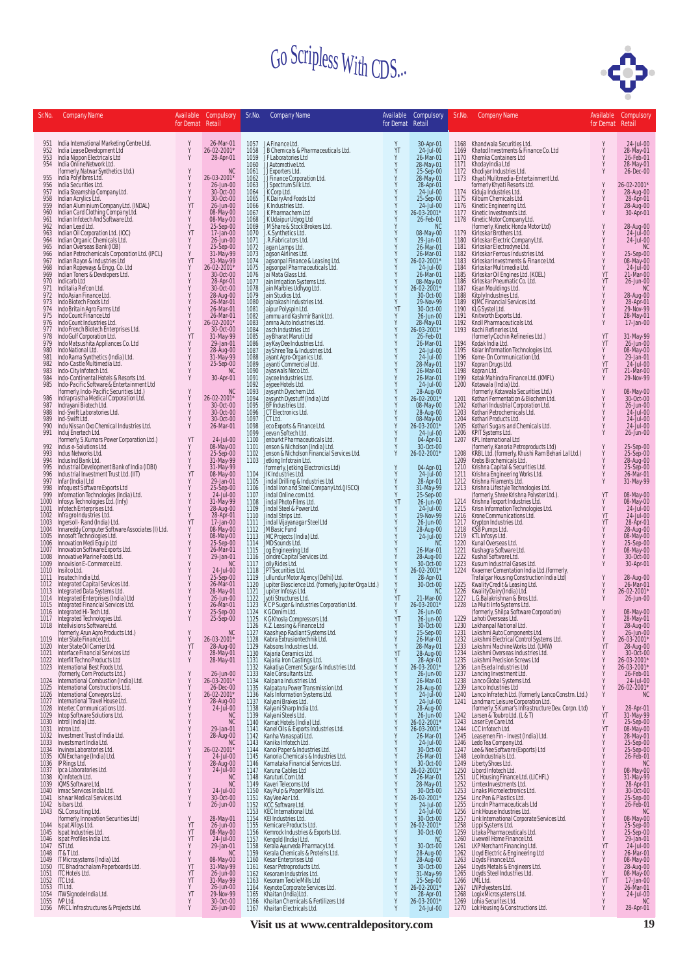

| Sr.No.       | <b>Company Name</b>                                                                                                                                                                                                                          | Available<br>for Demat Retail | Compulsory                             | Sr.No.       | <b>Company Name</b>                                                                                                                                                                                                                                 | Available<br>for Demat Retail | Compulsory                                                                             | Sr.No.       | <b>Company Name</b>                                                                                                                                                                                                                                    | Available<br>for Demat Retail                | Compulsory                                                                              |
|--------------|----------------------------------------------------------------------------------------------------------------------------------------------------------------------------------------------------------------------------------------------|-------------------------------|----------------------------------------|--------------|-----------------------------------------------------------------------------------------------------------------------------------------------------------------------------------------------------------------------------------------------------|-------------------------------|----------------------------------------------------------------------------------------|--------------|--------------------------------------------------------------------------------------------------------------------------------------------------------------------------------------------------------------------------------------------------------|----------------------------------------------|-----------------------------------------------------------------------------------------|
|              | 951 India International Marketing Centre Ltd.                                                                                                                                                                                                | Y                             | 26-Mar-01                              |              | 1057 JAFinance Ltd.                                                                                                                                                                                                                                 | Y                             | 30-Apr-01<br>24-Jul-00                                                                 |              | 1168 Khandwala Securities Ltd.                                                                                                                                                                                                                         |                                              | 24-Jul-00                                                                               |
| 952<br>953   |                                                                                                                                                                                                                                              | Y<br>Y                        | 26-02-2001*<br>28-Apr-01               | 1059         | 1058 JB Chemicals & Pharmaceuticals Ltd.<br>JF Laboratories Ltd                                                                                                                                                                                     | YT<br>Y                       | 26-Mar-01                                                                              | 1169<br>1170 | Khatod Investments & Finance Co. Ltd<br>Khemka Containers Ltd                                                                                                                                                                                          |                                              | 28-May-01<br>26-Feb-01                                                                  |
| 954          | india Lease Development Ltd<br>India Nippon Electricals Ltd<br>India Online Network Ltd.<br>(formerly, Natwar Synthetics Ltd.)<br>India Polyfibres Ltd.                                                                                      | Y                             | <b>NC</b>                              | 1060<br>1061 | JJ Automotive Ltd.<br>JJ Exporters Ltd.                                                                                                                                                                                                             | Y<br>Y                        | 28-May-01<br>25-Sep-00                                                                 | 1171<br>1172 | Khemka Containers Ltd<br>Khemka Containers Ltd<br>Khodiyar Industries Ltd.<br>Khodiyar Industries Ltd.<br>Tormerly Khyati Resorts Ltd.<br>Tormerly Khyati Resorts Ltd.<br>Kiretic Engineering Ltd.<br>Kiretic Engineering Ltd.<br>Kiretic Environments |                                              | 28-May-01<br>26-Dec-00                                                                  |
| 955<br>956   | India Securities Ltd.                                                                                                                                                                                                                        |                               | 26-03-2001*<br>26-Jun-00               | 1062<br>1063 | JJFinance Corporation Ltd.<br>JJSpectrum Silk Ltd.<br>JK Corp Ltd.                                                                                                                                                                                  | Y                             | 28-May-01<br>28-Apr-01                                                                 | 1173         |                                                                                                                                                                                                                                                        |                                              | 26-02-2001*                                                                             |
| 957<br>958   | India Steamship Company Ltd.<br>Indian Acrylics Ltd.                                                                                                                                                                                         | Y<br>Y                        | 30-Oct-00<br>30-Oct-00                 | 1064<br>1065 | JK Dairy And Foods Ltd<br>JK Industries Ltd.                                                                                                                                                                                                        |                               | $24$ -Jul-00<br>25-Sep-00                                                              | 1174<br>1175 |                                                                                                                                                                                                                                                        |                                              | 28-Aug-00<br>28-Apr-01                                                                  |
| 959<br>960   | Indian Aluminium Company Ltd. (INDAL)<br>Indian Card Clothing Company Ltd.<br>Indian Infotech And Software Ltd.                                                                                                                              | YT<br>Y                       | 26-Jun-00<br>08-May-00                 | 1066<br>1067 | JK Pharmachem Ltd                                                                                                                                                                                                                                   | Y                             | 24-Jul-00<br>26-03-2001*                                                               | 1176<br>1177 |                                                                                                                                                                                                                                                        |                                              | 28-Aug-00<br>30-Apr-01                                                                  |
| 961<br>962   | Indian Lead Ltd.                                                                                                                                                                                                                             | Y<br>Y                        | 08-May-00<br>25-Sep-00                 | 1068<br>1069 | JK Udaipur Udyog Ltd<br>JM Share & Stock Brokers Ltd.<br>J.K. Synthetics Ltd.                                                                                                                                                                       | Y                             | 26-Feb-01<br><b>NC</b>                                                                 | 1178         |                                                                                                                                                                                                                                                        |                                              | 28-Aug-00<br>24-Jul-00                                                                  |
| 963<br>964   | Indian Oil Corporation Ltd. (IOC)<br>Indian Organic Chemicals Ltd.                                                                                                                                                                           | YT<br>Y                       | 17-Jan-00<br>26-Jun-00                 | 1070<br>1071 | J.R.Fabricators Ltd.                                                                                                                                                                                                                                | Y                             | 08-May-00<br>29-Jan-01                                                                 | 1179<br>1180 | Kirloskar Electric Company Ltd.<br>Kirloskar Electrodyne Ltd.                                                                                                                                                                                          |                                              | 24-Jul-00                                                                               |
| 965<br>966   | Indian Overseas Bank (IOB)<br>Indian Petrochemicals Corporation Ltd. (IPCL)<br>Indian Rayon & Industries Ltd                                                                                                                                 | Y<br>Y                        | 25-Sep-00<br>31-May-99<br>31-May-99    | 1072<br>1073 | Jagan Lamps Ltd.                                                                                                                                                                                                                                    | Y<br>Y                        | 26-Mar-01<br>26-Mar-01                                                                 | 1181<br>1182 | Kirloskar Ferrous Industries Ltd.                                                                                                                                                                                                                      |                                              | <b>NC</b>                                                                               |
| 967<br>968   | Indian Ropeways & Engg. Co. Ltd<br>Indian Toners & Developers Ltd.                                                                                                                                                                           | YT<br>Υ                       | 26-02-2001*                            | 1074<br>1075 | Jagson Airlines Ltd.<br>Jagsonpal Finance & Leasing Ltd.<br>Jagsonpal Pharmaceuticals Ltd.                                                                                                                                                          | Y<br>Y                        | 26-02-2001*<br>24-Jul-00                                                               | 1183<br>1184 | Kirloskar Investments & Finance Ltd.<br>Kirloskar Multimedia Ltd.                                                                                                                                                                                      |                                              | 25-Sep-00<br>08-May-00<br>24-Jul-00                                                     |
| 969<br>970   | Indicarb Ltd                                                                                                                                                                                                                                 | Y<br>Y                        | 30-Oct-00<br>28-Apr-01                 | 1076<br>1077 | Jai Mata Glass Ltd.<br>Jain Irrigation Systems Ltd.<br>Jain Marbles Udhyog Ltd.                                                                                                                                                                     | $\frac{Y}{Y}$                 | 26-Mar-01<br>08-May-00                                                                 | 1185<br>1186 | Kirloskar Oil Engines Ltd. (KOEL)<br>Kirloskar Pneumatic Co. Ltd.                                                                                                                                                                                      | YT<br>YT                                     | 21-Mar-00<br>26-Jun-00                                                                  |
| 971<br>972   | Inditalia Refcon Ltd.<br>Indo Asian Finance Ltd.                                                                                                                                                                                             | Y<br>Y                        | 30-Oct-00<br>28-Aug-00                 | 1078<br>1079 | Jain Studios Ltd.                                                                                                                                                                                                                                   | Y<br>Y                        | 26-02-2001*<br>30-Oct-00                                                               | 1187<br>1188 | Kisan Mouldings Ltd.                                                                                                                                                                                                                                   |                                              | <b>NC</b>                                                                               |
| 973<br>974   | Indo Biotech Foods Ltd<br>Indo Britain Agro Farms Ltd                                                                                                                                                                                        | Y                             | 26-Mar-01<br>26-Mar-01                 | 1080<br>1081 | Jaiprakash Industries Ltd.<br>Jaipur Polyspin Ltd.                                                                                                                                                                                                  | Y<br>YT                       | 29-Nov-99<br>30-Oct-00                                                                 | 1189<br>1190 | Kitply Industries Ltd.<br>KJMC Financial Services Ltd.<br>KLG Systel Ltd.                                                                                                                                                                              |                                              | 28-Aug-00<br>28-Apr-01<br>29-Nov-99                                                     |
| 975<br>976   | Indo Count Finance Ltd<br>Indo Count Industries Ltd.                                                                                                                                                                                         | Y<br>Y                        | 26-Mar-01<br>26-02-2001*               | 1082<br>1083 | Jammu and Kashmir Bank Ltd.<br>Jamna Auto Industries Ltd.                                                                                                                                                                                           | Y                             | 26-Jun-00                                                                              | 1191<br>1192 | Knitworth Exports Ltd.<br>Knoll Pharmaceuticals Ltd.                                                                                                                                                                                                   |                                              | 28-May-01<br>17-Jan-00                                                                  |
| 977<br>978   | Indo French Biotech Enterprises Ltd.<br>Indo Gulf Corporation Ltd.                                                                                                                                                                           | Y<br>YT                       | 30-Oct-00<br>31-May-99                 | 1084<br>1085 | Jasch Industries Ltd<br>Jay Bharat Maruti Ltd                                                                                                                                                                                                       | $\frac{Y}{Y}$<br>Y            | 28-May-01<br>*26-03-2001<br>26-Feb-01                                                  | 1193         | Kochi Refineries Ltd.<br>(formerly Cochin Refineries Ltd.)                                                                                                                                                                                             | YT                                           |                                                                                         |
| 979<br>980   | Indo Matsushita Appliances Co. Ltd<br>Indo National Ltd.                                                                                                                                                                                     | Y<br>Y                        | 29-Jan-01<br>28-Aug-00                 | 1086<br>1087 | Jay Kay Dee Industries Ltd.<br>Jay Shree Tea & Industries Ltd.                                                                                                                                                                                      | Y<br>Y<br>Y                   | 26-Mar-01<br>24-Jul-00                                                                 | 1194<br>1195 | Kodak India Ltd.<br>Kolar Information Technologies Ltd.                                                                                                                                                                                                | YT<br>Y                                      | 31-May-99<br>26-Jun-00                                                                  |
| 981<br>982   | Indo Rama Synthetics (India) Ltd.<br>Indo-Castle Multimedia Ltd.                                                                                                                                                                             | Y<br>Y                        | 31-May-99<br>25-Sep-00                 | 1088<br>1089 | Jayant Agro-Organics Ltd.<br>Jayanti Commercial Ltd.                                                                                                                                                                                                |                               | 24-Jul-00<br>28-May-01                                                                 | 1196<br>1197 | Kome-On Communication Ltd.<br>Kopran Drugs Ltd.                                                                                                                                                                                                        | Y<br>YT                                      | 08-May-00<br>29-Jan-01                                                                  |
| 983<br>984   | Indo-City Infotech Ltd.<br>Indo-Continental Hotels & Resorts Ltd.                                                                                                                                                                            | Y<br>Y                        | <b>NC</b>                              | 1090<br>1091 | Jayaswals Neco Ltd.                                                                                                                                                                                                                                 | $\frac{v}{Y}$                 | 26-Mar-01                                                                              | 1198<br>1199 | Ropran Ltd.<br>Kotak Mahindra Finance Ltd. (KMFL)<br>Kotawala (India) Ltd.<br>(formerly, Kotawala Securities Ltd.)<br>Kothari Fermentation & Blochem Ltd.                                                                                              | YT<br>Y                                      | 24-Jul-00<br>21-Mar-00<br>29-Nov-99                                                     |
| 985          | Indo-Pacific Software & Entertainment Ltd                                                                                                                                                                                                    | Y                             | 30-Apr-01                              | 1092         | Jaycee Industries Ltd.<br>Jaypee Hotels Ltd.                                                                                                                                                                                                        | $\frac{Y}{Y}$<br>Y            | 26-Mar-01<br>24-Jul-00                                                                 | 1200         |                                                                                                                                                                                                                                                        |                                              |                                                                                         |
| 986          | (formerly, Indo-Pacific Securities Ltd.)<br>Indraprastha Medical Corporation Ltd.                                                                                                                                                            | Y                             | NC<br>26-02-2001*                      | 1093<br>1094 | Jaysynth Dyechem Ltd.<br>Jaysynth Dyestuff (India) Ltd                                                                                                                                                                                              | Y                             | 28-Aug-00<br>26-02-2001*                                                               | 1201         |                                                                                                                                                                                                                                                        |                                              | 08-May-00<br>30-Oct-00                                                                  |
| 987<br>988   | Indrayani Biotech Ltd.<br>Ind-Swift Laboratories Ltd.                                                                                                                                                                                        | Y                             | 30-Oct-00<br>30-Oct-00                 | 1095<br>1096 | JBF Industries Ltd.<br>JCT Electronics Ltd.                                                                                                                                                                                                         | Y<br>$\mathsf Y$              | 08-May-00<br>28-Aug-00                                                                 | 1202<br>1203 | Kothari Industrial Corporation Ltd.<br>Kothari Petrochemicals Ltd.                                                                                                                                                                                     |                                              | 26-Jun-00<br>24-Jul-00                                                                  |
| 989<br>990   | Ind-Swift Ltd.<br>Indu Nissan Oxo Chemical Industries Ltd.                                                                                                                                                                                   | Y<br>Y                        | 30-Oct-00<br>26-Mar-01                 | 1097<br>1098 | JCT Ltd.<br>Jeco Exports & Finance Ltd.                                                                                                                                                                                                             | Y<br>Y                        | 08-May-00<br>26-03-2001*                                                               | 1204<br>1205 | Kothari Products Ltd.<br>Kothari Sugars and Chemicals Ltd.                                                                                                                                                                                             |                                              | 24-Jul-00<br>24-Jul-00                                                                  |
| 991          | Induj Enertech Ltd.<br>(formerly, S.Kumars Power Corporation Ltd.)<br>Indus e-Solutions Ltd.                                                                                                                                                 | YT                            | 24-Jul-00                              | 1099         | Jeevan Softech Ltd.<br>1100 Jenburkt Pharmaceuticals Ltd.                                                                                                                                                                                           | Y<br>Y                        | 24-Jul-00<br>04-Apr-01                                                                 | 1206<br>1207 | KPIT Systems Ltd.<br>KPL International Ltd                                                                                                                                                                                                             |                                              | 26-Jun-00                                                                               |
| 992<br>993   | Indus Networks Ltd.                                                                                                                                                                                                                          | Y<br>Y                        | 08-May-00<br>25-Sep-00                 | 1101<br>1102 | Jenson & Nicholson (India) Ltd.<br>Jenson & Nicholson Financial Services Ltd.                                                                                                                                                                       | Y<br>Y                        | 30-Oct-00<br>26-02-2001*                                                               | 1208         | (formerly, Kanoria Petroproducts Ltd)<br>KRBL Ltd. (formerly, Khushi Ram Behari Lal Ltd.)                                                                                                                                                              |                                              | 25-Sep-00<br>25-Sep-00<br>28-Aug-00<br>25-Sep-00<br>26-Mar-01<br>21-May-00              |
| 994<br>995   | IndusInd Bank Ltd.<br>Industrial Development Bank of India (IDBI)                                                                                                                                                                            | Y<br>Y                        | 31-May-99<br>31-May-99                 | 1103         | Jetking Infotrain Ltd.<br>(formerly, Jetking Electronics Ltd)                                                                                                                                                                                       | Y                             | 04-Apr-01                                                                              | 1209         | Krebs Biochemicals Ltd.                                                                                                                                                                                                                                |                                              |                                                                                         |
| 996<br>997   | Industrial Investment Trust Ltd. (IIT)<br>Infar (India) Ltd                                                                                                                                                                                  | YT<br>Y                       | 08-May-00<br>29-Jan-01                 | 1104<br>1105 | JIK Industries Ltd.<br>Jindal Drilling & Industries Ltd.                                                                                                                                                                                            | Y<br>Y                        | $24 -$ Jul-00<br>28-Apr-01                                                             |              | 1210 Krishna Capital & Securities Ltd.<br>1211 Krishna Engineering Works Ltd.<br>1212 Krishna Filaments Ltd.                                                                                                                                           |                                              | 31-May-99                                                                               |
| 998<br>999   |                                                                                                                                                                                                                                              | Y<br>Y                        | 25-Sep-00<br>24-Jul-00                 | 1107         | 1106 Jindal Iron and Steel Company Ltd. (JISCO)<br>Jindal Online.com Ltd.                                                                                                                                                                           | Y<br>Y                        | 31-May-99<br>25-Sep-00                                                                 | 1213         | Krishna Lifestyle Technologies Ltd.<br>(formerly, Shree Krishna Polyster Ltd.).                                                                                                                                                                        | YT                                           | 08-May-00                                                                               |
| 1000<br>1001 | infoquest Software Exports Ltd<br>Information Technologies (India) Ltd.<br>Infosys Technologies Ltd. (Infy)<br>Infotech Enterprises Ltd.                                                                                                     | Y<br>Y                        | 31-May-99<br>28-Aug-00<br>28-Apr-01    | 1108         | Jindal Photo Films Ltd.<br>1109 Jindal Steel & Power Ltd.                                                                                                                                                                                           | YT<br>Y                       | 26-Jun-00<br>24-Jul-00                                                                 | 1214         | Krishna Texport Industries Ltd.<br>1215 Krisn Information Technologies Ltd.                                                                                                                                                                            | Y<br>Y                                       | 08-May-00<br>24-Jul-00                                                                  |
| 1002<br>1003 | Infragro Industries Ltd.                                                                                                                                                                                                                     | Y<br>YT                       |                                        |              | 1110 Jindal Strips Ltd.                                                                                                                                                                                                                             | Y                             | 29-Nov-99                                                                              |              | 1216 Krone Communications Ltd.                                                                                                                                                                                                                         | YT<br>YT                                     | 24-Jul-00                                                                               |
| 1004         | Ingersoll-Rand (India) Ltd.<br>Innareddy Computer Software Associates (I) Ltd.<br>Innosoft Technologies Ltd.                                                                                                                                 | Y<br>Y                        | $17$ -Jan-00<br>08-May-00<br>08-May-00 |              | 1111 Jindal Vijayanagar Steel Ltd<br>1112 JM Basic Fund                                                                                                                                                                                             | Y<br>Y<br>Y                   | 26-Jun-00<br>28-Aug-00                                                                 | 1217<br>1218 | Krypton Industries Ltd.<br>KSB Pumps Ltd.                                                                                                                                                                                                              |                                              |                                                                                         |
| 1005<br>1006 | Innovation Medi Equip Ltd                                                                                                                                                                                                                    | Y                             | 25-Sep-00                              |              | 1113 JMC Projects (India) Ltd.<br>1114 JMD Sounds Ltd.                                                                                                                                                                                              | Y                             | $24$ -Jul $-00$<br><b>NC</b>                                                           | 1219<br>1220 | KTL Infosys Ltd.<br>Kunal Overseas Ltd.                                                                                                                                                                                                                |                                              |                                                                                         |
| 1007<br>1008 | Innovation Software Exports Ltd.<br>Innovative Marine Foods Ltd.<br>Innovision E-Commerce Ltd.                                                                                                                                               | Y<br>Y                        | 26-Mar-01<br>29-Jan-01                 |              | 1115 Jog Engineering Ltd<br>1116 Joindre Capital Services Ltd.                                                                                                                                                                                      | Y<br>Y                        | 26-Mar-01<br>28-Aug-00                                                                 | 1221<br>1222 | Kushagra Software Ltd.<br>Kushal Software Ltd.                                                                                                                                                                                                         |                                              | 24-501-00<br>28-Apr-01<br>28-Aug-00<br>08-May-00<br>25-Sep-00<br>08-May-00<br>30-Oct-00 |
| 1009         | 1010 Insilco Ltd.                                                                                                                                                                                                                            | Y                             | <b>NC</b><br>24-Jul-00                 |              | 1117 Jolly Rides Ltd.                                                                                                                                                                                                                               | Y<br>Y                        | 30-Oct-00<br>26-02-2001*                                                               | 1223<br>1224 | Kusum Industrial Gases Ltd.                                                                                                                                                                                                                            |                                              | 30-Apr-01                                                                               |
|              | 1011 Insutech India Ltd.                                                                                                                                                                                                                     | Y<br>Y                        | 25-Sep-00<br>26-Mar-01                 |              | 1118 JPT Securities Ltd.<br>1119 Juliundur Motor Agency (Delhi) Ltd.<br>1120 Jupiter Bioscience Ltd. (formerly, Jupiter Orga Ltd.)                                                                                                                  | Y<br>Y                        | 28-Apr-01<br>30-Oct-00                                                                 | 1225         | Kusamin'dossimalo desestuar<br>Karener Cementation India Ltd. (formerly,<br>Trafalgar Housing Construction India Ltd)<br>Kwality Dairy (India) Ltd.<br>L.G. Balakrishnan & Bros.Ltd.<br>L.G. Balakrishnan & Bros.Ltd.                                  | Y                                            | 28-Aug-00<br>26-Mar-01                                                                  |
|              | 1011 Insueminda Capital Services Ltd.<br>1013 Integrated Capital Services Ltd.<br>1013 Integrated Data Systems Ltd.<br>1014 Integrated Enterprises (India) Ltd<br>1015 Integrated Financial Services Ltd.<br>1016 Integrated Hi-Tech Ltd.    |                               | 28-May-01<br>26-Jun-00                 | 1121<br>1122 | Jupiter Infosys Ltd.<br>Jyoti Structures Ltd.<br>KCP Sugar & Industries Corporation Ltd.                                                                                                                                                            | Y<br>YT                       | NC<br>21-Mar-00                                                                        | 1226<br>1227 |                                                                                                                                                                                                                                                        |                                              | 26-02-2001*<br>26-Jun-00                                                                |
|              |                                                                                                                                                                                                                                              | Y<br>Y                        | 26-Mar-01<br>25-Sep-00                 | 1123<br>1124 | K G Denim Ltd.                                                                                                                                                                                                                                      | Y<br>Y                        | 26-03-2001*<br>26-Jun-00                                                               | 1228         | La Multi Info Systems Ltd.<br>(formerly, Shilpa Software Corporation)<br>Lahoti Overseas Ltd.                                                                                                                                                          |                                              | 08-May-00<br>28-May-01                                                                  |
|              | 1017 Integrated Technologies Ltd.<br>1018 Intellvisions Software Ltd.                                                                                                                                                                        | Y                             | 25-Sep-00                              | 1125         | K G Khosla Compressors Ltd.                                                                                                                                                                                                                         | YT<br>Y                       | 26-Jun-00<br>30-Oct-00                                                                 | 1229         | 1230 Lakhanpal National Ltd.                                                                                                                                                                                                                           | Υ                                            | 28-Aug-00                                                                               |
| 1019         | (formerly, Arun Agro Products Ltd.)<br>Inter State Finance Ltd.                                                                                                                                                                              | Y<br>Y                        | NC<br>26-03-2001*                      |              | 1126 K.Z. Leasing & Finance Ltd<br>1127 Kaashyap Radiant Systems Ltd.<br>1128 Kabra Extrusiontechnik Ltd.                                                                                                                                           | Y<br>Y                        | 25-Sep-00<br>26-Mar-01                                                                 |              | 1230 - Eakharipai National Etd.<br>1231 - Lakshmi Auto Components Ltd.                                                                                                                                                                                 | Y                                            | 26-Jun-00<br>26-03-2001*                                                                |
|              | 1020 Inter State Oil Carrier Ltd.<br>1021 Interface Financial Services Ltd                                                                                                                                                                   | YT<br>Υ                       | 28-Aug-00                              |              | 1129 Kabsons Industries Ltd.                                                                                                                                                                                                                        | Y<br>YT                       | 28-May-01<br>28-Aug-00                                                                 |              | 1232 Lakshmi Electrical Control Systems Ltd.<br>1233 Lakshmi Machine Works Ltd. (LMW)<br>1234 Lakshmi Overeas Industries Ltd.<br>1234 Lakshmi Overseas Industries Ltd.                                                                                 | $\begin{array}{c} Y \\ Y \end{array}$<br>Y   | 28-Aug-00<br>30-Oct-00                                                                  |
|              | 1022 Interfit Techno Products Ltd<br>1023 International Best Foods Ltd.                                                                                                                                                                      | Y                             | 28-May-01<br>28-May-01                 |              | 1122 Kabasia sinaasinka Litu.<br>1130 Kajaria Geranics Ltd.<br>1131 Kajaria Iron Castings Ltd.<br>1132 Kakatiya Cement Sugar & Industries Ltd.<br>1133 Kale Consultants Ltd.                                                                        | $\frac{Y}{Y}$                 | 28-Apr-01<br>26-03-2001*                                                               |              | 1235 Lakshmi Precision Screws Ltd<br>1236 Lan Eseda Industries Ltd                                                                                                                                                                                     | $\begin{array}{c}\gamma\\ \gamma\end{array}$ | 26-03-2001*<br>26-03-2001*                                                              |
|              | Franchische Control Control (Commerty, Commercial Control Control Control Control Control Control Control Control Control Control Control Control Control Control Control Control Control Control Control Control Control Cont               | $\,$ Y<br>Y                   | 26-Jun-00<br>26-03-2001*               | 1134         | Kalpana Industries Ltd.                                                                                                                                                                                                                             |                               | 26-Jun-00<br>26-Mar-01                                                                 |              | 1237 Lancing Investment Ltd.<br>1238 Lanco Global Systems Ltd.<br>1239 Lanco Industries Ltd                                                                                                                                                            | Y                                            | 26-Feb-01<br>24-Jul-00                                                                  |
|              |                                                                                                                                                                                                                                              | Υ<br>$\dot{Y}$                | 26-Dec-00<br>26-02-2001*               |              |                                                                                                                                                                                                                                                     |                               | 28-Aug-00<br>24-Jul-00                                                                 |              |                                                                                                                                                                                                                                                        |                                              | Y 26-02-2001*                                                                           |
|              | 1025 International Conveyors Ltd.<br>1026 International Conveyors Ltd.<br>1027 International Travel House Ltd.<br>1027 International Travel House Ltd.<br>1029 Into Software Solutions Ltd.<br>1030 Introd (India) Ltd.<br>1033 Investment   |                               | 28-Aug-00<br>24-Jul-00                 |              | 1334 Kalpana Industries Ltd.<br>1134 Kalpana Industries Ltd.<br>1135 Kalpataru Power Transmission Ltd.<br>1136 Kals Information Systems Ltd.<br>1137 Kalyani Brakes Ltd.<br>1138 Kalyani Sharp India Ltd.<br>1138 Kalyani Sharp India Ltd.<br>1139  |                               | 24-Jul-00<br>28-Aug-00                                                                 |              | 1239 Lanco Invia University Commercial (formerly, Lanco Constrn. Luc.)<br>1241 Lanchmarc Leisure Corporation Ltd.<br>1241 Lanchmarc Leisure Corporation Ltd.<br>1242 Larsen & Toubro Ltd. (L&T)<br>1243 Laser Eye Care Ltd.<br>1244 LCC                |                                              |                                                                                         |
|              |                                                                                                                                                                                                                                              |                               | NC<br>NC                               |              |                                                                                                                                                                                                                                                     |                               | 26-Jun-00                                                                              |              |                                                                                                                                                                                                                                                        |                                              |                                                                                         |
|              |                                                                                                                                                                                                                                              |                               | 29-Jan-01                              |              |                                                                                                                                                                                                                                                     |                               | 26-02-2001*<br>26-03-2001*                                                             |              |                                                                                                                                                                                                                                                        |                                              |                                                                                         |
|              |                                                                                                                                                                                                                                              |                               | 28-Aug-00                              |              |                                                                                                                                                                                                                                                     |                               | 26-Mar-01<br>24-Jul-00                                                                 |              |                                                                                                                                                                                                                                                        |                                              |                                                                                         |
|              |                                                                                                                                                                                                                                              |                               | 26-02-2001*<br>24-Jul-00               |              |                                                                                                                                                                                                                                                     |                               | 30-Oct-00<br>26-Mar-01                                                                 |              |                                                                                                                                                                                                                                                        |                                              |                                                                                         |
|              |                                                                                                                                                                                                                                              |                               | 28-Aug-00<br>24-Jul-00                 |              |                                                                                                                                                                                                                                                     |                               | 30-Oct-00<br>26-02-2001*<br>26-Mar-01                                                  |              |                                                                                                                                                                                                                                                        |                                              |                                                                                         |
|              |                                                                                                                                                                                                                                              |                               | NC<br>NC                               | 1148<br>1149 |                                                                                                                                                                                                                                                     |                               | 28-May-01<br>30-Oct-00                                                                 |              |                                                                                                                                                                                                                                                        |                                              | 08-May-00<br>31-May-99<br>28-Apr-01<br>30-Oct-00                                        |
|              |                                                                                                                                                                                                                                              | $\frac{Y}{Y}$                 | 24-Jul-00<br>30-Oct-00                 | 1150<br>1151 | Karuturi Comittel<br>Karuturi Comittel<br>Kay Pulp & Paper Mills Ltd.<br>Kay Pulp & Paper Mills Ltd.<br>KCC Software Ltd.<br>KCC Software Ltd.<br>KET Intotatives Ltd.<br>Kemicare Products Ltd.<br>Kengold (India) Ltd.<br>Kengold (India) Ltd.    |                               | 26-02-2001*                                                                            |              | 144 Last Heye Care Care (India) Ltd.<br>1244 LCC Inforce-httd.<br>1244 LCC Inforce-httd.<br>1246 Lead Tea Company Itd.<br>1246 Lead Tea Company Itd.<br>1246 Lead Tea Company Itd.<br>1247 Lee & Nee Software (Exports) Ltd<br>1249 Liberty            |                                              |                                                                                         |
|              | 1042 Isibars Ltd.<br>1043 ISL Consulting Ltd.                                                                                                                                                                                                |                               | 26-Jun-00                              |              | 1152 KCC Software Ltd.<br>1153 KEC International Ltd.                                                                                                                                                                                               | xxxx                          | 24-Jul-00<br>24-Jul-00                                                                 |              |                                                                                                                                                                                                                                                        |                                              | 30-0Ct-00<br>25-Sep-00<br>26-Feb-01<br>08-May-00<br>25-Sep-00<br>29-Jan-01<br>24 Jul 03 |
|              | 1043 ISL Consulting Ltd.<br>1044 Ispan Movalion Securities Ltd)<br>1044 Ispan Miloys Ltd.<br>1045 Ispan Movalion Securities Ltd.<br>1046 Ispan Profiles India Ltd.<br>1046 In Tulic Islandia Ltd.<br>1047 IST Ltd.<br>1049 IT Microsystems ( |                               | 28-May-01<br>26-Jun-00                 | 1154<br>1155 |                                                                                                                                                                                                                                                     |                               | 30-0ct-00<br>26-02-2001*                                                               |              |                                                                                                                                                                                                                                                        |                                              |                                                                                         |
|              |                                                                                                                                                                                                                                              |                               | 08-May-00<br>24-Jul-00                 | 1156<br>1157 |                                                                                                                                                                                                                                                     |                               | 30-Oct-00<br>N <sub>C</sub>                                                            |              |                                                                                                                                                                                                                                                        |                                              |                                                                                         |
|              |                                                                                                                                                                                                                                              |                               | 29-Jan-01<br>NC                        | 1158<br>1159 |                                                                                                                                                                                                                                                     | 111111                        | 30-Oct-00                                                                              |              |                                                                                                                                                                                                                                                        |                                              | 24-Jul-00<br>26-Mar-01                                                                  |
|              |                                                                                                                                                                                                                                              |                               | 08-May-00<br>31-May-99                 | 1160<br>1161 |                                                                                                                                                                                                                                                     |                               |                                                                                        |              |                                                                                                                                                                                                                                                        |                                              |                                                                                         |
|              |                                                                                                                                                                                                                                              |                               | 26-Jun-00<br>31-May-99                 | 1162         |                                                                                                                                                                                                                                                     |                               |                                                                                        |              |                                                                                                                                                                                                                                                        |                                              | 08-May-00<br>08-May-00<br>28-Aug-00<br>08-May-00<br>17-Jan-00                           |
|              | 1052 ITC Ltd.<br>1053 ITILtd.                                                                                                                                                                                                                | YT<br>Y                       | 26-Jun-00                              | 1163<br>1164 | Kenrock Industries & Exports Ltd.<br>Kerala Ayurveda Pharmacy Ltd.<br>Kerala Ayurveda Pharmacy Ltd.<br>Kerala Chemicals & Proteins Ltd.<br>Kesar Enterprises Ltd<br>Kesar Aretorpoducts Ltd.<br>Kesoram Industries Ltd.<br>Keynote Corporate Servic | Y<br>Y                        | 30-0ct-00<br>28-Aug-00<br>28-Aug-00<br>30-Oct-00<br>31-May-99<br>26-02-2001*<br>29-Apr |              |                                                                                                                                                                                                                                                        |                                              | 26-Mar-01                                                                               |
| 1055         | 1054 ITW Signode India Ltd.<br>IVP Ltď.                                                                                                                                                                                                      | YT<br>Y<br>Y                  | 29-Nov-99<br>30-Oct-00                 | 1165<br>1166 |                                                                                                                                                                                                                                                     | Y<br>Y                        | 28-Apr-01<br>26-03-2001*                                                               |              | 1268 Logix Microsystems Ltd.<br>1269 Lohia Securites Ltd.<br>1270 Louria Securities Ltd.<br>1270 Lok Housing & Constructions Ltd.                                                                                                                      |                                              | 24-Jul-00<br>N <sup>C</sup>                                                             |
|              | 1056 IVRCL Infrastructures & Projects Ltd.                                                                                                                                                                                                   |                               | 26-Jun-00                              |              | 1167 Khaitan Electricals Ltd.                                                                                                                                                                                                                       |                               | 24-Jul-00                                                                              |              |                                                                                                                                                                                                                                                        |                                              | 28-Apr-01                                                                               |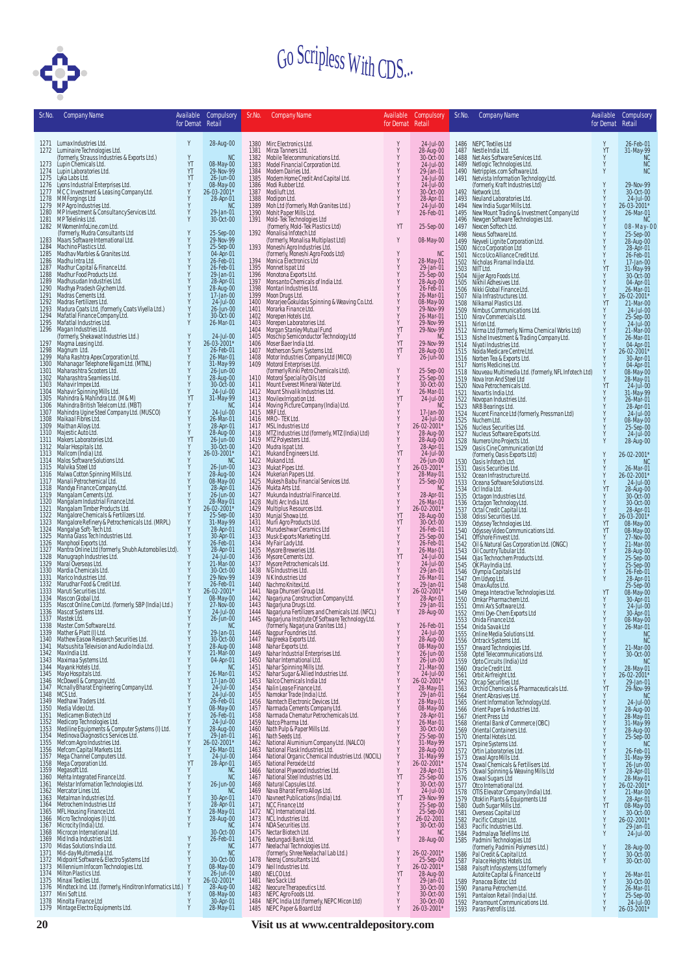

| Sr.No.       | <b>Company Name</b>                                                                                                                                                                                                    | Available<br>for Demat Retail | Compulsory                            | Sr.No.       | Company Name                                                                                                                                                                                                                                        | Available<br>for Demat Retail                                         | Compulsory Sr.No.                   |              | <b>Company Name</b>                                                                                                                                                                                                                  | Available<br>for Demat Retail | Compulsory                                                                              |
|--------------|------------------------------------------------------------------------------------------------------------------------------------------------------------------------------------------------------------------------|-------------------------------|---------------------------------------|--------------|-----------------------------------------------------------------------------------------------------------------------------------------------------------------------------------------------------------------------------------------------------|-----------------------------------------------------------------------|-------------------------------------|--------------|--------------------------------------------------------------------------------------------------------------------------------------------------------------------------------------------------------------------------------------|-------------------------------|-----------------------------------------------------------------------------------------|
|              | 1271 Lumax Industries Ltd.                                                                                                                                                                                             | Y                             | 28-Aug-00                             |              | 1380 Mirc Electronics Ltd.                                                                                                                                                                                                                          | Y                                                                     | 24-Jul-00                           |              | 1486 NEPC Textiles Ltd                                                                                                                                                                                                               | Y                             | 26-Feb-01                                                                               |
| 1272         | Luminaire Technologies Ltd.<br>(formerly, Strauss Industries & Exports Ltd.)                                                                                                                                           | Y                             | <b>NC</b>                             | 1381<br>1382 | Mirza Tanners Ltd.<br>Mobile Telecommunications Ltd.                                                                                                                                                                                                | Υ<br>Υ                                                                | 28-Aug-00<br>30-Oct-00              | 1487<br>1488 | Nestle India Ltd.<br>Net Axis Software Services Ltd.                                                                                                                                                                                 | YT<br>Y                       | 31-May-99                                                                               |
| 1273         | Lupin Chemicals Ltd.<br>1274 Lupin Laboratories Ltd.                                                                                                                                                                   | YT<br>YT                      | 08-May-00<br>29-Nov-99                | 1383<br>1384 | Model Financial Corporation Ltd.<br>Modern Dairies Ltd.                                                                                                                                                                                             | Υ<br>Υ                                                                | 24-Jul-00<br>29-Jan-01              | 1489<br>1490 | Netlogic Technologies Ltd.<br>Netripples.com Software Ltd.<br>Netvista Information Technology Ltd.                                                                                                                                   | Y<br>Y                        | NC                                                                                      |
| 1275<br>1276 | Lyka Labs Ltd.<br>Lyons Industrial Enterprises Ltd.                                                                                                                                                                    | YT<br>Υ                       | 26-Jun-00<br>08-May-00                | 1385<br>1386 | Modern Home Credit And Capital Ltd.<br>Modi Rubber Ltd.                                                                                                                                                                                             | Y<br>Y                                                                | 24-Jul-00<br>24-Jul-00              | 1491         | (formerly, Kraft Industries Ltd)                                                                                                                                                                                                     | Y                             | 29-Nov-99                                                                               |
| 1277<br>1278 | MCC Investment & Leasing Company Ltd.<br>MM Forgings Ltd                                                                                                                                                               | Ÿ                             | 26-03-2001*<br>28-Apr-01              | 1387<br>1388 | Modiluft Ltd.<br>Modipon Ltd.                                                                                                                                                                                                                       | Υ<br>Υ                                                                | 30-Oct-00<br>28-Apr-01              | 1492<br>1493 | Network Ltd.<br>Neuland Laboratories Ltd.                                                                                                                                                                                            | Y<br>Y                        | 30-Oct-00<br>24-Jul-00                                                                  |
| 1279<br>1280 | MP Agro Industries Ltd.<br>MP Investment & Consultancy Services Ltd.                                                                                                                                                   |                               | <b>NC</b><br>29-Jan-01                | 1389         | Moh Ltd (formerly, Moh Granites Ltd.)                                                                                                                                                                                                               | Y<br>Y                                                                | 24-Jul-00                           | 1494         | New India Sugar Mills Ltd.                                                                                                                                                                                                           | Y<br>Ÿ                        | 26-03-2001*                                                                             |
| 1281         | MP Telelinks Ltd.                                                                                                                                                                                                      |                               | 30-Oct-00                             | 1390<br>1391 | Mohit Paper Mills Ltd.<br>Mold-Tek Technologies Ltd<br>(formerly, Mold-Tek Plastics Ltd)                                                                                                                                                            |                                                                       | 26-Feb-01                           | 1495<br>1496 | New Mount Trading & Investment Company Ltd<br>Newgen Software Technologies Ltd.                                                                                                                                                      | Ÿ<br>Y                        | 26-Mar-01<br><b>NC</b>                                                                  |
| 1282         | M WomenInfoLine.com Ltd.<br>(formerly, Mudra Consultants Ltd                                                                                                                                                           |                               | 25-Sep-00                             | 1392         | Monalisa Infotech Ltd                                                                                                                                                                                                                               | YT                                                                    | 25-Sep-00                           | 1497<br>1498 | Nexcen Softech Ltd.<br>Nexus Software Ltd.                                                                                                                                                                                           | $_{\rm Y}^{\rm Y}$            | 08-May-00<br>25-Sep-00                                                                  |
| 1283<br>1284 | Maars Software International Ltd.<br>Machino Plastics Ltd.                                                                                                                                                             |                               | 29-Nov-99<br>25-Sep-00                | 1393         | (formerly, Monalisa Multiplast Ltd)                                                                                                                                                                                                                 | Y                                                                     | 08-May-00                           | 1499<br>1500 | Neyveli Lignite Corporation Ltd.<br>Nicco Corporation Ltd                                                                                                                                                                            |                               | 28-Aug-00<br>28-Apr-01                                                                  |
| 1285<br>1286 | Madhav Marbles & Granites Ltd.<br>Madhu Intra Ltd.                                                                                                                                                                     |                               | 04-Apr-01<br>26-Feb-01                | 1394         |                                                                                                                                                                                                                                                     | Y<br>Y                                                                | <b>NC</b><br>28-May-01              | 1501<br>1502 | Nicco Uco Alliance Credit Ltd.<br>Nicholas Piramal India Ltd.                                                                                                                                                                        |                               | 26-Feb-01<br>17-Jan-00                                                                  |
| 1287<br>1288 | Madhur Capital & Finance Ltd.<br>Madhur Food Products Ltd.                                                                                                                                                             |                               | 26-Feb-01<br>29-Jan-01                | 1395<br>1396 | Volmeshi Agro Industries Ltd.<br>Moneshi Agro Industries Ltd.<br>(formerly, Moneshi Agro Foods Ltd)<br>Monnea Leetronics Ltd<br>Monotana Exports Ltd.<br>Monstari Industries Ltd.<br>Monstari Industries Ltd.                                       | Υ<br>Υ                                                                | 29-Jan-01<br>25-Sep-00              | 1503         | NIIT Ltd.                                                                                                                                                                                                                            | YT                            | 31-May-99<br>30-Oct-00                                                                  |
| 1289         | Madhusudan Industries Ltd.<br>Madhya Pradesh Glychem Ltd.                                                                                                                                                              | Y                             | 28-Apr-01<br>28-Aug-00                | 1397         | Montari Industries Ltd.                                                                                                                                                                                                                             | Υ<br>Υ                                                                | 28-Aug-00<br>26-Feb-01              | 1504<br>1505 | Nijjer Agro Foods Ltd.<br>Nikhil Adhesives Ltd.                                                                                                                                                                                      |                               | 04-Apr-01                                                                               |
| 1290<br>1291 | Madrás Cements Ltd.                                                                                                                                                                                                    |                               | 17-Jan-00                             | 1398<br>1399 |                                                                                                                                                                                                                                                     | Y                                                                     | 26-Mar-01                           | 1506<br>1507 | Nikki Global Finance Ltd.<br>Nila Infrastructures Ltd.                                                                                                                                                                               | Y                             | 26-Mar-01<br>26-02-2001*                                                                |
| 1292<br>1293 | Madras Fertilizers Ltd.<br>Madras Coats Ltd. (formerly, Coats Viyella Ltd.)<br>Mafatlal Finance Company Ltd.                                                                                                           |                               | 24-Jul-00<br>26-Jun-00                | 1400<br>1401 | Moon Drugs Ltd.<br>Moon Drugs Ltd.<br>Morarjee Gokuldas Spinning & Weaving Co.Ltd.<br>Morarka Finance Ltd.                                                                                                                                          | Υ                                                                     | 08-May-00<br>29-Nov-99              | 1508<br>1509 | Nilkamal Plastics Ltd.<br>Nimbus Communications Ltd.                                                                                                                                                                                 | YT                            | 21-Mar-00<br>24-Jul-00                                                                  |
| 1294<br>1295 | Mafatlal Industries Ltd.                                                                                                                                                                                               |                               | 30-Oct-00<br>26-Mar-01                | 1402<br>1403 |                                                                                                                                                                                                                                                     | Y<br>Υ                                                                | 26-Mar-01<br>29-Nov-99              | 1510<br>1511 | Nirav Commercials Ltd.<br>Nirlon Ltd.                                                                                                                                                                                                |                               | 25-Sep-00<br>24-Jul-00                                                                  |
| 1296         | Magan Industries Ltd.                                                                                                                                                                                                  | Y                             | 24-Jul-00                             | 1404<br>1405 |                                                                                                                                                                                                                                                     | YT<br>Υ                                                               | 29-Nov-99<br><b>NC</b>              | 1512<br>1513 | Nirma Ltd (formerly, Nirma Chemical Works Ltd)<br>Nishel Investment & Trading Company Ltd.                                                                                                                                           | Y                             | 21-Mar-00<br>26-Mar-01                                                                  |
| 1297<br>1298 | (formerly, Shekawat Industries Ltd.)<br>Magma Leasing Ltd.<br>Magnum Ltd.                                                                                                                                              |                               | 26-03-2001*<br>26-Feb-01              | 1406<br>1407 |                                                                                                                                                                                                                                                     | YT<br>YT                                                              | 29-Nov-99<br>28-Aug-00              | 1514         | Niyati Industries Ltd.                                                                                                                                                                                                               | $\frac{Y}{Y}$                 | 04-Apr-01                                                                               |
| 1299         | Maha Rashtra Apex Corporation Ltd.<br>Mahanagar Telephone Nigam Ltd. (MTNL)<br>Maharashtra Scooters Ltd.                                                                                                               |                               | 26-Mar-01<br>31-May-99                | 1408         | Moraka Finance Ltd.<br>Morepen Hotels Ltd.<br>Morepen Laboratories Ltd.<br>Morepen Laboratories Ltd.<br>Morschip Semiconductor Technology Ltd<br>Moschip Semiconductor Technology Ltd<br>Mother Moustries Company Ltd (MICO)<br>Motorol Enterprises | Υ                                                                     | 26-Jun-00                           | 1515<br>1516 | Noida Medicare Centre Ltd.<br>Norben Tea & Exports Ltd.                                                                                                                                                                              |                               | 26-02-2001*<br>30-Apr-01                                                                |
| 1300<br>1301 |                                                                                                                                                                                                                        |                               | 26-Jun-00                             | 1409         |                                                                                                                                                                                                                                                     | Y                                                                     | 25-Sep-00                           | 1517<br>1518 | Norris Medicines Ltd.<br>Nouveau Multimedia Ltd. (formerly, NFL Infotech Ltd)                                                                                                                                                        | Y                             | 04-Apr-01                                                                               |
| 1302<br>1303 | Maharashtra Seamless Ltd.<br>Mahavir Impex Ltd.                                                                                                                                                                        |                               | 28-Aug-00<br>30-Oct-00                | 1410<br>1411 |                                                                                                                                                                                                                                                     | Y<br>Y                                                                | 25-Sep-00<br>30-Oct-00              | 1519<br>1520 | Nova Iron And Steel Ltd<br>Nova Petrochemicals Ltd.                                                                                                                                                                                  | YT                            | 08-May-00<br>08-May-00<br>28-May-01<br>24-Jul-00                                        |
| 1304<br>1305 |                                                                                                                                                                                                                        | YT                            | 24-Jul-00<br>31-May-99                | 1412<br>1413 | Movilex Irrigation Ltd.                                                                                                                                                                                                                             | Υ<br>YT                                                               | 26-Mar-01<br>24-Jul-00              | 1521<br>1522 | Novartis India Ltd.<br>Novopan Industries Ltd.                                                                                                                                                                                       | Υ                             | 31-May-99<br>26-Mar-01                                                                  |
| 1306<br>1307 | Mahavir Spinning Mills Ltd.<br>Mahavir Spinning Mills Ltd.<br>Mahindra & Mahindra Ltd. (M& M)<br>Mahindra British Telelcom Ltd. (MBT)<br>Mahindra Ugine Steel Company Ltd. (MUSCO)<br>Maikaal Fibres Ltd.              |                               | <b>NC</b><br>24-Jul-00                | 1414<br>1415 | Moving Picture Company (India) Ltd.                                                                                                                                                                                                                 | Υ                                                                     | <b>NC</b><br>17-Jan-00              | 1523<br>1524 | NRB Bearings Ltd.<br>Nucent Finance Ltd (formerly, Pressman Ltd)                                                                                                                                                                     |                               | 28-Apr-01<br>$24$ -Jul-00                                                               |
| 1308<br>1309 | Maithan Alloys Ltd.                                                                                                                                                                                                    |                               | 26-Mar-01<br>28-Apr-01                | 1416<br>1417 | MRF Lťd.<br>MRO - TEK Ltd.                                                                                                                                                                                                                          | $_{\rm Y}^{\rm Y}$                                                    | 24-Jul-00                           | 1525         | Nuchem Ltd.                                                                                                                                                                                                                          |                               | 08-May-00                                                                               |
| 1310         | Majestic Auto Ltd.<br>Makers Laboratories Ltd.                                                                                                                                                                         | Y                             | 28-Aug-00                             | 1418         | msL Industries Ltd<br>MTZ Industries Ltd (formerly, MTZ (India) Ltd)<br>MTZ Polyesters Ltd.                                                                                                                                                         | Y                                                                     | 26-02-2001*<br>28-Aug-00            | 1526<br>1527 | Nucleus Securities Ltd.<br>Nucleus Software Exports Ltd.                                                                                                                                                                             | Y                             | 25-Sep-00<br>24-Jul-00                                                                  |
| 1311<br>1312 |                                                                                                                                                                                                                        | YT<br>Y                       | 26-Jun-00<br>30-Oct-00                | 1419<br>1420 |                                                                                                                                                                                                                                                     | Υ<br>Υ                                                                | 28-Aug-00<br>28-Apr-01              | 1528<br>1529 | Numero Uno Projects Ltd.<br>Oasis Cine Communication Ltd                                                                                                                                                                             | Y                             | 28-Aug-00                                                                               |
| 1313<br>1314 | Malar Hospitals Ltd.<br>Mallcom (India) Ltd.<br>Malos Software Solutions Ltd.                                                                                                                                          | Y                             | 26-03-2001*<br><b>NC</b>              | 1421<br>1422 | Mudra Ispat Ltd.<br>Mukand Engineers Ltd.<br>Mukand Ltd.                                                                                                                                                                                            | YT<br>Υ                                                               | $24$ -Jul-00<br>26-Jun-00           | 1530         | (formerly, Oasis Exports Ltd)<br>Oasis Infotech Ltd.                                                                                                                                                                                 | Y                             | 26-02-2001*<br>NC                                                                       |
| 1315<br>1316 | Malvika Steel Ltd                                                                                                                                                                                                      |                               | 26-Jun-00<br>28-Aug-00                | 1423<br>1424 | Mukat Pipes Ltd.                                                                                                                                                                                                                                    | Υ<br>Υ                                                                | 26-03-2001*<br>28-May-01            | 1531<br>1532 | Oasis Securities Ltd.<br>Ocean Infrastructure Ltd.                                                                                                                                                                                   | Y                             | 26-Mar-01<br>26-02-2001*                                                                |
| 1317<br>1318 | Malwa Cotton Spinning Mills Ltd.<br>Manali Petrochemical Ltd.                                                                                                                                                          |                               | 08-May-00<br>28-Apr-01                | 1425<br>1426 | Mukerian Papers Ltd.<br>Mukesh Babu Financial Services Ltd.<br>Mukta Arts Ltd.                                                                                                                                                                      | Y                                                                     | 25-Sep-00<br><b>NC</b>              | 1533<br>1534 | Oceana Software Solutions Ltd.<br>Ocl India Ltd.                                                                                                                                                                                     | Y<br>YT                       | 24-Jul-00                                                                               |
| 1319<br>1320 |                                                                                                                                                                                                                        |                               | 26-Jun-00                             | 1427<br>1428 | Mukunda Industrial Finance Ltd.<br>Multi Arc India Ltd.                                                                                                                                                                                             | Y<br>Υ                                                                | 28-Apr-01<br>26-Mar-01              | 1535         |                                                                                                                                                                                                                                      | Y                             | 28-Aug-00<br>30-Oct-00                                                                  |
| 1321         | Mandya Finance Company Ltd.<br>Mandya Finance Company Ltd.<br>Mangalam Industrial Finance Ltd.<br>Mangalam Industrial Finance Ltd.<br>Mangalore Chemicals & Fertilizers Ltd.<br>Mangalore Chemicals & Fertilizers Ltd. |                               | 28-May-01<br>26-02-2001*              | 1429         | wurit wir in und Liu.<br>Multiplus Resources Ltd.<br>Munjal Showa Ltd.<br>Murideshwar Ceramics Ltd<br>Musciar Ladul tal<br>Musciar Ladul tal                                                                                                        | Y                                                                     | 26-02-2001*                         | 1536<br>1537 | octagon Industries Ltd.<br>Octagon Technology Ltd.<br>Octal Credit Capital Ltd.<br>Odissi Securities Ltd.                                                                                                                            |                               | 30-Oct-00<br>28-Apr-01                                                                  |
| 1322<br>1323 | Mangalore Refinery & Petrochemicals Ltd. (MRPL)<br>Mangalya Soft-Tech Ltd.                                                                                                                                             |                               | 25-Sep-00<br>31-May-99                | 1430<br>1431 |                                                                                                                                                                                                                                                     | YT<br>YT                                                              | 28-Aug-00<br>30-Oct-00              | 1538<br>1539 | Odyssey Technologies Ltd.<br>Odyssey Video Communications Ltd.                                                                                                                                                                       | Y<br>$_{\rm YT}^{\rm YT}$     | 26-03-2001*<br>08-May-00                                                                |
| 1324<br>1325 | Manna Glass Tech Industries Ltd.                                                                                                                                                                                       |                               | 28-Apr-01<br>30-Apr-01                | 1432<br>1433 |                                                                                                                                                                                                                                                     | Υ<br>Υ                                                                | 26-Feb-01<br>25-Sep-00              | 1540<br>1541 |                                                                                                                                                                                                                                      |                               | 08-May-00<br>27-Nov-00                                                                  |
| 1326<br>1327 | Manphool Exports Ltd.                                                                                                                                                                                                  |                               | 26-Feb-01<br>28-Apr-01                | 1434<br>1435 | My Fair Lady Ltd.<br>Mysore Breweries Ltd.                                                                                                                                                                                                          | Υ<br>Υ                                                                | 26-Feb-01<br>26-Mar-01              | 1542<br>1543 | offshore Finvest Ltd.<br>Oil & Natural Gas Corporation Ltd. (ONGC)<br>Oil Country Tubular Ltd.<br>Ojas Technochem Products Ltd.<br>Class Technochem Products Ltd.                                                                    | Y                             | 21-Mar-00                                                                               |
| 1328<br>1329 | Mantra Online Ltd (formerly, Shubh Automobiles Ltd).<br>Manugraph Industries Ltd.<br>Maral Overseas Ltd.                                                                                                               |                               | 24-Jul-00<br>21-Mar-00                | 1436<br>1437 | Mysore Cements Ltd.<br>Mysore Petrochemicals Ltd.                                                                                                                                                                                                   | YT<br>Υ                                                               | 24-Jul-00<br>24-Jul-00              | 1544<br>1545 |                                                                                                                                                                                                                                      |                               | 28-Aug-00<br>25-Sep-00<br>25-Sep-00                                                     |
| 1330         | Mardia Chemicals Ltd.<br>1331 Marico Industries Ltd.                                                                                                                                                                   |                               | 30-Oct-00<br>29-Nov-99                | 1438<br>1439 | N G Industries Ltd.<br>N K Industries Ltd                                                                                                                                                                                                           | $_{\rm Y}^{\rm Y}$                                                    | 29-Jan-01<br>26-Mar-01              | 1546<br>1547 |                                                                                                                                                                                                                                      | Y                             | 26-Feb-01                                                                               |
|              | 1332 Marudhar Food & Credit Ltd.<br>1333 Maruti Securities Ltd.                                                                                                                                                        |                               | 26-Feb-01                             | 1440<br>1441 | Nachmo Knitex Ltd.                                                                                                                                                                                                                                  |                                                                       | 29-Jan-01<br>26-02-2001*            | 1548         |                                                                                                                                                                                                                                      |                               | 28-Apr-01<br>25-Sep-00                                                                  |
|              | 1334 Mascon Global Ltd.                                                                                                                                                                                                |                               | 26-02-2001*<br>08-May-00<br>27-Nov-00 | 1442         | Neurino Kiniesticus<br>Maga Dhunserl Group Ltd.<br>Nagarjuna Construction Company Ltd.<br>Nagarjuna Fertilizers and Chemicals Ltd. (NFCL)<br>Nagarjuna Institute Of Software Technology Ltd.<br>Nagarjuna Mastitute Of Software Technology Lt       | $\begin{array}{c} \mathbf{X} \\ \mathbf{X} \\ \mathbf{X} \end{array}$ | 28-Apr-01                           | 1549<br>1550 | olas isaunnomentrivoucus.<br>Louis Control (Control Control Control Control Control Control Control Control Control Control Control Control Control Control Control Control Control Control Control Control Control Control<br>Contr | YT                            | 08-May-00<br>30-Apr-01                                                                  |
| 1335<br>1336 | Mascot Online.Com Ltd. (formerly, SBP (India) Ltd.)<br>Mascot Systems Ltd.                                                                                                                                             |                               | 24-Jul-00                             | 1443<br>1444 |                                                                                                                                                                                                                                                     |                                                                       | 29-Jan-01<br>28-Aug-00              | 1551<br>1552 |                                                                                                                                                                                                                                      |                               | $24$ -Jul-00<br>30-Apr-01                                                               |
|              | 1337 Mastek Ltd.<br>1338 Master.Com Software Ltd.                                                                                                                                                                      |                               | 26-Jun-00<br>NC.                      | 1445         | (formerly, Nagarjuna Granites Ltd.)                                                                                                                                                                                                                 | Y                                                                     | 26-Feb-01                           | 1553<br>1554 | Onida Finance Ltd.<br>Onida Savak Ltd                                                                                                                                                                                                |                               | 08-May-00<br>26-Mar-01                                                                  |
|              | 1339 Mather & Platt (I) Ltd.<br>1340 Mathew Easow Research Securities Ltd.                                                                                                                                             |                               | 29-Jan-01<br>30-Oct-00                |              | 1446 Nagpur Foundries Ltd.<br>1447 Nagreeka Exports Ltd.<br>1448 Nahar Exports Ltd.<br>1448 Nahar Industrial Enterprises Ltd.<br>1450 Nahar International Ltd.                                                                                      | Y                                                                     | 24-Jul-00                           | 1555<br>1556 | Online Media Solutions Ltd.<br>Ontrack Systems Ltd.                                                                                                                                                                                  |                               | <b>NC</b><br><b>NC</b>                                                                  |
|              | 1341 Matsushita Television and Audio India Ltd.<br>1342 Max India Ltd.                                                                                                                                                 |                               | 28-Aug-00<br>21-Mar-00                |              |                                                                                                                                                                                                                                                     | Υ<br>Y                                                                | 28-Aug-00<br>08-May-00<br>26-Jun-00 | 1557<br>1558 | <b>Onvard Technologies Ltd.<br/>Optel Telecommunications Ltd.</b><br>Opto Circuits (India) Ltd                                                                                                                                       |                               | 21-Mar-00<br>30-Oct-00                                                                  |
|              | 1343 Maximaa Systems Ltd.<br>1344 Mayank Hotels Ltd.                                                                                                                                                                   |                               | 04-Apr-01<br>NC.                      | 1451         |                                                                                                                                                                                                                                                     | Υ<br>Υ                                                                | 26-Jun-00<br>21-Mar-00              | 1559<br>1560 | Oracle Credit Ltd.                                                                                                                                                                                                                   | Y                             | <b>NC</b>                                                                               |
|              | 1345 Mayo Hospitals Ltd.<br>1346 McDowell & Company Ltd.                                                                                                                                                               |                               | 26-Mar-01<br>17-Jan-00                | 1452<br>1453 | Nahar Spinning Mills Ltd.<br>Nahar Sugar & Allied Industries Ltd.<br>Nalco Chemicals India Ltd                                                                                                                                                      | Ÿ<br>Y                                                                | $24$ -Jul-00<br>26-02-2001*         | 1561         |                                                                                                                                                                                                                                      | Y                             | 28-May-01<br>26-02-2001*                                                                |
|              | 1347 Mcnally Bharat Engineering Company Ltd.                                                                                                                                                                           |                               | 24-Jul-00                             | 1454         | Nalin Lease Finance Ltd.                                                                                                                                                                                                                            | Υ                                                                     | 28-May-01                           | 1562<br>1563 | orbit Airfreight Ltd.<br>Orcap Securities Ltd.<br>Orchid Chemicals & Pharmaceuticals Ltd.                                                                                                                                            | Y<br>YT                       | 29-Jan-01<br>29-Nov-99                                                                  |
|              | 1348 MCS Ltd.<br>1349 Medhawi Traders Ltd.                                                                                                                                                                             |                               | 24-Jul-00<br>26-Feb-01<br>08-May-00   | 1455<br>1456 | Namokar Trade (India) Ltd.<br>Namtech Electronic Devices Ltd.                                                                                                                                                                                       | Υ<br>Υ                                                                | 29-Jan-01<br>28-May-01              | 1564<br>1565 | Orient Abrasives Ltd.                                                                                                                                                                                                                | $\frac{Y}{Y}$                 | <b>NC</b>                                                                               |
|              | 1350 Media Video Ltd.<br>1351 Medicamen Biotech Ltd                                                                                                                                                                    |                               | 26-Feb-01                             | 1457<br>1458 | Narmada Cements Company Ltd.<br>Narmada Chematur Petrochemicals Ltd.                                                                                                                                                                                | Υ<br>Υ                                                                | 08-May-00<br>28-Apr-01              | 1566<br>1567 | Orient Information Technology Ltd.<br>Orient Paper & Industries Ltd.<br>Orient Press Ltd                                                                                                                                             |                               | 24-Jul-00<br>28-Aug-00<br>28-May-01<br>31-May-99<br>28-Aug-00<br>25-Sep-00<br>25-Sep-00 |
|              | 1352 Medicorp Technologies Ltd.<br>1353 Mediline Equipments & Computer Systems (I) Ltd.                                                                                                                                |                               | 24-Jul-00<br>28-Aug-00                |              | 1459 Natio Pharma Ltd.<br>1460 Nath Pulp & Paper Mills Ltd.<br>1461 Nath Seeds Ltd.                                                                                                                                                                 | Υ<br>Υ                                                                | 26-Mar-01<br>30-Oct-00              | 1568<br>1569 | Oriental Bank of Commerce (OBC)<br>Oriental Containers Ltd.                                                                                                                                                                          |                               |                                                                                         |
|              | 1354 Medinova Diagnostics Services Ltd.<br>1355 Mefcom Agro Industries Ltd.                                                                                                                                            |                               | 29-Jan-01<br>26-02-2001*              | 1462         | National Aluminium Company Ltd. (NALCO)                                                                                                                                                                                                             | Υ<br>Υ                                                                | 25-Sep-00<br>31-May-99              | 1570<br>1571 | Oriental Hotels Ltd.                                                                                                                                                                                                                 |                               | <b>NC</b>                                                                               |
|              | 1356 Mefcom Capital Markets Ltd.<br>1357 Mega Channel Computers Ltd.                                                                                                                                                   | $\frac{Y}{Y}$                 | 26-Mar-01<br>24-Jul-00                | 1463<br>1464 | National Flask Industries Ltd.<br>National Organic Chemical Industries Ltd. (NOCIL)                                                                                                                                                                 | Υ<br>Υ                                                                | 28-Aug-00<br>31-May-99              | 1572         | Orpine Systems Ltd.<br>Ortin Laboratories Ltd.<br>Oswal Agro Mills Ltd.                                                                                                                                                              |                               | 26-Feb-01<br>31-May-99<br>26-Jun-00                                                     |
|              | 1358 Mega Corporation Ltd.<br>1359 Megasoft Ltd.                                                                                                                                                                       | YT                            | 28-Apr-01<br>N <sub>C</sub>           | 1465         | National Peroxide Ltd                                                                                                                                                                                                                               | Y<br>Y                                                                | 26-02-2001*                         | 1573<br>1574 | Oswal Chemicals & Fertilisers Ltd.                                                                                                                                                                                                   |                               |                                                                                         |
|              | 1360 Mehta Integrated Finance Ltd.<br>1361 Melstar Information Technologies Ltd.                                                                                                                                       | Y                             | <b>NC</b>                             |              | 1466 National Plywood Industries Ltd.<br>1467 National Steel Industries Ltd.<br>1468 Natural Capsules Ltd.                                                                                                                                          | YT                                                                    | 28-Apr-01<br>25-Sep-00<br>30-Oct-00 | 1575<br>1576 | Oswal Spinning & Weaving Mills Ltd<br>Oswal Sugars Ltd                                                                                                                                                                               | Υ<br>Y                        | 28-Apr-01<br>28-May-01<br>26-02-2001*                                                   |
|              | 1362 Mercator Lines Ltd.                                                                                                                                                                                               | Y                             | 26-Jun-00<br>NC.                      | 1469         | Nava Bharat Ferro Alloys Ltd.<br>Navneet Publications (India) Ltd.                                                                                                                                                                                  | Υ<br>$\dot{Y}$                                                        | 24-Jul-00                           | 1577<br>1578 | Otco International Ltd.                                                                                                                                                                                                              |                               | 21-Mar-00                                                                               |
| 1363         | Metalman Industries Ltd.<br>1364 Metrochem Industries Ltd                                                                                                                                                              |                               | 30-Apr-01<br>28-Apr-01                | 1470         | 1471 NCC Finance Ltd                                                                                                                                                                                                                                | YT<br>Υ                                                               | 29-Nov-99<br>25-Sep-00              | 1579<br>1580 | OTIS Elevator Company (India) Ltd.<br>Otoklin Plants & Equipments Ltd<br>Oudh Sugar Mills Ltd.                                                                                                                                       | Y<br>YT                       | 28-Apr-01                                                                               |
|              |                                                                                                                                                                                                                        |                               | 28-May-01<br>28-Aug-00                |              | 1472 NCJ International Ltd.<br>1473 NCL Industries Ltd.<br>1474 NDA Securities Ltd.                                                                                                                                                                 | Υ<br>Υ                                                                | 25-Sep-00<br>26-02-2001             | 1581<br>1582 | Overseas Capital Ltd<br>Pacific Cotspin Ltd.                                                                                                                                                                                         | Y<br>Y                        | 08-May-00<br>30-Oct-00<br>26-02-2001*                                                   |
|              | 1365 MELHousing Finance Ltd.<br>1366 Micro Technologies (I) Ltd.<br>1367 Microcity (India) Ltd.<br>1368 Microcon International Ltd.                                                                                    |                               | NC.<br>30-Oct-00                      |              | 1475 Nectar Biotech Ltd.                                                                                                                                                                                                                            | Ý<br>Y                                                                | 30-Oct-00<br><b>NC</b>              | 1583<br>1584 | Pacific Industries Ltd.<br>Padmalaya Telefilms Ltd.                                                                                                                                                                                  | Y                             | 29-Jan-01<br>24-Jul-00                                                                  |
| 1369<br>1370 | Mid India Industries Ltd.<br>Midas Solutions India Ltd.                                                                                                                                                                |                               | 26-Feb-01<br><b>NC</b>                |              | 1476 Nedungadi Bank Ltd.<br>1477 Neelachal Technologies Ltd.                                                                                                                                                                                        | Y                                                                     | 28-Aug-00                           | 1585         | Padmini Technologies Ltd                                                                                                                                                                                                             |                               |                                                                                         |
| 1371         | Mid-day Multimedia Ltd.<br>Midpoint Software & Electro Systems Ltd                                                                                                                                                     |                               | <b>NC</b><br>30-Oct-00                |              | (formerly, Shree Neelachal Lab Ltd.)<br>Neeraj Consultants Ltd.                                                                                                                                                                                     | Υ<br>Υ                                                                | 26-02-2001*                         | 1586         | (formerly, Padmini Polymers Ltd.)<br>Pal Credit & Capital Ltd.                                                                                                                                                                       |                               | 28-Aug-00<br>30-Oct-00                                                                  |
| 1372<br>1373 | Millennium Infocom Technologies Ltd.                                                                                                                                                                                   |                               | 08-May-00                             | 1478<br>1479 | Neil Industries Ltd.                                                                                                                                                                                                                                | Υ                                                                     | 25-Sep-00<br>26-02-2001*            | 1587<br>1588 | Palace Heights Hotels Ltd.<br>Palsoft Infosystems Ltd formerly                                                                                                                                                                       | Y                             | 30-Oct-00                                                                               |
| 1374<br>1375 | Milton Plastics Ltd.<br>Minaxi Textiles Ltd.                                                                                                                                                                           |                               | 26-Jun-00<br>26-02-2001*              | 1480<br>1481 | NELCOLtd.<br>Neo Sack Ltd                                                                                                                                                                                                                           | YT<br>Υ                                                               | 28-Aug-00<br>29-Jan-01              | 1589         | Autolite Capital & Finance Ltd<br>Panacea Biotec Ltd                                                                                                                                                                                 |                               | 26-Mar-01<br>30-Oct-00                                                                  |
| 1376<br>1377 | Mindteck Ind. Ltd. (formerly, Hinditron Informatics Ltd.)<br>Mini Soft Ltd.                                                                                                                                            |                               | 28-Aug-00<br>08-May-00                | 1482<br>1483 | Neocure Therapeutics Ltd.<br>NEPC Agro Foods Ltd.                                                                                                                                                                                                   | Υ<br>Υ                                                                | 30-Oct-00<br>30-Oct-00              | 1590<br>1591 | Panama Petrochem Ltd.<br>Pantaloon Retail (India) Ltd.                                                                                                                                                                               | Y                             | 26-Mar-01<br>25-Sep-00                                                                  |
| 1378<br>1379 | Minolta Finance Ltd<br>Mintage Electro Equipments Ltd.                                                                                                                                                                 |                               | 30-Apr-01<br>28-May-01                | 1484<br>1485 | NEPC India Ltd (formerly, NEPC Micon Ltd)<br>NEPC Paper & Board Ltd                                                                                                                                                                                 | Y                                                                     | 30-Oct-00<br>26-03-2001*            | 1592         | Paramount Communications Ltd.<br>1593 Paras Petrofils Ltd.                                                                                                                                                                           | Y                             | $24 -$ Jul-00<br>26-03-2001*                                                            |
|              |                                                                                                                                                                                                                        |                               |                                       |              |                                                                                                                                                                                                                                                     |                                                                       |                                     |              |                                                                                                                                                                                                                                      |                               |                                                                                         |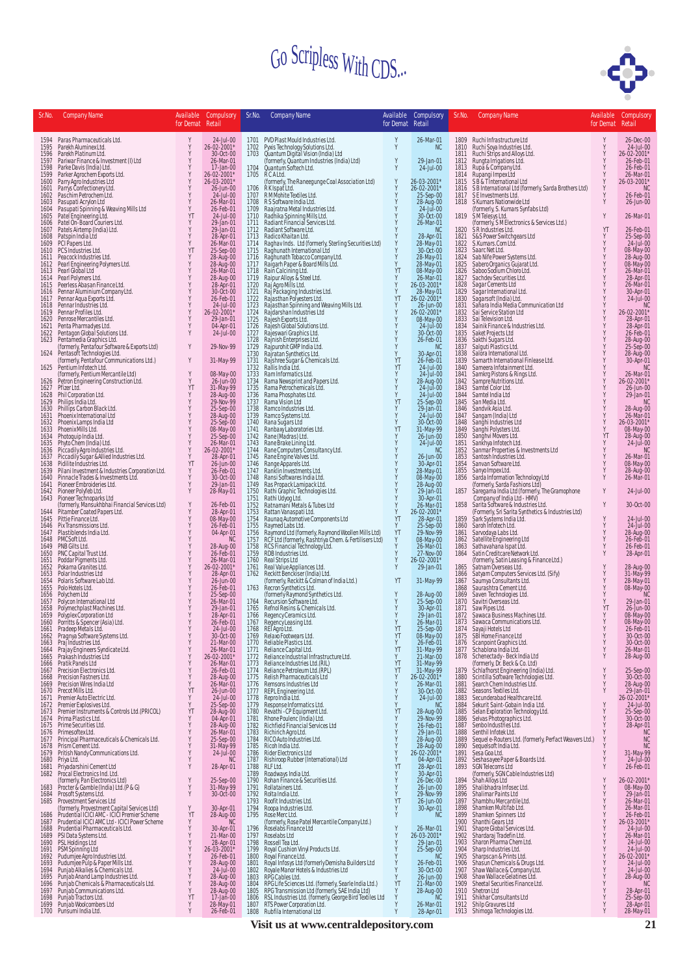

| Sr.No.               | <b>Company Name</b>                                                                                                                               | for Demat Retail | Available Compulsory                             | Sr.No.               | <b>Company Name</b>                                                                                                                                                                             | Available<br>for Demat Retail | Compulsory                                                    | Sr.No.               | <b>Company Name</b>                                                                                                                                                                                                                                                 | for Demat Retail | Available Compulsory                                                                    |
|----------------------|---------------------------------------------------------------------------------------------------------------------------------------------------|------------------|--------------------------------------------------|----------------------|-------------------------------------------------------------------------------------------------------------------------------------------------------------------------------------------------|-------------------------------|---------------------------------------------------------------|----------------------|---------------------------------------------------------------------------------------------------------------------------------------------------------------------------------------------------------------------------------------------------------------------|------------------|-----------------------------------------------------------------------------------------|
| 1594                 | Paras Pharmaceuticals Ltd.                                                                                                                        | Y                | 24-Jul-00                                        |                      | 1701 PVD Plast Mould Industries Ltd.                                                                                                                                                            | Y                             | 26-Mar-01                                                     |                      | 1809 Ruchi Infrastructure Ltd                                                                                                                                                                                                                                       | Y                | 26-Dec-00                                                                               |
| 1595<br>1596         | Parekh Aluminex Ltd.<br>Parekh Platinum Ltd.                                                                                                      | Y<br>Y           | 26-02-2001*<br>30-Oct-00                         | 1702<br>1703         | Pyxis Technology Solutions Ltd.<br>Quantum Digital Vision (India) Ltd<br>(formerly, Quantum Industries (India) Ltd)                                                                             | Y                             | NC                                                            | 1810<br>1811         | Ruchi Soya Industries Ltd.<br>Ruchi Strips and Alloys Ltd.                                                                                                                                                                                                          |                  | 24-Jul-00<br>26-02-2001*                                                                |
| 1597<br>1598         | Pariwar Finance & Investment (I) Ltd<br>Parke Davis (India) Ltd.                                                                                  | Y<br>Y<br>Y      | 26-Mar-01<br>17-Jan-00                           | 1704                 | Quantum Softech Ltd.                                                                                                                                                                            | Y                             | 29-Jan-01<br>24-Jul-00                                        | 1812<br>1813         | Rungta Irrigations Ltd.<br>Rupa & Company Ltd.                                                                                                                                                                                                                      | Y                | 26-Feb-01<br>26-Feb-01                                                                  |
| 1599<br>1600<br>1601 | Parker Agrochem Exports Ltd.<br>Parry Agro Industries Ltd<br>Parrys Confectionery Ltd.                                                            | Y<br>Y           | 26-02-2001*<br>26-03-2001*<br>26-Jun-00          | 1705<br>1706         | RCALtd.<br>(formerly, The Raneegunge Coal Association Ltd)<br>RK Ispat Ltd.                                                                                                                     | Y<br>Y                        | 26-03-2001*<br>26-02-2001*                                    | 1814<br>1815<br>1816 | Rupangi Impex Ltd<br>SB & T International Ltd<br>SBInternational Ltd (formerly, Sarda Brothers Ltd)                                                                                                                                                                 | Y<br>Y           | 26-Mar-01<br>26-03-2001*<br>NC                                                          |
| 1602<br>1603         | Paschim Petrochem Ltd.<br>Pasupati Acrylon Ltd                                                                                                    | Y<br>Y           | 24-Jul-00<br>26-Mar-01                           | 1707<br>1708         | RM Mohite Textiles Ltd.<br>RS Software India Ltd.                                                                                                                                               | Y                             | 25-Sep-00                                                     | 1817<br>1818         | SE Investments Ltd.<br>S Kumars Nationwide Ltd                                                                                                                                                                                                                      |                  | 26-Feb-01<br>26-Jun-00                                                                  |
| 1604<br>1605         | Pasupati Spinning & Weaving Mills Ltd<br>Patel Engineering Ltd.                                                                                   | Y<br>YT          | 26-Feb-01<br>24-Jul-00                           | 1709<br>1710         | Raajratna Metal Industries Ltd.<br>Radhika Spinning Mills Ltd.                                                                                                                                  | $\frac{Y}{Y}$                 | 28-Aug-00<br>24-Jul-00<br>30-Oct-00                           | 1819                 | (formerly, S. Kumars Synfabs Ltd)<br>SM Telesys Ltd.                                                                                                                                                                                                                | Y                | 26-Mar-01                                                                               |
| 1606<br>1607         | Patel On-Board Couriers Ltd.<br>Patels Airtemp (India) Ltd.                                                                                       | Y<br>Y           | 29-Jan-01<br>29-Jan-01                           | 1711<br>1712         | Radiant Financial Services Ltd.<br>Radiant Software Ltd.                                                                                                                                        | $\frac{v}{Y}$                 | 26-Mar-01<br><b>NC</b>                                        | 1820                 | (formerly, SMElectronics & Services Ltd.)<br>SR Industries Ltd.                                                                                                                                                                                                     | YT               | 26-Feb-01                                                                               |
| 1608<br>1609         | Patspin India Ltd<br>PCI Papers Ltd.                                                                                                              | Y<br>Y           | 28-Apr-01<br>26-Mar-01                           | 1713<br>1714         | Radico Khaitan Ltd.<br>Raghav Inds. Ltd (formerly, Sterling Securities Ltd)                                                                                                                     | Y<br>Y                        | 28-Apr-01<br>28-May-01                                        | 1821<br>1822         | S&S Power Switchgears Ltd<br>S.Kumars.Com Ltd.                                                                                                                                                                                                                      | Y<br>Υ           | 25-Sep-00<br>25-Sep-00<br>24-Jul-00<br>08-May-00<br>28-Aug-00<br>26-Mar-01<br>26-Mar-01 |
| 1610<br>1611         | PCS Industries Ltd.<br>Peacock Industries Ltd.                                                                                                    | YT<br>Y          | 25-Sep-00<br>28-Aug-00                           | 1715<br>1716         | Raghunath International Ltd<br>Raghunath Tobacco Company Ltd.<br>Raigarh Paper & Board Mills Ltd.                                                                                               | Ÿ<br>Y                        | 30-0ct-00<br>28-May-01<br>28-May-01<br>08-May-00<br>26-Mar-01 | 1823<br>1824         | Saarc Net Ltd.<br>Sab Nife Power Systems Ltd.                                                                                                                                                                                                                       | Υ<br>Y           |                                                                                         |
| 1612<br>1613         | Pearl Engineering Polymers Ltd.<br>Pearl Global Ltd                                                                                               | Y<br>Y           | 28-Aug-00<br>26-Mar-01                           | 1717<br>1718         |                                                                                                                                                                                                 | Y<br>YT                       |                                                               | 1825<br>1826         | Sabero Organics Gujarat Ltd.<br>Saboo Sodium Chloro Ltd.                                                                                                                                                                                                            | Υ<br>Y           |                                                                                         |
| 1614<br>1615         | Pearl Polymers Ltd.<br>Peerless Abasan Finance Ltd.                                                                                               | Y<br>Y           | 28-Aug-00<br>28-Apr-01                           | 1719<br>1720         | Raipur Alloys & Steel Ltd.<br>Raipur Alloys & Steel Ltd.<br>Raj Agro Mills Ltd.                                                                                                                 | Y<br>Y                        | 26-03-2001*                                                   | 1827<br>1828         | Sachdev Securities Ltd.                                                                                                                                                                                                                                             | Y                | 28-Apr-01<br>26-Mar-01                                                                  |
| 1616<br>1617         | Pennar Aluminium Company Ltd.<br>Pennar Aqua Exports Ltd.<br>Pennar Industries Ltd.                                                               | Y<br>Y           | 30-0ct-00<br>26-Feb-01                           | 1721<br>1722         | Raj Packaging Industries Ltd.<br>Rajasthan Polyesters Ltd.<br>Rajasthan Spinning and Weaving Mills Ltd.<br>Rajasthan Industries Ltd                                                             | Y<br>YT                       | 28-May-01<br>26-02-2001*                                      | 1829<br>1830         | Sagar Cements Ltd<br>Sagar International Ltd.<br>Sagarsoft (India) Ltd.<br>Sahara India Media Communication Ltd                                                                                                                                                     |                  | 30-Apr-01<br>24-Jul-00                                                                  |
| 1618<br>1619         | Pennar Profiles Ltd.                                                                                                                              | Y<br>Y           | 24-Jul-00<br>26-02-2001*                         | 1723<br>1724         |                                                                                                                                                                                                 | $_{\rm Y}^{\rm Y}$            | 26-Jun-00<br>26-02-2001*                                      | 1831<br>1832         | Sai Service Station Ltd                                                                                                                                                                                                                                             | Y                | <b>NC</b><br>26-02-2001*                                                                |
| 1620<br>1621         | Penrose Mercantiles Ltd.<br>Penta Pharmadyes Ltd.                                                                                                 | Y<br>Y<br>Y      | 29-Jan-01<br>04-Apr-01                           | 1725<br>1726         | Rajesh Exports Ltd.<br>Rajesh Global Solutions Ltd.                                                                                                                                             | Y<br>Y                        | 08-May-00<br>24-Jul-00                                        | 1833<br>1834         | Sai Television Ltd.<br>Sainik Finance & Industries Ltd.                                                                                                                                                                                                             |                  | 28-Apr-01<br>28-Apr-01                                                                  |
| 1622<br>1623         | Pentagon Global Solutions Ltd.<br>Pentamedia Graphics Ltd.<br>(formerly, Pentafour Software & Exports Ltd)                                        | Y                | $24$ -Jul-00<br>29-Nov-99                        | 1727<br>1728<br>1729 | Rajeswari Graphics Ltd.<br>Rajnish Enterprises Ltd.<br>Rajpurohit GMP India Ltd.                                                                                                                | Y<br>Y<br>Y                   | 30-Oct-00<br>26-Feb-01<br><b>NC</b>                           | 1835<br>1836<br>1837 | Saket Projects Ltd<br>Sakthi Sugars Ltd.<br>Salguti Plastics Ltd.                                                                                                                                                                                                   |                  | 26-Feb-01<br>28-Aug-00<br>25-Sep-00                                                     |
| 1624                 | Pentasoft Technologies Ltd.<br>(formerly, Pentafour Communications Ltd.)                                                                          | Y                | 31-May-99                                        | 1730<br>1731         | Rajratan Synthetics Ltd.<br>Rajshree Sugar & Chemicals Ltd.<br>Railis India Ltd.                                                                                                                | Y<br>YT                       | 30-Apr-01<br>26-Feb-01                                        | 1838<br>1839         | Salora International Ltd.<br>Samarth International Finlease Ltd.                                                                                                                                                                                                    |                  | 28-Aug-00<br>30-Apr-01                                                                  |
| 1625                 | Pentium Infotech Ltd.<br>(formerly, Pentium Mercantile Ltd)                                                                                       | Y                | 08-May-00                                        | 1732<br>1733         | Ram Informatics Ltd.                                                                                                                                                                            | YT<br>Y                       | 24-Jul-00<br>24-Jul-00                                        | 1840<br>1841         | Sameera Infotainment Ltd.                                                                                                                                                                                                                                           |                  | <b>NC</b><br>26-Mar-01                                                                  |
| 1626<br>1627         | Petron Engineering Construction Ltd.<br>Pfizer Ltd.                                                                                               | Y<br>YT          | 26-Jun-00<br>31-May-99                           | 1734<br>1735         | Rama Newsprint and Papers Ltd.<br>Rama Petrochemicals Ltd.                                                                                                                                      | Y<br>Y                        | 28-Aug-00<br>24-Jul-00                                        | 1842<br>1843         | Samkrg Pistons & Rings Ltd.<br>Sampre Nutritions Ltd.                                                                                                                                                                                                               |                  | 26-02-2001*<br>26-Jun-00                                                                |
| 1628<br>1629         | Phil Corporation Ltd.<br>Philips India Ltd.                                                                                                       | Y<br>Y           | 28-Aug-00<br>29-Nov-99                           | 1736<br>1737         | Rama Phosphates Ltd.<br>Rama Vision Ltd<br>Ramco Industries Ltd.<br>Ramco Systems Ltd.                                                                                                          | Y<br>YT                       | 24-Jul-00<br>25-Sep-00                                        | 1844<br>1845         | Samtel Color Ltd.<br>Samtel India Ltd<br>San Media Ltd.                                                                                                                                                                                                             |                  | 29-Jan-01<br><b>NC</b>                                                                  |
| 1630<br>1631         | Phillips Carbon Black Ltd.<br>Phoenix International Ltd                                                                                           | Y<br>Y           | 25-Sep-00<br>28-Aug-00                           | 1738<br>1739         |                                                                                                                                                                                                 | Y<br>Y                        | 29-Jan-01<br>24-Jul-00                                        | 1846<br>1847         |                                                                                                                                                                                                                                                                     |                  | 28-Aug-00<br>26-Mar-01                                                                  |
| 1632<br>1633         | Phoenix Lamps India Ltd<br>Phoenix Mills Ltd.                                                                                                     | Y<br>Y           | 25-Sep-00<br>08-May-00                           | 1740<br>1741         | Raina Sugars Ltd.<br>Rana Sugars Ltd.<br>Rana Sugars Ltd.<br>Rane (Matras) Ltd.<br>Rane Brake Lining Ltd.<br>Rane Engine Valves Ltd.<br>Rane Engine Valves Ltd.<br>Rane Engine Valves Ltd.      | Y<br>YT                       | 30-Oct-00<br>31-May-99                                        | 1848<br>1849         | Sammerala Ltd.<br>Sangam (India) Ltd.<br>Sangam (India) Ltd.<br>Sangah Industries Ltd.<br>Sangah Polysters Ltd.<br>Sankiya Infidence.<br>Sankiya Infidence.<br>Santan Properties & Investments Ltd.<br>Santosh Industries Ltd.<br>Sangan Software. Ltd.             | Y<br>Y           | 26-03-2001*<br>08-May-00                                                                |
| 1634<br>1635         | Photoquip India Ltd.                                                                                                                              | Y<br>Y           | 25-Sep-00<br>26-Mar-01<br>26-02-2001*            | 1742<br>1743         |                                                                                                                                                                                                 | $_{\rm Y}^{\rm Y}$            | $26$ -Jun-00<br>24-Jul-00                                     | 1850<br>1851         |                                                                                                                                                                                                                                                                     | YT               | 28-Aug-00<br>24-Jul-00                                                                  |
| 1636<br>1637         | Phyto Chem (India) Ltd.<br>Piccadily Agro Industries Ltd.<br>Piccadily Sugar &Allied Industries Ltd.<br>Pidilite Industries Ltd.                  | Y<br>Y           | 28-Apr-01                                        | 1744<br>1745         |                                                                                                                                                                                                 | <b>xxxxx</b>                  | <b>NC</b><br>26-Jun-00                                        | 1852<br>1853         |                                                                                                                                                                                                                                                                     |                  | <b>NC</b><br>26-Mar-01                                                                  |
| 1638<br>1639         | Pilani Investment & Industries Corporation Ltd.<br>Pinnacle Trades & Investments Ltd.                                                             | YT<br>Y          | $26 - Jim-00$<br>26-Feb-01                       | 1746<br>1747         | Range Apparels Ltd.<br>Ranklin Investments Ltd.                                                                                                                                                 |                               |                                                               | 1854<br>1855         | Sanvan Software Ltd.                                                                                                                                                                                                                                                |                  | 08-May-00<br>28-Aug-00                                                                  |
| 1640<br>1641         | Pioneer Embroideries Ltd.                                                                                                                         | Y<br>Y           | 30-Oct-00<br>29-Jan-01                           | 1748<br>1749         | Ransi Softwares India Ltd.                                                                                                                                                                      |                               | 30-Apr-01<br>28-May-01<br>08-May-00<br>28-Aug-00<br>29-Jan-01 | 1856                 |                                                                                                                                                                                                                                                                     |                  | 26-Mar-01                                                                               |
| 1642<br>1643         | Pioneer Polyfeb Ltd.<br>Pioneer Technoparks Ltd<br>(formerly, Mansukhbhai Financial Services Ltd)                                                 | Y                | 28-May-01                                        | 1750<br>1751         | Ras Propack Lamipack Ltd.<br>Rathi Graphic Technologies Ltd.<br>Rathi Udyog Ltd.<br>Ratnamani Metals & Tubes Ltd                                                                                | Y<br>Y                        | 30-Apr-01                                                     | 1857                 | Sanyo Impex Ltd.<br>Sarda Information Technology Ltd<br>(formerly, Sarda Fashions Ltd)<br>Saregama India Ltd (formerly, The Gramophone<br>Company of India Ltd - HMV)<br>Company of India Ltd - HMV)                                                                | Y                | 24-Jul-00                                                                               |
| 1644                 | Pitamber Coated Papers Ltd.                                                                                                                       | Y<br>Y           | 26-Feb-01<br>28-Apr-01                           | 1752<br>1753         | Rattan Vanaspati Ltd.                                                                                                                                                                           | Y<br>Y<br>YT                  | 26-Mar-01<br>26-02-2001*                                      | 1858<br>1859         | Sarita Software & Industries Ltd.<br>Starting Starting Starting Starting Starting Starting Starting Starting Starting Starting Starting Starting Starting Starting Starting Starting Starting Starting Starting Starting Starting Starting Starting Starting Starti | Y<br>Y           | 30-Oct-00                                                                               |
| 1645<br>1646<br>1647 | Pittie Finance Ltd.<br>Pix Transmissions Ltd.<br>Plastiblends India Ltd.                                                                          | Y<br>Y           | 08-May-00<br>26-Feb-01<br>04-Apr-01              | 1754<br>1755<br>1756 | Raunaq Automotive Components Ltd<br>Raymed Labs Ltd.                                                                                                                                            | Y<br>YT                       | 28-Apr-01<br>25-Sep-00<br>29-Nov-99                           | 1860<br>1861         | Sarvodaya Labs Ltd.                                                                                                                                                                                                                                                 | Y<br>Y           | 24-Jul-00<br>24-Jul-00                                                                  |
| 1648<br>1649         | PMCSoft Ltd.<br>PNB Gilts Ltd.                                                                                                                    |                  | NC<br>28-Aug-00                                  | 1757<br>1758         | Raymond Ltd (formerly, Raymond Woollen Mills Ltd)<br>RCF Ltd (formerly, Rashtriya Chem. & Fertilisers Ltd)<br>RCS Financial Technology Ltd.                                                     | Y                             | 08-May-00<br>26-Mar-01                                        | 1862<br>1863         | Satellite Engineering Ltd<br>Sathavahana Ispat Ltd.                                                                                                                                                                                                                 |                  | 28-Aug-00<br>26-Feb-01<br>26-Feb-01                                                     |
| 1650<br>1651         | PNC Capital Trust Ltd.<br>Poddar Pigments Ltd.                                                                                                    | Y                | 26-Feb-01<br>26-Mar-01                           | 1759<br>1760         | RDB Industries Ltd.<br>Real Strips Ltd                                                                                                                                                          |                               | 27-Nov-00<br>26-02-2001*                                      | 1864                 | Satin Creditcare Network Ltd.<br>(formerly, Satin Leasing & Finance Ltd.)                                                                                                                                                                                           | Y                | 28-Apr-01                                                                               |
| 1652<br>1653         | Pokarna Granites Ltd.<br>Polar Industries Ltd                                                                                                     | Y<br>Y           | 26-02-2001*<br>28-Apr-01                         | 1761<br>1762         | Real Value Appliances Ltd.<br>Reckitt Benckiser (India) Ltd.<br>(formerly, Reckitt & Colman of India Ltd.)                                                                                      | Y                             | 29-Jan-01                                                     | 1865<br>1866         | Satnam Overseas Ltd.                                                                                                                                                                                                                                                | Y<br>Υ           | 28-Aug-00<br>31-May-99                                                                  |
| 1654<br>1655         | Polaris Software Lab Ltd.<br>Polo Hotels Ltd.                                                                                                     | Y<br>Y           | 26-Jun-00<br>26-Feb-01                           | 1763                 | Recron Synthetics Ltd.                                                                                                                                                                          | YT                            | 31-May-99                                                     | 1867<br>1868         | Satyam Computers Services Ltd. (Sify)<br>Saumya Consultants Ltd.                                                                                                                                                                                                    | Y                | 28-May-01<br>08-May-00<br>NC                                                            |
| 1656<br>1657         | Polychem Ltd<br>Polycon International Ltd                                                                                                         | Y                | 25-Sep-00<br>26-Mar-01                           | 1764                 | (formerly Raymond Synthetics Ltd.<br>Recursion Software Ltd.                                                                                                                                    |                               | 28-Aug-00<br>25-Sep-00                                        | 1869<br>1870         | Saurashtra Cement Ltd.<br>Saven Technologies Ltd.<br>Savitri Overseas Ltd.                                                                                                                                                                                          | Y                | 29-Jan-01                                                                               |
| 1658<br>1659         | Polymechplast Machines Ltd.<br>Polyplex Corporation Ltd                                                                                           | Y<br>Y           | 29-Jan-01<br>28-Apr-01                           | 1765<br>1766         | Refnol Resins & Chemicals Ltd.<br>Regency Ceramics Ltd.                                                                                                                                         |                               | 30-Apr-01<br>29-Jan-01                                        | 1871<br>1872         | Saw Pipes Ltd.<br>Sawaca Business Machines Ltd.                                                                                                                                                                                                                     | YT<br>Y          | 26-Jun-00<br>08-May-00                                                                  |
| 1660<br>1661         | Porritts & Spencer (Asia) Ltd.<br>Pradeep Metals Ltd.                                                                                             | Y                | 26-Feb-01<br>24-Jul-00                           |                      | 1767 Regency Leasing Ltd.<br>1768 REI Agro Ltd.                                                                                                                                                 | YT                            | 26-Mar-01<br>25-Sep-00                                        | 1873<br>1874         | Sawaca Communications Ltd.                                                                                                                                                                                                                                          |                  | 08-May-00<br>26-Feb-01                                                                  |
| 1662<br>1663         | Pragnya Software Systems Ltd.<br>Praj Industries Ltd.                                                                                             | Y<br>Y           | 30-Oct-00<br>21-Mar-00                           | 1770                 | 1769 Relaxo Footwears Ltd.<br>Reliable Plastics Ltd.                                                                                                                                            | YT<br>Y                       | 08-May-00<br>26-Feb-01                                        | 1875<br>1876         | Sayaji Hotels Ltd<br>SBI Home Finance Ltd<br>Scanpoint Graphics Ltd.<br>Schablona India Ltd.                                                                                                                                                                        | Y<br>Υ           | 30-Oct-00<br>30-Oct-00                                                                  |
| 1665                 | 1664 Prajay Engineers Syndicate Ltd.<br>Prakash Industries Ltd                                                                                    | Y<br>Y<br>Y      | 26-Mar-01<br>26-02-2001*<br>26-Mar-01            | 1771<br>1772         | Reliance Capital Ltd.<br>Reliance Industrial Infrastructure Ltd.                                                                                                                                | YT<br>Y<br>YT                 | 31-May-99<br>21-Mar-00                                        | 1877<br>1878         | Schenectady - Beck India Ltd<br>(formerly, Dr. Beck & Co. Ltd)                                                                                                                                                                                                      | Y<br>Y           | 26-Mar-01<br>28-Aug-00                                                                  |
| 1666<br>1667<br>1668 | Pratik Panels Ltd<br>Precision Electronics Ltd.<br>Precision Fastners Ltd.                                                                        | Y<br>Υ           | 26-Feb-01                                        | 1773<br>1774<br>1775 | Reliance Industries Ltd.(RIL)<br>Reliance Petroleum Ltd. (RPL)<br>Relish Pharmaceuticals Ltd                                                                                                    | YT<br>Y                       | 31-May-99<br>31-May-99<br>26-02-2001*                         | 1879<br>1880         | Schlafhorst Engineering (India) Ltd.<br>Scintilla Software Technologies Ltd.                                                                                                                                                                                        | Y<br>Y           | 25-Sep-00<br>30-Oct-00                                                                  |
|                      | 1669 Precision Wires India Ltd<br>1670 Precot Mills Ltd.                                                                                          | Y<br>YT          | 28-Aug-00<br>26-Mar-01<br>26-Jun-00              | 1776<br>1777         | Remsons Industries Ltd<br>REPL Engineering Ltd.                                                                                                                                                 | Y<br>Y                        | 26-Mar-01<br>30-Oct-00                                        | 1881<br>1882         | Search Chem Industries Ltd.<br>Seasons Textiles Ltd.                                                                                                                                                                                                                | Y<br>Y           | 28-Aug-00<br>29-Jan-01                                                                  |
|                      | 1671 Premier Auto Electric Ltd.<br>1672 Premier Explosives Ltd.                                                                                   | Υ<br>Y           | 24-Jul-00<br>25-Sep-00                           | 1778<br>1779         | Repro India Ltd.<br>Response Informatics Ltd.                                                                                                                                                   | Y<br>Y                        | 24-Jul-00<br>NC                                               | 1883<br>1884         | Secunderabad Healthcare Ltd.<br>Sekurit Saint-Gobain India Ltd.                                                                                                                                                                                                     | Y                | 26-02-2001*<br>24-Jul-00                                                                |
|                      | 1673 Premier Instruments & Controls Ltd. (PRICOL)<br>1674 Prima Plastics Ltd.                                                                     | YT<br>Υ          | 28-Aug-00<br>04-Apr-01                           | 1780<br>1781         | Revathi - CP Equipment Ltd.<br>Rhone Poulenc (India) Ltd.                                                                                                                                       | YT<br>Y                       | 28-Aug-00<br>29-Nov-99                                        | 1885<br>1886         | Selan Exploration Technology Ltd.<br>Selvas Photographics Ltd.                                                                                                                                                                                                      | Y<br>Y           | 25-Sep-00<br>30-Oct-00                                                                  |
|                      | 1675 Prime Securities Ltd.<br>1676 Primesoftex Ltd.                                                                                               | Υ<br>Υ           | 28-Aug-00<br>26-Mar-01                           | 1782<br>1783         | Richfield Financial Services Ltd<br>Richirich Agro Ltd.                                                                                                                                         | Y<br>Y                        | 26-Feb-01<br>29-Jan-01                                        | 1887<br>1888         | Senbo Industries Ltd.<br>Senthil Infotek Ltd.                                                                                                                                                                                                                       | Y                | 28-Apr-01<br><b>NC</b>                                                                  |
|                      | 1677 Principal Pharmaceuticals & Chemicals Ltd.<br>1678 Prism Cement Ltd.                                                                         | Υ<br>Y           | 25-Sep-00<br>31-May-99<br>24-Jul-00              | 1784<br>1785         | RICO Auto Industries Ltd.<br>Ricoh India Ltd.                                                                                                                                                   | Y<br>$_{\rm Y}^{\rm Y}$       | 28-Aug-00<br>28-Aug-00<br>26-02-2001*                         | 1889<br>1890         | Sequel e-Routers Ltd. (formerly, Perfact Weavers Ltd.)<br>Sequelsoft India Ltd.                                                                                                                                                                                     |                  | <b>NC</b><br>NC                                                                         |
|                      | 1679 Pritish Nandy Communications Ltd.<br>1680 Priya Ltd.                                                                                         | Y<br>Y           | NC                                               | 1786<br>1787         | Rider Electronics Ltd<br>Rishiroop Rubber (International) Ltd                                                                                                                                   | Y                             | 04-Apr-01                                                     | 1891                 | Sesa Goa Ltd.<br>1892 Seshasayee Paper & Boards Ltd.                                                                                                                                                                                                                | Y                | 31-May-99<br>24-Jul-00                                                                  |
|                      | 1681 Priyadarshini Cement Ltd<br>1682 Procal Electronics Ind. Ltd.                                                                                | Y                | 28-Apr-01                                        | 1788<br>1789         | RLF Ltd.<br>Roadways India Ltd.                                                                                                                                                                 | YT<br>Y                       | 28-Apr-01<br>30-Apr-01                                        | 1893                 | SGN Telecoms Ltd<br>(formerly, SGN Cable Industries Ltd)                                                                                                                                                                                                            | Y                | 26-Feb-01                                                                               |
| 1683                 | (formerly, Pan Electronics Ltd)<br>Procter & Gamble (India) Ltd. (P & G)                                                                          | Y<br>Y           | 25-Sep-00<br>31-May-99                           | 1790<br>1791         | Rohan Finance & Securities Ltd.<br>Rollatainers Ltd.                                                                                                                                            | Y<br>Y                        | 26-Dec-00<br>26-Jun-00                                        | 1894<br>1895         | Shah Alloys Ltd<br>Shalibhadra Infosec Ltd.                                                                                                                                                                                                                         | Y<br>Y           | 26-02-2001*<br>08-May-00<br>29-Jan-01                                                   |
|                      | 1684 Prosoft Systems Ltd.<br>1685 Provestment Services Ltd                                                                                        | Y<br>Y           | 30-Oct-00                                        | 1792<br>1793         | Rolta India Ltd.<br>Roofit Industries Ltd.                                                                                                                                                      | Y<br>YT                       | 29-Nov-99<br>26-Jun-00                                        | 1896<br>1897         | Shalimar Paints Ltd<br>Shambhu Mercantile Ltd.                                                                                                                                                                                                                      | Y<br>Y           | 26-Mar-01                                                                               |
| 1686                 | (formerly, Provestment Capital Services Ltd)<br>Prudential ICICI AMC - ICICI Premier Scheme<br>1687 Prudential ICICI AMC Ltd - ICICI Power Scheme | YT<br>Y          | 30-Apr-01<br>28-Aug-00<br>N <sub>C</sub>         | 1795                 | 1794 Roopa Industries Ltd.<br>Rose Merc Ltd.                                                                                                                                                    | Y<br>Y                        | 30-Apr-01<br>N <sub>C</sub>                                   | 1898<br>1899<br>1900 | Shamken Multifab Ltd.<br>Shamken Spinners Ltd                                                                                                                                                                                                                       | Y<br>Y<br>Y      | 26-Mar-01<br>26-Feb-01                                                                  |
|                      | 1688 Prudential Pharmaceuticals Ltd.                                                                                                              | Y<br>Y           | 30-Apr-01<br>21-Mar-00                           | 1796<br>1797         | (formerly, Rose Patel Mercantile Company Ltd.)<br>Roselabs Finance Ltd                                                                                                                          | Y<br>Y                        | 26-Mar-01<br>26-03-2001*                                      | 1901<br>1902         | Shanthi Gears Ltd<br>Shapre Global Services Ltd.                                                                                                                                                                                                                    | Y<br>Y           | 26-03-2001*<br>24-Jul-00                                                                |
|                      | 1689 PSI Data Systems Ltd.<br>1690 PSL Holdings Ltd<br>1691 PSM Spinning Ltd                                                                      | Y<br>Υ           | 28-Apr-01<br>26-03-2001*<br>26-Feb-01            | 1798<br>1799         | Roselabs Ltd<br>Rossell Tea Ltd.<br>Royal Cushion Vinyl Products Ltd.                                                                                                                           | Y<br>Y                        | 29-Jan-01                                                     | 1903<br>1904         | Shardaraj Tradefin Ltd.<br>Sharon Pharma Chem Ltd.<br>Sharp Industries Ltd.                                                                                                                                                                                         | Y                | 26-Mar-01<br>24-Jul-00<br>24-Jul-00                                                     |
|                      | 1692 Pudumjee Agro Industries Ltd.<br>1693 Pudumjee Pulp & Paper Mills Ltd.                                                                       | Υ<br>Υ           | 28-Aug-00                                        | 1800<br>1801         | Royal Finance Ltd.<br>Royal Infosys Ltd (formerly Demisha Builders Ltd                                                                                                                          | Y                             | $25-$ Sep-00<br>26-Feb-01                                     | 1905<br>1906         | Sharpscan & Prints Ltd.                                                                                                                                                                                                                                             | Y<br>Y           | 26-02-2001*<br>24-Jul-00                                                                |
|                      | 1694 Punjab Alkalies & Chemicals Ltd.<br>1695 Punjab Anand Lamp Industries Ltd.                                                                   | Υ<br>Υ           | $24$ -Jul-00<br>28-Aug-00                        | 1802<br>1803         | Royale Manor Hotels & Industries Ltd<br>RPG Cables Ltd.                                                                                                                                         | Y                             | 30-Oct-00<br>26-Jun-00                                        | 1907<br>1908         | Shasun Chemicals & Drugs Ltd.<br>Shaw Wallace & Company Ltd.<br>Shaw Wallace Gelatines Ltd.                                                                                                                                                                         | Y<br>Y           | 24-Jul-00                                                                               |
| 1697                 | 1696 Punjab Chemicals & Pharmaceuticals Ltd.<br>Punjab Communications Ltd.                                                                        | Y<br>Y           | 28-Aug-00<br>28-Aug-00<br>28-Aug-00<br>17-Jan-00 | 1804<br>1805         | RPG Life Sciences Ltd. (formerly, Searle India Ltd.)<br>RPG Transmission Ltd (formerly, SAE India Ltd)<br>RSL Industries Ltd. (formerly, George Bird Textiles Ltd<br>RTS Power Corporation Ltd. | YT<br>Y                       | 21-Mar-00<br>28-Aug-00                                        | 1909<br>1910         | Sheetal Securities Finance Ltd.<br>Shetron Ltd                                                                                                                                                                                                                      |                  | 28-Aug-00<br>NC<br>28-Apr-01                                                            |
| 1698<br>1699         | Punjab Tractors Ltd.<br>Punjab Woolcombers Ltd                                                                                                    | YT<br>Y          | 28-May-01                                        | 1806<br>1807         |                                                                                                                                                                                                 | Y                             | <b>NC</b><br>26-Mar-01                                        | 1911<br>1912         | Shikhar Consultants Ltd<br>Shilp Gravures Ltd                                                                                                                                                                                                                       |                  | 25-Sep-00<br>28-Apr-01                                                                  |
|                      | 1700 Punsumi India Ltd.                                                                                                                           | Y                | 26-Feb-01                                        | 1808                 | Rubfila International Ltd                                                                                                                                                                       |                               | 28-Apr-01                                                     |                      | 1913 Shimoga Technologies Ltd.                                                                                                                                                                                                                                      |                  | 28-May-01                                                                               |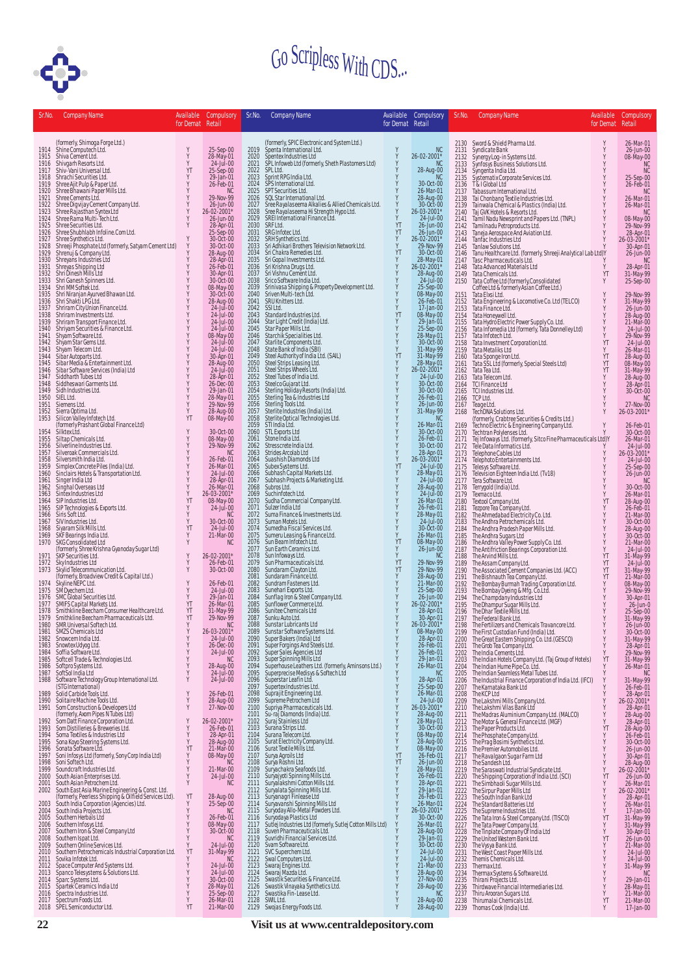

| Sr.No.       | Company Name                                                                                                                                                                                                                                                 | Available<br>for Demat Retail | <b>Compulsory</b>                                             | Sr.No.       | Company Name                                                                                                                                                                                                                                              | for Demat Retail                             | Available Compulsory <mark>I</mark>              |                      | Sr.No. Company Name                                                                                                                                                                                                                                                                                                                                                                                                                                                                              | for Demat Retail                             | Available Compulsory                                                                    |
|--------------|--------------------------------------------------------------------------------------------------------------------------------------------------------------------------------------------------------------------------------------------------------------|-------------------------------|---------------------------------------------------------------|--------------|-----------------------------------------------------------------------------------------------------------------------------------------------------------------------------------------------------------------------------------------------------------|----------------------------------------------|--------------------------------------------------|----------------------|--------------------------------------------------------------------------------------------------------------------------------------------------------------------------------------------------------------------------------------------------------------------------------------------------------------------------------------------------------------------------------------------------------------------------------------------------------------------------------------------------|----------------------------------------------|-----------------------------------------------------------------------------------------|
|              | (formerly, Shimoga Forge Ltd.)<br>1914 Shine Computech Ltd.                                                                                                                                                                                                  |                               |                                                               |              | (formerly, SPIC Electronic and System Ltd.)<br>Spenta International Ltd.                                                                                                                                                                                  |                                              |                                                  |                      | 2130 Sword & Shield Pharma Ltd.                                                                                                                                                                                                                                                                                                                                                                                                                                                                  | Y                                            | 26-Mar-01                                                                               |
| 1915         | Shine Computech<br>Ltd.<br>Shiva Cement Ltd.<br>Shiva Cement Ltd.<br>Shiva Cement Ltd.<br>Shiva Chine Southers Ltd.<br>Shiree Ajit Pulp & Paper Ltd.<br>Shiree Bhawani Paper Mills Ltd.<br>Shiree Rama Multi-Tech Ltd.<br>Shiree Rama Multi-Tech Ltd.<br>Shi | Y<br>Y                        | 25-Sep-00<br>28-May-01<br>24-Jul-00                           | 2019<br>2020 |                                                                                                                                                                                                                                                           | Y<br>Y                                       | NC<br>26-02-2001*                                | 2131<br>2132         | Syndicate Bank                                                                                                                                                                                                                                                                                                                                                                                                                                                                                   | Y<br>$_{\rm Y}^{\rm Y}$                      | 26-Jun-00                                                                               |
| 1916<br>1917 |                                                                                                                                                                                                                                                              | Y<br>YT                       | 25-Sep-00                                                     | 2021<br>2022 | Spentex Industries Ltd<br>SPL Infoweb Ltd (formerly, Sheth Plastomers Ltd)<br>SPL Ltd.                                                                                                                                                                    | Y                                            | <b>NC</b><br>28-Aug-00                           | 2133<br>2134         |                                                                                                                                                                                                                                                                                                                                                                                                                                                                                                  |                                              | 08-May-00<br>NC<br><b>NC</b>                                                            |
| 1918<br>1919 |                                                                                                                                                                                                                                                              |                               | 29-Jan-01<br>26-Feb-01                                        | 2023<br>2024 | Sprint RPG India Ltd.<br>SPS International Ltd.<br>SPT Securities Ltd.                                                                                                                                                                                    |                                              | NC<br>30-Oct-00                                  | 2135<br>2136         | Synuacue bank<br>Synfosys Business Solutions Ltd.<br>Synfosys Business Solutions Ltd.<br>Systematix Corporate Services Ltd.<br>T&I Global Ltd.<br>T&I Global Ltd.                                                                                                                                                                                                                                                                                                                                | Y                                            | 25-Sep-00<br>26-Feb-01                                                                  |
| 1920<br>1921 |                                                                                                                                                                                                                                                              | Y                             | NC.<br>29-Nov-99                                              | 2025<br>2026 |                                                                                                                                                                                                                                                           |                                              | 26-Mar-01<br>28-Aug-00                           | 2137                 | Ta (Global Ltd<br>and Charles (Ltd, 1994)<br>Tahassum International Ltd, 1994<br>Tahawaka Chemical & Plastics (India) Ltd. 1994<br>Taj GW. Hotels & Resorts Ltd, 1994<br>Tamil Nadu Newsprint and Papers Ltd. (TNPL)<br>Tamilnadu Petropro                                                                                                                                                                                                                                                       |                                              | <b>NC</b>                                                                               |
| 1922         |                                                                                                                                                                                                                                                              | Y                             | 26-Jun-00                                                     | 2027         |                                                                                                                                                                                                                                                           | Υ                                            | 30-Oct-00                                        | 2138<br>2139         |                                                                                                                                                                                                                                                                                                                                                                                                                                                                                                  |                                              | 26-Mar-01<br>26-Mar-01                                                                  |
| 1923<br>1924 |                                                                                                                                                                                                                                                              | Y                             | 26-02-2001*<br>26-Jun-00                                      | 2028<br>2029 | Servicestard.<br>See Rayalaseema Alkalies & Allied Chemicals Ltd.<br>See Rayalaseema Alkalies & Allied Chemicals Ltd.<br>See Rayalaseema Hi Strength Hypo Ltd.<br>SREI International Finance Ltd.                                                         | Y<br>Υ                                       | 26-03-2001*<br>24-Jul-00                         | 2140<br>2141         |                                                                                                                                                                                                                                                                                                                                                                                                                                                                                                  |                                              | NC<br>08-May-00<br>29-Nov-99                                                            |
| 1925<br>1926 | Shree Shubhlabh Infoline.Com Ltd.                                                                                                                                                                                                                            |                               | 28-Apr-01<br>25-Sep-00                                        | 2030<br>2031 | SRF Ltd.                                                                                                                                                                                                                                                  | YT<br>YT                                     | 26-Jun-00<br>26-Jun-00                           | 2142<br>2143         |                                                                                                                                                                                                                                                                                                                                                                                                                                                                                                  |                                              | 28-Apr-01<br>26-03-2001*                                                                |
| 1927<br>1928 | Shree Synthetics Ltd.                                                                                                                                                                                                                                        | Y                             | 30-Oct-00<br>30-Oct-00                                        | 2032<br>2033 | SRG Infotec.Ltd.<br>SRH Synthetics.Ltd.<br>SrH Synthetics.Ltd.<br>Sri Adhikari Brothers Television Network.Ltd.<br>Sri Chakra Remedies.Ltd.                                                                                                               | Υ<br>Y                                       | 26-02-2001*<br>29-Nov-99                         | 2144<br>2145         |                                                                                                                                                                                                                                                                                                                                                                                                                                                                                                  |                                              | 30-Apr-01                                                                               |
| 1929<br>1930 | Street Phosphate Ltd (formerly, Satyam Cement Ltd)<br>Shrenuj & Company Ltd.<br>Shrenuj & Company Ltd.<br>Shreyas Shipping Ltd<br>Shreyas Shipping Ltd<br>Shri Dinesh Mills Ltd                                                                              |                               | 28-Aug-00                                                     | 2034<br>2035 |                                                                                                                                                                                                                                                           | YT                                           | 30-Oct-00<br>28-May-01                           | 2146<br>2147         |                                                                                                                                                                                                                                                                                                                                                                                                                                                                                                  |                                              | 26-Jun-00<br>NC                                                                         |
| 1931<br>1932 |                                                                                                                                                                                                                                                              |                               | 28-Apr-01<br>26-Feb-01<br>30-Apr-01                           | 2036<br>2037 | Sri Gopal Investments Ltd.<br>Sri Krishna Drugs Ltd.<br>Sri Vishnu Cement Ltd.                                                                                                                                                                            | $\begin{array}{c}\nY \\ Y \\ Y\n\end{array}$ | 26-02-2001*<br>28-Aug-00                         | 2148<br>2149         | Tata Chemicals Ltd.                                                                                                                                                                                                                                                                                                                                                                                                                                                                              | YT                                           | 28-Apr-01<br>31-May-99                                                                  |
| 1933         | Shri Ganesh Spinners Ltd.<br>Shri MM Softek Ltd.                                                                                                                                                                                                             |                               | 30-Oct-00                                                     | 2038         | Srico Software India Ltd.                                                                                                                                                                                                                                 |                                              | 24-Jul-00                                        | 2150                 | Tata Coffee Ltd (formerly, Consolidated<br>Coffee Ltd & formerly Asian Coffee Ltd.)                                                                                                                                                                                                                                                                                                                                                                                                              | Y                                            | 25-Sep-00                                                                               |
| 1934<br>1935 | Shri Niranjan Ayurved Bhawan Ltd.<br>Shri Shakti LPG Ltd.                                                                                                                                                                                                    |                               | 08-May-00<br>30-Oct-00                                        | 2039<br>2040 | Srinivasa Shipping & Property Development Ltd.<br>Sriven Multi-tech Ltd.                                                                                                                                                                                  | $_{\rm Y}^{\rm Y}$<br>Y                      | 25-Sep-00<br>08-May-00                           | 2151                 |                                                                                                                                                                                                                                                                                                                                                                                                                                                                                                  | Y                                            | 29-Nov-99                                                                               |
| 1936<br>1937 | Shriram City Union Finance Ltd.<br>Shriram Investments Ltd.                                                                                                                                                                                                  | $\frac{Y}{Y}$                 | 28-Aug-00<br>24-Jul-00                                        | 2041<br>2042 | SRU Knitters Ltd.<br>SSI Ltd.                                                                                                                                                                                                                             | Ŷ                                            | 26-Feb-01<br>17-Jan-00                           | 2152<br>2153         |                                                                                                                                                                                                                                                                                                                                                                                                                                                                                                  | Y<br>Y                                       | 27-100-77<br>31-May-99<br>26-Jun-00<br>28-Aug-00<br>21-Mar-00                           |
| 1938<br>1939 | Shriram Transport Finance Ltd.                                                                                                                                                                                                                               | Y                             | 24-Jul-00<br>24-Jul-00                                        | 2043<br>2044 |                                                                                                                                                                                                                                                           |                                              | 08-May-00<br>29-Jan-01                           | 2154<br>2155         |                                                                                                                                                                                                                                                                                                                                                                                                                                                                                                  | Y<br>Y<br>Y                                  |                                                                                         |
| 1940<br>1941 | Shriyam Securities & Finance Ltd.<br>Shyam Software Ltd.                                                                                                                                                                                                     | Y                             | 24-Jul-00<br>08-May-00                                        | 2045<br>2046 | Statut<br>Standard Industries Ltd.<br>Star Paper Mills Ltd.<br>Star Paper Mills Ltd.<br>Star Paper Mills Ltd.<br>Starchik Specialities Ltd.<br>Starik Specialities Ltd.<br>Stare Bank of India (SBI)<br>Steel Authority of India Ltd.<br>Steel Strips Lea | トレイント                                        | 25-Sep-00                                        | 2156<br>2157         | Concellus a formerly Asian Corree Ltd.)<br>Tata Ekisi Ltd.<br>Tata Engineering & Locomotive Co. Ltd (TELCO)<br>Tata Finance Ltd.<br>Tata Honeywell Ltd.<br>Tata Informedia Ltd (formerly, Tata Donnelley Ltd)<br>Tata Informedia Ltd (formerly,                                                                                                                                                                                                                                                  | Y                                            | 24-Jul-00<br>29-Nov-99                                                                  |
| 1942<br>1943 | Shyam Star Gems Ltd.<br>Shyam Telecom Ltd.                                                                                                                                                                                                                   | Y<br>Y                        | 24-Jul-00<br>24-Jul-00                                        | 2047<br>2048 |                                                                                                                                                                                                                                                           | Υ                                            | 28-May-01<br>30-Oct-00                           | 2158<br>2159         | Tata Investment Corporation Ltd.<br>Tata Metaliks Ltd                                                                                                                                                                                                                                                                                                                                                                                                                                            | YT<br>Y                                      | 24-Jul-00<br>26-Mar-01                                                                  |
| 1944<br>1945 | Sibar Autoparts Ltd.<br>Sibar Media & Entertainment Ltd.                                                                                                                                                                                                     | Y<br>Y                        | 30-Apr-01<br>28-Aug-00                                        | 2049<br>2050 |                                                                                                                                                                                                                                                           | YT<br>Y                                      | 31-May-99<br>31-May-99<br>28-May-01              | 2160<br>2161         | Tata Sponge Iron Ltd.<br>Tata SSL Ltd (formerly, Special Steels Ltd)                                                                                                                                                                                                                                                                                                                                                                                                                             | YT                                           | 28-Aug-00<br>28-Aug-00<br>08-May-00<br>31-May-99<br>28-Aug-00<br>28-Apr-01<br>30-Oct-00 |
| 1946         | Sibar Software Services (India) Ltd                                                                                                                                                                                                                          | Y<br>Y                        | 24-Jul-00                                                     | 2051         |                                                                                                                                                                                                                                                           | Y                                            | 26-02-2001*                                      | 2162                 | Tata Tea Ltd.                                                                                                                                                                                                                                                                                                                                                                                                                                                                                    | >>>>>>                                       |                                                                                         |
| 1947<br>1948 | Siddharth Tubes Ltd<br>Siddheswari Garments Ltd.                                                                                                                                                                                                             | Y                             | 28-Apr-01<br>26-Dec-00                                        | 2052<br>2053 |                                                                                                                                                                                                                                                           |                                              | 24-Jul-00<br>30-Oct-00                           | 2163<br>2164         | Tata Telecom Ltd.<br>TCI Finance Ltd                                                                                                                                                                                                                                                                                                                                                                                                                                                             |                                              |                                                                                         |
| 1949<br>1950 | Sidh Industries Ltd.<br>SIEL Ltd.                                                                                                                                                                                                                            | Y                             | 29-Jan-01<br>28-May-01                                        | 2054<br>2055 |                                                                                                                                                                                                                                                           |                                              | 30-Oct-00<br>26-Feb-01                           | 2165<br>2166         | TCI Industries Ltd.<br>TCP Ltd.                                                                                                                                                                                                                                                                                                                                                                                                                                                                  | Y                                            | <b>NC</b>                                                                               |
| 1951<br>1952 | Siemens Ltd.                                                                                                                                                                                                                                                 | Y<br>Y                        | 29-Nov-99                                                     | 2056<br>2057 | Sterling Tools Ltd.                                                                                                                                                                                                                                       | $\frac{Y}{Y}$                                | 26-Jun-00<br>31-May-99                           | 2167<br>2168         |                                                                                                                                                                                                                                                                                                                                                                                                                                                                                                  |                                              | 27-Nov-00<br>26-03-2001*                                                                |
| 1953         | Sierra Optima Ltd.<br>Silicon Valley Infotech Ltd.<br>(formerly Prashant Global Finance Ltd)                                                                                                                                                                 | YT                            | 28-Aug-00<br>08-May-00                                        | 2058<br>2059 | Sterlite Industries (India) Ltd.<br>Sterlite Optical Technologies Ltd.<br>STI India Ltd.                                                                                                                                                                  |                                              | <b>NC</b><br>26-Mar-01                           | 2169                 |                                                                                                                                                                                                                                                                                                                                                                                                                                                                                                  |                                              | 26-Feb-01                                                                               |
| 1954<br>1955 | Silktex Ltd.<br>Siltap Chemicals Ltd.                                                                                                                                                                                                                        | Y<br>Y                        | 30-Oct-00<br>08-May-00                                        | 2060<br>2061 | STL Exports Ltd<br>Stone India Ltd.                                                                                                                                                                                                                       |                                              | 30-Oct-00<br>26-Feb-01                           | 2170<br>2171         |                                                                                                                                                                                                                                                                                                                                                                                                                                                                                                  |                                              | 30-Oct-00<br>26-Mar-01                                                                  |
| 1956         | Silverline Industries Ltd.                                                                                                                                                                                                                                   | Y                             | 29-Nov-99                                                     | 2062         | Stresscrete India Ltd.                                                                                                                                                                                                                                    | Y                                            | 30-Oct-00                                        | 2172                 |                                                                                                                                                                                                                                                                                                                                                                                                                                                                                                  |                                              | 24-Jul-00                                                                               |
| 1957<br>1958 | Silveroak Commercials Ltd.<br>Silversmith India Ltd.                                                                                                                                                                                                         | Y                             | <b>NC</b><br>26-Feb-01                                        | 2063<br>2064 | Strides Arcolab Ltd<br>Suashish Diamonds Ltd                                                                                                                                                                                                              | Υ                                            | 28-Apr-01<br>26-03-2001*                         | 2173<br>2174         |                                                                                                                                                                                                                                                                                                                                                                                                                                                                                                  |                                              | 26-03-2001*<br>24-Jul-00                                                                |
|              | 1959 Simplex Concrete Piles (India) Ltd.<br>1960 Sinclairs Hotels & Transportation Ltd.                                                                                                                                                                      | Y<br>Y                        | 26-Mar-01<br>24-Jul-00                                        | 2065<br>2066 | Subex Systems Ltd.<br>Subhash Capital Markets Ltd.<br>Subhash Projects & Marketing Ltd.                                                                                                                                                                   | YT<br>Υ                                      | 24-Jul-00<br>28-May-01                           | 2175<br>2176         |                                                                                                                                                                                                                                                                                                                                                                                                                                                                                                  |                                              | 25-Sep-00<br>26-Jun-00                                                                  |
|              | 1961 Singer India Ltd<br>1962 Singhal Overseas Ltd                                                                                                                                                                                                           | Y<br>Y                        | 28-Apr-01<br>26-Mar-01                                        | 2067<br>2068 | Subros Ltd.                                                                                                                                                                                                                                               | Y                                            | 24-Jul-00                                        | 2177<br>2178         |                                                                                                                                                                                                                                                                                                                                                                                                                                                                                                  |                                              | <b>NC</b><br>30-Oct-00                                                                  |
| 1963<br>1964 | Sintex Industries Ltd<br>SIP Industries Ltd.                                                                                                                                                                                                                 | Y<br>YT                       | 26-03-2001*<br>08-May-00                                      | 2069<br>2070 | Suchinfotech Ltd.<br>Sudha Commercial Company Ltd.                                                                                                                                                                                                        | Ÿ                                            | 28-Aug-00<br>24-Jul-00<br>26-Mar-01              | 2179<br>2180         | Teapel Ltd.<br>Teapel Ltd.<br>TechDNA Solutions Ltd.<br>(formerly, Crabtree Securities & Credits Ltd.)<br>Techno Electric & Engineering Company Ltd.<br>Techno Electric & Engineering Company Ltd.<br>Techno Electric & Engineering Compan<br>Textraction International Communication<br>Textraction Company Ltd.<br>Textro Company Ltd.<br>The Ahmedabad Electricity Co. Ltd.<br>The Andhra Petrochemicals Ltd.<br>The Andhra Petrochemicals Ltd.<br>The Andhra Sugars Ltd<br>The Andhra Sugars | YT                                           | 26-Mar-01<br>28-Aug-00                                                                  |
| 1965<br>1966 | SIP Technologies & Exports Ltd.<br>Siris Soft Ltd.                                                                                                                                                                                                           | Y<br>Y                        | 24-Jul-00<br><b>NC</b>                                        | 2071<br>2072 | Sulzer India Ltd<br>Suma Finance & Investments Ltd.                                                                                                                                                                                                       |                                              | 26-Feb-01<br>28-May-01                           | 2181<br>2182         |                                                                                                                                                                                                                                                                                                                                                                                                                                                                                                  |                                              | 26-Feb-01<br>21-Mar-00                                                                  |
| 1968         | 1967 SIV Industries Ltd.                                                                                                                                                                                                                                     | Y<br>YT                       | 30-Oct-00<br>24-Jul-00                                        | 2073<br>2074 | Suman Motels Ltd.                                                                                                                                                                                                                                         | $\frac{Y}{Y}$                                | 24-Jul-00<br>30-Oct-00                           | 2183                 |                                                                                                                                                                                                                                                                                                                                                                                                                                                                                                  | メメメス                                         | 30-Oct-00                                                                               |
| 1969         | Siyaram Silk Mills Ltd.<br>SKF Bearings India Ltd.                                                                                                                                                                                                           | Υ                             | 21-Mar-00                                                     | 2075         | Sumedha Fiscal Services Ltd.<br>Sumeru Leasing & Finance Ltd.<br>Sun Beam Infotech Ltd.                                                                                                                                                                   | y<br>Y<br>YT                                 | 26-Mar-01                                        | 2184<br>2185         |                                                                                                                                                                                                                                                                                                                                                                                                                                                                                                  |                                              | 28-Aug-00<br>30-Oct-00                                                                  |
| 1970         | SKG Consolidated Ltd<br>(formerly, Shree Krishna Gyanoday Sugar Ltd)<br>SKP Securities Ltd.                                                                                                                                                                  | Y                             | <b>NC</b>                                                     | 2076<br>2077 | Sun Earth Ceramics Ltd.                                                                                                                                                                                                                                   | Υ                                            | 08-May-00<br>26-Jun-00                           | 2186<br>2187         |                                                                                                                                                                                                                                                                                                                                                                                                                                                                                                  | Y<br>Y                                       | 21-Mar-00<br>24-Jul-00                                                                  |
| 1971<br>1972 | Sky Industries Ltd                                                                                                                                                                                                                                           | Y                             | 26-02-2001*<br>26-Feb-01                                      | 2078<br>2079 | Suintenfuncations.<br>Sun Infoways.Ltd.<br>Sun Pharmaceuticals.Ltd.<br>Sundramm Calyon Ltd.<br>Sundramm Faisners.Ltd.<br>Sundram Fastenes.Ltd.<br>Sundrag Fron & Steel Company.Ltd.<br>Sundrag Fron & Steel Company.Ltd.<br>Sundrage Commerce.Ltd.        | Y<br>YT                                      | <b>NC</b><br>29-Nov-99                           | 2188<br>2189         |                                                                                                                                                                                                                                                                                                                                                                                                                                                                                                  | YT<br>YT                                     | 31-May-99<br>24-Jul-00                                                                  |
| 1973         | Skylid Telecommunication Ltd.<br>(formerly, Broadview Credit & Capital Ltd.)<br>Skyline NEPC Ltd.                                                                                                                                                            | Y                             | 30-Oct-00                                                     | 2080<br>2081 |                                                                                                                                                                                                                                                           | YT<br>Υ                                      | 29-Nov-99                                        | 2190<br>2191         |                                                                                                                                                                                                                                                                                                                                                                                                                                                                                                  | YT<br>YT                                     | 31-May-99<br>21-Mar-00                                                                  |
| 1974<br>1975 |                                                                                                                                                                                                                                                              | Y<br>Y                        | 26-Feb-01<br>24-Jul-00                                        | 2082<br>2083 |                                                                                                                                                                                                                                                           | Y<br>Y                                       | 28-Aug-00<br>21-Mar-00<br>25-Sep-00              | 2192<br>2193         |                                                                                                                                                                                                                                                                                                                                                                                                                                                                                                  | Y<br>Υ                                       | 08-May-00<br>29-Nov-99                                                                  |
| 1976<br>1977 | Skyline were cerared<br>SMO gechem Ltd.<br>SMC Global Securities Ltd.<br>Smithkline Beecham Consumer Healthcare Ltd.<br>Smithkline Beecham Consumer Healthcare Ltd.                                                                                          | Y<br>YT                       | 29-Jan-01                                                     | 2084<br>2085 |                                                                                                                                                                                                                                                           |                                              | 26-Jun-00<br>26-02-2001*                         | 2194                 |                                                                                                                                                                                                                                                                                                                                                                                                                                                                                                  | Y                                            | 27-100-77<br>30-Apr-01<br>26-Jun-0<br>25-Sep-00<br>31-May-99                            |
| 1978<br>1979 | Smithkline Beecham Pharmaceuticals Ltd.                                                                                                                                                                                                                      | YT<br>YT                      | 26-Mar-01<br>31-May-99<br>29-Nov-99                           | 2086<br>2087 | Sunitee Chemicals Ltd<br>Sunku Auto Ltd.                                                                                                                                                                                                                  | Y                                            | 28-Apr-01<br>30-Apr-01                           | 2195<br>2196<br>2197 | The Federal Bank Ltd.                                                                                                                                                                                                                                                                                                                                                                                                                                                                            | Y                                            |                                                                                         |
| 1980         | SMR Universal Softech Ltd.                                                                                                                                                                                                                                   | Y                             | NC                                                            | 2088         | Sunstar Lubricants Ltd                                                                                                                                                                                                                                    | Y                                            | 26-03-2001*                                      | 2198                 | The Fertilizers and Chemicals Travancore Ltd.                                                                                                                                                                                                                                                                                                                                                                                                                                                    | Y                                            | 26-Jun-00                                                                               |
| 1981<br>1982 | SMZS Chemicals Ltd<br>Snowcem India Ltd.                                                                                                                                                                                                                     | Y                             | 26-03-2001*<br>24-Jul-00                                      | 2089         | Sunstar Software Systems Ltd.                                                                                                                                                                                                                             | Y                                            | 08-May-00<br>28-Apr-01                           |                      | 2199 The First Custodian Fund (India) Ltd.                                                                                                                                                                                                                                                                                                                                                                                                                                                       |                                              | $30-0ct-00$                                                                             |
| 1983<br>1984 | Snowtex Udyog Ltd.<br>Soffia Software Ltd.<br>Softcell Trade & Technologies Ltd.                                                                                                                                                                             | Y<br>Y                        | 26-Dec-00<br>24-Jul-00                                        |              | 2090 Super Bakers (India) Ltd<br>2091 Super Forgings And Steels Ltd.<br>2092 Super Sales Agencies Ltd                                                                                                                                                     | Υ                                            | 26-Feb-01<br>26-Feb-01                           |                      |                                                                                                                                                                                                                                                                                                                                                                                                                                                                                                  |                                              |                                                                                         |
| 1985         | 1986 Softpro Systems Ltd.                                                                                                                                                                                                                                    | Y<br>Y                        | NC<br>28-Aug-00                                               | 2093<br>2094 | Super Spinning Mills Ltd                                                                                                                                                                                                                                  |                                              | 29-Jan-01<br>26-Mar-01                           |                      | 2000 The Great Eastern Shipping Co. Ltd. (GESCO)<br>2001 The Great Eastern Shipping Co. Ltd. (GESCO)<br>2012 The Great Eastern Shipping Co. Ltd. (GESCO)<br>2203 The Indian Hotels Company Ltd. (Taj Group of Hotels)<br>2204 The Indi                                                                                                                                                                                                                                                           |                                              |                                                                                         |
| 1988         | 1987 SoftSol India Ltd                                                                                                                                                                                                                                       | Y                             | 24-Jul-00<br>24-Jul-00                                        | 2095<br>2096 | Superhouse Leathers Ltd. (formerly, Aminsons Ltd.)<br>Superprecise Medisys & Softech Ltd<br>Superstar Leafin Ltd.                                                                                                                                         |                                              | NC<br>28-Apr-01                                  | 2205<br>2206         | The Indian Seamless Metal Tubes Ltd.                                                                                                                                                                                                                                                                                                                                                                                                                                                             |                                              | NC                                                                                      |
| 1989         | Software Technology Group International Ltd.<br>(STG International)<br>Solid Carbide Tools Ltd.                                                                                                                                                              | Y                             | 26-Feb-01                                                     | 2097<br>2098 | Supertex Industries Ltd.<br>Suprajit Engineering Ltd.                                                                                                                                                                                                     |                                              | 25-Sep-00<br>26-Mar-01                           | 2207<br>2208         | The Industrial Finance Corporation of India Ltd. (IFCI) Y 31-May-99<br>The Karnataka Bank Ltd Y 26-Feb-01<br>The KCP Ltd                                                                                                                                                                                                                                                                                                                                                                         | Y                                            |                                                                                         |
|              | 1990 Solitaire Machine Tools Ltd.                                                                                                                                                                                                                            | Y                             | 28-Aug-00<br>27-Nov-00                                        | 2099<br>2100 |                                                                                                                                                                                                                                                           |                                              | 24-Jul-00<br>26-03-2001*                         |                      | 2209 The Lakshmi Mills Company Ltd.<br>2210 The Lakshmi Vilas Bank Ltd                                                                                                                                                                                                                                                                                                                                                                                                                           | Y -                                          | 28-Apr-01<br>26-02-2001*                                                                |
|              | 1991 Som Construction & Developers Ltd<br>(formerly, Axom Pipes N Tubes Ltd)<br>1992 Som Datt Finance Corporation Ltd.                                                                                                                                       | Y                             |                                                               | 2101         | supreme Petrochem Ltd<br>Supriya Pharmaceuticals Ltd.<br>Su-raj Dlamonds (India) Ltd.<br>Suraj Stainless Ltd<br>Surana Strips Ltd.<br>Surana Telecom Ltd.<br>Urat Elecom Ltd.                                                                             | <b>ススススススメメス</b>                             | 28-Aug-00<br>28-May-01                           |                      | 2211 The Madras Aluminium Company Ltd. (MALCO)                                                                                                                                                                                                                                                                                                                                                                                                                                                   |                                              | y 28-Apr-01<br>Y 28-Aug-00<br>Y 28-Aug-00<br>Y 28-Aug-00                                |
|              | 1993 Som Distilleries & Breweries Ltd.                                                                                                                                                                                                                       | Y                             | 26-02-2001*<br>26-Feb-01                                      |              | 2102 Suraj Stainless Ltd<br>2103 Surana Strips Ltd.                                                                                                                                                                                                       |                                              | 30-Oct-00                                        |                      | 2212 The Motor & General Finance Ltd. (MGF)                                                                                                                                                                                                                                                                                                                                                                                                                                                      |                                              |                                                                                         |
| 1995         | 1994 Soma Textiles & Industries Ltd                                                                                                                                                                                                                          | Y<br>$\dot{Y}$                | 28-Apr-01<br>28-Aug-00                                        |              | 2104 Surana Telecom Ltd.<br>2104 Surana Telecom Ltd.<br>2105 Surat Textile Mills Ltd.                                                                                                                                                                     |                                              | 08-May-00<br>28-Aug-00<br>28-May-00<br>26-Feb-01 |                      | 2212 The Paper Products Ltd.<br>2213 The Paper Products Ltd.<br>2214 The Phosphate Company Ltd.<br>2215 The Prag Bosimi Synthetics Ltd.<br>2216 The Premier Automobiles Ltd.<br>2217 The Ravalgaon Sugar Farm Ltd                                                                                                                                                                                                                                                                                | Y<br>Y -                                     | 26-Feb-01<br>30-Oct-00                                                                  |
| 1996<br>1997 |                                                                                                                                                                                                                                                              | YT<br>Y                       | 21-Mar-00                                                     |              |                                                                                                                                                                                                                                                           |                                              |                                                  |                      |                                                                                                                                                                                                                                                                                                                                                                                                                                                                                                  | $\frac{Y}{Y}$                                |                                                                                         |
| 1998         | soma Textiles & Brewnericus<br>Soma Koyo Steering Systems Ltd.<br>Soma Koyo Steering Systems Ltd.<br>Somi Infosys Ltd (formerly, Sony Corn India - 1111<br>Somi Infosys Ltd (formerly, Sony Corn India - 11111)<br>Sounders Pt.                              | Y                             | 08-May-00<br>NC<br>21-Mar-00                                  |              |                                                                                                                                                                                                                                                           |                                              | 26-Jun-00<br>28-May-01                           |                      | 2218 The Sandesh Ltd.                                                                                                                                                                                                                                                                                                                                                                                                                                                                            | Y<br>Ÿ                                       | 26-Jun-00<br>30-Apr-01<br>28-Aug-00<br>26-02-2001*                                      |
|              | 1999 Soundcraft Industries Ltd.<br>2000 South Asian Enterprises Ltd.<br>2001 South Asian Petrochem Ltd.                                                                                                                                                      | Y<br>Y                        | 24-Jul-00<br>$N$ C                                            |              |                                                                                                                                                                                                                                                           |                                              | 26-Feb-01                                        |                      | 2219 The Sarawasti Lud<br>2220 The Saraswati Industrial Syndicate Ltd.<br>2220 The Shipping Corporation of India Ltd. (SCI)<br>2221 The Simburabi Sugar Mills Ltd.<br>2222 The Simbur Denor Mills Ltd.                                                                                                                                                                                                                                                                                           | YT                                           | 26-Jun-00<br>26-Mar-01                                                                  |
| 2002         | South East Asia Marine Engineering & Const. Ltd.                                                                                                                                                                                                             | YT                            |                                                               |              |                                                                                                                                                                                                                                                           |                                              | 28-Apr-01<br>29-Jan-01                           | 2222                 |                                                                                                                                                                                                                                                                                                                                                                                                                                                                                                  | $Y \ Y$                                      | 26-02-2001*                                                                             |
|              |                                                                                                                                                                                                                                                              |                               | 28-Aug-00<br>25-Sep-00                                        |              | 2104 Surana Telecom Ltd.<br>2104 Surana Telecom Ltd.<br>2105 Surana Telecom Ltd.<br>2106 Surat Textile Mills Ltd.<br>2107 Surya Agrolis Ltd.<br>2107 Surya Agrolis Ltd.<br>21109 Surya Robarni Ltd.<br>2111 Suryalaks Spinning Mills Ltd.<br>2            |                                              | 26-Feb-01<br>26-Mar-01                           | 2223<br>2224         |                                                                                                                                                                                                                                                                                                                                                                                                                                                                                                  | Y<br>$\frac{Y}{Y}$                           | 28-Apr-01<br>26-Mar-01<br>17-Jan-00                                                     |
|              | 2005 Southern Herbals Ltd                                                                                                                                                                                                                                    | Y                             | ' NC<br>26-Feb-01                                             |              |                                                                                                                                                                                                                                                           |                                              | 26-03-2001*<br>30-Oct-00                         | 2225<br>2226         |                                                                                                                                                                                                                                                                                                                                                                                                                                                                                                  | YT                                           |                                                                                         |
|              | 2006 Southern Infosys Ltd.<br>2007 Southern Iron & Steel Company Ltd                                                                                                                                                                                         |                               | 08-May-00<br>30-Oct-00                                        | 2118         | Suven Pharmaceuticals Ltd.                                                                                                                                                                                                                                |                                              | 26-Mar-01                                        | 2227<br>2228         |                                                                                                                                                                                                                                                                                                                                                                                                                                                                                                  | Y<br>Y                                       | 31-May-99<br>31-May-99<br>30-Apr-01<br>26-Jun-00                                        |
|              | 2008 Southern Ispat Ltd.                                                                                                                                                                                                                                     |                               | NC<br>24-Jul-00                                               |              | 2119 Suvridhi Financial Services Ltd.<br>2120 Svam Software Ltd.                                                                                                                                                                                          |                                              | 28-Aug-00<br>29-Jan-01<br>30-Oct-00              | 2229<br>2230         |                                                                                                                                                                                                                                                                                                                                                                                                                                                                                                  | YT                                           | 21-Mar-00                                                                               |
|              | 2011 Sovika Infotek Ltd.                                                                                                                                                                                                                                     |                               | $31$ -May-99                                                  |              | 2121 SVC Superchem Ltd.                                                                                                                                                                                                                                   |                                              | 24-Jul-00<br>24-Jul-00                           | 2231<br>2232         |                                                                                                                                                                                                                                                                                                                                                                                                                                                                                                  | $\begin{array}{c}\nY \\ Y \\ Y\n\end{array}$ | 24-Jul-00<br>24-Jul-00                                                                  |
|              | 2011 Sovika Inforek Ltd.<br>2012 Space Computer And Systems Ltd.<br>2013 Spanco Telesystems & Solutions Ltd.                                                                                                                                                 | Y                             | 24-Jul-00<br>24-Jul-00                                        |              | 2122 Swal Computers Ltd.<br>2123 Swaraj Engines Ltd.<br>2124 Swaraj Mazda Ltd.                                                                                                                                                                            |                                              | 21-Mar-00<br>28-Aug-00                           | 2233<br>2234         |                                                                                                                                                                                                                                                                                                                                                                                                                                                                                                  | Y<br>Y                                       | $31$ -May-99                                                                            |
|              | 2014 Sparc Systems Ltd.<br>2015 Spartek Ceramics India Ltd                                                                                                                                                                                                   |                               |                                                               |              |                                                                                                                                                                                                                                                           |                                              | 27-Nov-00<br>28-Aug-00                           | 2235                 | The Shipping Corporation of India Ltd. (SCI)<br>The Simping Corporation of India Ltd. (SCI)<br>The Simping Paper Mills Ltd<br>The Simping Paper Mills Ltd<br>The Simping Paper Mills Ltd<br>The Simping Paper India<br>Strict The Simping Paper<br>Thirdwave Financial Intermediaries Ltd.                                                                                                                                                                                                       | Y                                            | 29-Jan-01                                                                               |
|              | 2016 Spectra Industries Ltd.                                                                                                                                                                                                                                 | Y<br>Y                        | 30-Oct-00<br>28-May-01<br>25-Sep-00<br>26-Mar-01<br>21-Mar-00 |              |                                                                                                                                                                                                                                                           |                                              | N<br>28-Aug-00                                   | 2236<br>2237         | Thiru Arooran Sugars Ltd.                                                                                                                                                                                                                                                                                                                                                                                                                                                                        | Y<br>Y                                       | 28-May-01<br>21-Mar-00                                                                  |
|              | 2017 Spectrum Foods Ltd.<br>2018 SPEL Semiconductor Ltd.                                                                                                                                                                                                     | YT                            |                                                               |              | 2124 Swaraj Mazda Ltd.<br>2125 Swastik Securities & Finance Ltd.<br>2126 Swastik Minayaka Synthetics Ltd.<br>2127 Swastik Afin-Lease Ltd.<br>2128 SWIL Ltd.<br>2129 Swojas Energy Foods Ltd.                                                              |                                              | 28-Aug-00                                        | 2238                 | Thirumalai Chemicals Ltd.<br>2239 Thomas Cook (India) Ltd.                                                                                                                                                                                                                                                                                                                                                                                                                                       | YT                                           | 21-Mar-00<br>17-Jan-00                                                                  |
|              |                                                                                                                                                                                                                                                              |                               |                                                               |              |                                                                                                                                                                                                                                                           |                                              |                                                  |                      |                                                                                                                                                                                                                                                                                                                                                                                                                                                                                                  |                                              |                                                                                         |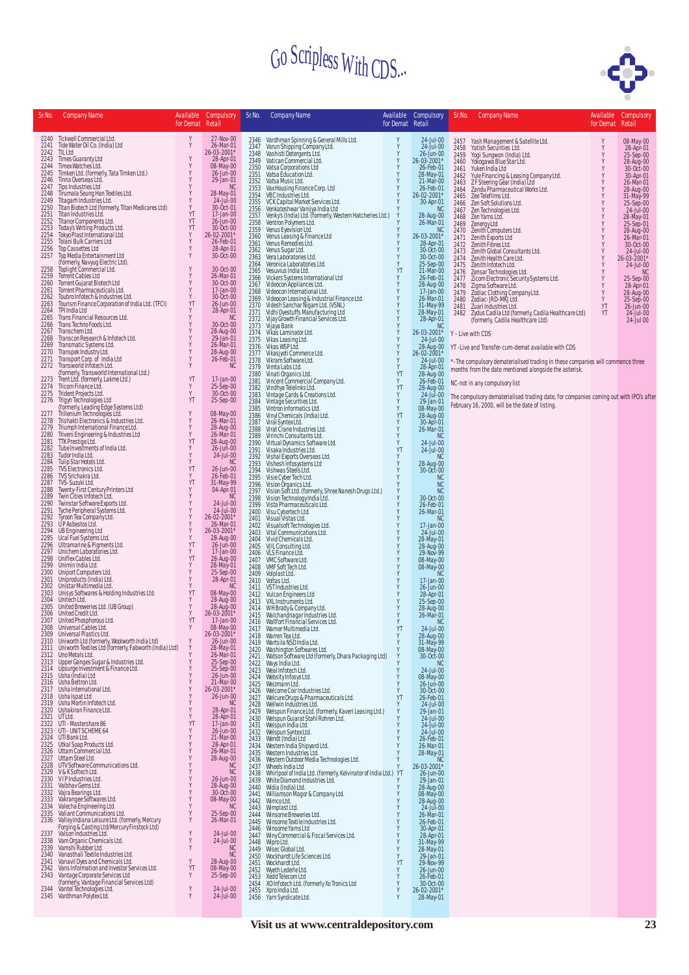

| Sr.No.               | Company Name                                                                                                                                                                                            | for Demat Retail   | Available Compulsory                  | Sr.No.               | <b>Company Name</b>                                                                                                                        | Available                            | Compulsory<br>for Demat Retail        | Sr.No. Company Name                                                                                                                                          | for Demat Retail | Available Compulsory                |
|----------------------|---------------------------------------------------------------------------------------------------------------------------------------------------------------------------------------------------------|--------------------|---------------------------------------|----------------------|--------------------------------------------------------------------------------------------------------------------------------------------|--------------------------------------|---------------------------------------|--------------------------------------------------------------------------------------------------------------------------------------------------------------|------------------|-------------------------------------|
|                      | 2240 Tickwell Commercial Ltd.<br>2241 Tide Water Oil Co. (India) Ltd                                                                                                                                    | Y<br>Υ             | 27-Nov-00<br>26-Mar-01                | 2347                 | 2346 Vardhman Spinning & General Mills Ltd.                                                                                                | $\frac{\mathsf{Y}}{\mathsf{Y}}$      | $24$ -Jul-00<br>24-Jul-00             | 2457 Yash Management & Satellite Ltd.<br>2458<br>Yatish Securities Ltd.                                                                                      | Y<br>Y           | 08-May-00<br>28-Apr-01              |
| 2242<br>2243         | TIL Ltd<br>Times Guaranty Ltd                                                                                                                                                                           | Y                  | 26-03-2001*<br>28-Apr-01              | 2348<br>2349         | Varun Shipping Company Ltd.<br>Vashisti Detergents Ltd.<br>Vatican Commercial Ltd.                                                         | Y<br>Y                               | 26-Jun-00<br>26-03-2001*              | Yogi Sungwon (India) Ltd.<br>Yokogawa Blue Star Ltd.<br>2459<br>2460                                                                                         | Y<br>Y           | 25-Sep-00<br>28-Aug-00              |
| 2244<br>2245         | Timex Watches Ltd.<br>Timken Ltd. (formerly, Tata Timken Ltd.)                                                                                                                                          | Y<br>Y             | 08-May-00<br>26-Jun-00                | 2350<br>2351         | Vatsa Corporations Ltd<br>Vatsa Education Ltd.                                                                                             | Y<br>Y                               | 26-Feb-01<br>28-May-01                | Yuken India Ltd<br>2461<br>Yule Financing & Leasing Company Ltd.<br>2462                                                                                     | Y                | 30-Oct-00<br>30-Apr-01              |
| 2246<br>2247         | Tinna Overseas Ltd.<br>Tips Industries Ltd                                                                                                                                                              | Y<br>Y             | 29-Jan-01<br><b>NC</b>                | 2352<br>2353         | Vatsa Music Ltd.<br>Vax Housing Finance Corp. Ltd<br>VBC Industries Ltd.                                                                   | Y<br>$\frac{\mathsf{Y}}{\mathsf{Y}}$ | 21-Mar-00<br>26-Feb-01                | Z F Steering Gear (India) Ltd<br>2463<br>Zandu Pharmaceutical Works Ltd.<br>2464                                                                             | Y<br>Υ           | 26-Mar-01<br>28-Aug-00              |
| 2248<br>2249         | Tirumala Seung Han Textiles Ltd.<br>Titagarh Industries Ltd.                                                                                                                                            | Y<br>Y<br>Y        | 28-May-01<br>24-Jul-00                | 2354<br>2355         | VCK Capital Market Services Ltd.                                                                                                           | Y                                    | 26-02-2001*<br>30-Apr-01              | 2465<br>Zee Telefilms Ltd.<br>2466 Zen Soft Solutions Ltd.                                                                                                   | Y                | 31-May-99<br>25-Sep-00              |
| 2250<br>2251<br>2252 | Titan Biotech Ltd (formerly, Titan Medicares Ltd)<br>Titan Industries Ltd.<br>Titanor Components Ltd.                                                                                                   | YT<br>YT           | 30-Oct-01<br>17-Jan-00<br>26-Jun-00   | 2356<br>2357         | Venkateshwar Vanijya India Ltd<br>Venky's (India) Ltd. (formerly, Western Hatcheries Ltd.)<br>Ventron Polymers Ltd.                        | Y<br>Y                               | N <sub>C</sub><br>28-Aug-00           | 2467 Zen Technologies Ltd.<br>Zen Yarns Ltd.<br>2468                                                                                                         |                  | 24-Jul-00<br>28-May-01              |
| 2253<br>2254         | Today's Writing Products Ltd.<br>Tokyo Plast International Ltd.                                                                                                                                         | YT<br>Y            | 30-Oct-00<br>26-02-2001*              | 2358<br>2359<br>2360 | Venus Eyevision Ltd.                                                                                                                       | Y<br>Y                               | 26-Mar-01<br>NC<br>26-03-2001*        | 2469<br>Zenergy Ltd<br>2470 Zenith Computers Ltd.                                                                                                            |                  | 25-Sep-01<br>28-Aug-00<br>26-Mar-01 |
| 2255<br>2256         | Tolani Bulk Carriers Ltd<br>Top Cassettes Ltd                                                                                                                                                           | Y<br>Y             | 26-Feb-01<br>28-Apr-01                | 2361<br>2362         | Venus Leasing & Finance Ltd<br>Venus Remedies Ltd.<br>Venus Sugar Ltd.                                                                     | Y<br>Y                               | 28-Apr-01<br>30-0ct-00                | Zenith Exports Ltd<br>2471<br>2472 Zenith Fibres Ltd.<br>2472 - Zentri Francisco.<br>2473 - Zentth Global Consultants Ltd.<br>2.13 - Zentth Hoalth Carel td. | Y<br>Y           | 30-Oct-00<br>24-Jul-00              |
| 2257                 | Top Media Entertainment Ltd<br>(formerly, Navyug Electric Ltd).<br>Toplight Commercial Ltd.                                                                                                             | Y                  | 30-Oct-00                             | 2363<br>2364         | Vera Laboratories Ltd.<br>Veronica Laboratories Ltd.                                                                                       | Y<br>Y                               | 30-Oct-00<br>25-Sep-00                | 2474 Zenith Health Care Ltd.<br>2475 Zenith Infotech Ltd.                                                                                                    | Y                | 26-03-2001*<br>24-Jul-00            |
| 2258<br>2259         | Torrent Cables Ltd                                                                                                                                                                                      | Υ<br>Y             | 30-Oct-00<br>26-Mar-01                | 2365<br>2366         | Vesuvius India Ltd.<br>Vickers Systems International Ltd                                                                                   | YT<br>Y                              | 21-Mar-00<br>26-Feb-01                | 2476<br>Zensar Technologies Ltd.<br>zensar rechnologies Ltd.<br>Zicom Electronic Security Systems Ltd.<br>2477                                               | Y                | NC<br>25-Sep-00                     |
| 2260<br>2261         | Torrent Gujarat Biotech Ltd<br>Torrent Pharmaceuticals Ltd.                                                                                                                                             | Υ<br>Y<br>Y        | 30-Oct-00<br>17-Jan-00                | 2367<br>2368         | Videocon Appliances Ltd.<br>Videocon International Ltd.                                                                                    | Y<br>Υ                               | 28-Aug-00<br>17-Jan-00                | 2478<br>Zigma Software Ltd.<br>Zodiac Clothing Company Ltd.<br>2479                                                                                          | Y<br>Y           | 28-Apr-01<br>28-Aug-00              |
| 2262<br>2263<br>2264 | Toubro Infotech & Industries Ltd.<br>Tourism Finance Corporation of India Ltd. (TFCI)<br>TPI India Ltd                                                                                                  | YT<br>Y            | 30-Oct-00<br>26-Jun-00                | 2369<br>2370         | Videocon Leasing & Industrial Finance Ltd.<br>Videsh Sanchar Nigam Ltd. (VSNL)                                                             | Υ                                    | 26-Mar-01<br>31-May-99<br>28-May-01   | Zodiac-JRD-MKJ Ltd.<br>2480<br>2481 Zuari Industries Ltd.                                                                                                    | YT               | 25-Sep-00<br>26-Jun-00              |
| 2265<br>2266         | Trans Financial Resources Ltd.<br>Trans Techno Foods Ltd.                                                                                                                                               | Y<br>Y             | 28-Apr-01<br><b>NC</b><br>30-Oct-00   | 2371<br>2372         | Vidhi Dyestuffs Manufacturing Ltd<br>Vijay Growth Financial Services Ltd.                                                                  | 1444444                              | 28-Apr-01                             | 2482 Zydus Cadila Ltd (formerly, Cadila Healthcare Ltd)<br>(formerly, Cadila Healthcare Ltd)                                                                 | YT               | 24-Jul-00<br>24-Jul 00              |
| 2267<br>2268         | Transchem Ltd.<br>Transcon Research & Infotech Ltd.                                                                                                                                                     | Y<br>Y             | 28-Aug-00<br>29-Jan-01                | 2373<br>2374<br>2375 | Vijaya Bank<br>Vikas Laminator Ltd.<br>Vikas Leasing Ltd.                                                                                  |                                      | <b>NC</b><br>26-03-2001*<br>24-Jul-00 | Y - Live with CDS                                                                                                                                            |                  |                                     |
| 2269<br>2270         | Transmatic Systems Ltd.<br>Transpek Industry Ltd.                                                                                                                                                       | Y<br>Y             | 26-Mar-01<br>28-Aug-00                | 2376<br>2377         | Vikas WSP Ltd.<br>Vikasjyoti Commerce Ltd.                                                                                                 | Y<br>Y                               | 28-Aug-00<br>26-02-2001*              | YT-Live and Transfer-cum-demat available with CDS                                                                                                            |                  |                                     |
| 2271<br>2272         | Transport Corp. of India Ltd<br>Transworld Infotech Ltd.                                                                                                                                                | Y<br>Υ             | 26-Feb-01<br>NC.                      | 2378<br>2379         | Vikram Software Ltd.<br>Vimta Labs Ltd.                                                                                                    | Y<br>Y                               | 24-Jul-00<br>28-Apr-01                | *-The compulsory dematerialised trading in these companies will commence three                                                                               |                  |                                     |
| 2273                 | (formerly, Transworld International Ltd.)<br>Trent Ltd. (formerly, Lakme Ltd.)                                                                                                                          | YT                 | 17-Jan-00                             | 2380<br>2381         | Vinati Organics Ltd.<br>Vincent Commercial Company Ltd.                                                                                    | YT<br>Y                              | 28-Aug-00<br>26-Feb-01                | months from the date mentioned alongside the asterisk.                                                                                                       |                  |                                     |
| 2274<br>2275         | Tricom Finance Ltd.<br>Trident Projects Ltd.                                                                                                                                                            | Y<br>Y             | 25-Sep-00<br>30-Oct-00                | 2382<br>2383         | Vindhya Telelinks Ltd.<br>Vintage Cards & Creations Ltd.                                                                                   | YT<br>Y                              | 28-Aug-00<br>24-Jul-00                | NC-not in any compulsory list<br>The compulsory dematerialised trading date, for companies coming out with IPO's after                                       |                  |                                     |
|                      | 2276 Trigyn Technologies Ltd<br>(formerly, Leading Edge Systems Ltd)<br>2277 Trillenium Technologies Ltd.<br>2278 Trishakti Electronics & Industries Ltd.<br>2770 Triumsh Electronics & Industries Ltd. | YT                 | 25-Sep-00                             | 2384<br>2385         | Vintage Securities Ltd.<br>Vintron Informatics Ltd.                                                                                        | Y<br>Y                               | 29-Jan-01<br>08-May-00                | February 16, 2000, will be the date of listing.                                                                                                              |                  |                                     |
|                      |                                                                                                                                                                                                         | Y<br>Y             | 08-May-00<br>26-Mar-01                | 2386<br>2387         | Vinyl Chemicals (India) Ltd.<br>Viral Syntex Ltd.                                                                                          | YT<br>Y                              | 28-Aug-00<br>30-Apr-01                |                                                                                                                                                              |                  |                                     |
| 2279<br>2280         | Triumph International Finance Ltd.<br>Triveni Engineering & Industries Ltd                                                                                                                              | Y<br>Y             | 28-Aug-00<br>26-Mar-01                | 2388<br>2389         | Virat Crane Industries Ltd.<br>Virinchi Consultants Ltd.                                                                                   | Y<br>Y                               | 26-Mar-01<br><b>NC</b>                |                                                                                                                                                              |                  |                                     |
| 2281<br>2282         | TTK Prestige Ltd.<br>Tube Investments of India Ltd.                                                                                                                                                     | YT<br>Y            | 28-Aug-00<br>26-Jun-00                | 2390<br>2391         | Virtual Dynamics Software Ltd.<br>Visaka Industries Ltd.                                                                                   | Y<br>YT                              | 24-Jul-00<br>24-Jul-00                |                                                                                                                                                              |                  |                                     |
| 2283<br>2284<br>2285 | Tudor India Ltd.<br>Tulip Star Hotels Ltd.<br>TVS Electronics Ltd.                                                                                                                                      | Y<br>YT            | 24-Jul-00<br><b>NC</b><br>26-Jun-00   | 2392<br>2393         | Vishal Exports Overseas Ltd.<br>Vishesh Infosystems Ltd                                                                                    | Y<br>Y                               | <b>NC</b><br>28-Aug-00                |                                                                                                                                                              |                  |                                     |
| 2286<br>2287         | TVS Srichakra Ltd.<br>TVS-Suzuki Ltd.                                                                                                                                                                   | Υ<br>YT            | 26-Feb-01<br>31-May-99                | 2394<br>2395         | Vishwas Steels Ltd.<br>Visie Cyber Tech Ltd.                                                                                               | Y                                    | 30-Oct-00<br>NC                       |                                                                                                                                                              |                  |                                     |
| 2288<br>2289         | Twenty-First Century Printers Ltd<br>Twin Cities Infotech Ltd.                                                                                                                                          | Y<br>Y             | 04-Apr-01<br><b>NC</b>                | 2396<br>2397<br>2398 | Vision Organics Ltd.<br>Vision Soft Ltd. (formerly, Shree Nanesh Drugs Ltd.)<br>Vision Technology India Ltd.<br>Vista Pharmaceuticals Ltd. |                                      | $NC$<br>NC<br>30-Oct-00               |                                                                                                                                                              |                  |                                     |
| 2290<br>2291         | Twinstar Software Exports Ltd.<br>Tyche Peripheral Systems Ltd.                                                                                                                                         | Υ<br>Υ             | 24-Jul-00<br>24-Jul-00                | 2399<br>2400         | Visu Cybertech Ltd.                                                                                                                        |                                      | 26-Feb-01<br>26-Mar-01                |                                                                                                                                                              |                  |                                     |
| 2292<br>2293         | Tyroon Tea Company Ltd.<br>UPAsbestos Ltd.                                                                                                                                                              | Y<br>Y             | 26-02-2001*<br>26-Mar-01              | 2401<br>2402         | Visual Vistas Ltd.<br>Visualsoft Technologies Ltd.                                                                                         | Y                                    | <b>NC</b><br>17-Jan-00                |                                                                                                                                                              |                  |                                     |
| 2294                 | UB Engineering Ltd<br>2295 Ucal Fuel Systems Ltd.                                                                                                                                                       | Υ<br>Y             | 26-03-2001*<br>28-Aug-00              | 2403<br>2404         | Vital Communications Ltd.<br>Vivid Chemicals Ltd.                                                                                          | $\frac{Y}{Y}$                        | 24-Jul-00<br>28-May-01                |                                                                                                                                                              |                  |                                     |
| 2297                 | 2296 Ultramarine & Pigments Ltd.<br>Unichem Laboratories Ltd.                                                                                                                                           | YT<br>Y            | 26-Jun-00<br>17-Jan-00                | 2405<br>2406         | VJIL Consulting Ltd.<br>VLS Finance Ltd.                                                                                                   | Y<br>Y                               | 28-Aug-00<br>29-Nov-99                |                                                                                                                                                              |                  |                                     |
| 2298                 | Uniflex Cables Ltd.<br>2299 Unimin India Ltd.                                                                                                                                                           | YT<br>Y            | 28-Aug-00<br>28-May-01                | 2407<br>2408         | VMC Software Ltd.<br>VMF Soft Tech Ltd.                                                                                                    | Y<br>Y                               | 08-May-00<br>08-May-00                |                                                                                                                                                              |                  |                                     |
|                      | 2300 Uniport Computers Ltd.<br>2301 Uniproducts (India) Ltd.                                                                                                                                            | Y<br>Y             | 25-Sep-00<br>28-Apr-01                | 2409<br>2410         | Volplast Ltd.<br>Voltas Ltd.                                                                                                               |                                      | <b>NC</b><br>17-Jan-00                |                                                                                                                                                              |                  |                                     |
| 2303                 | 2302 Unistar Multimedia Ltd.<br>Unisys Softwares & Holding Industries Ltd.                                                                                                                              | Y<br>YT<br>Υ       | N <sub>C</sub><br>08-May-00           | 2411<br>2412         | VST Industries Ltd.<br>Vulcan Engineers Ltd<br>VXL Instruments Ltd.                                                                        |                                      | 26-Jun-00<br>28-Apr-01                |                                                                                                                                                              |                  |                                     |
| 2305                 | 2304 Unitech Ltd.<br>United Breweries Ltd. (UB Group)<br>2306 United Credit Ltd.                                                                                                                        | $_{\rm Y}^{\rm Y}$ | 28-Aug-00<br>28-Aug-00<br>26-03-2001* | 2413<br>2414         | WHBrady & Company Ltd.                                                                                                                     |                                      | 25-Sep-00<br>28-Aug-00                |                                                                                                                                                              |                  |                                     |
|                      | 2307 United Phosphorous Ltd.<br>2308 Universal Cables Ltd.                                                                                                                                              | YT                 | 17-Jan-00<br>08-May-00                | 2415                 | Walchandnagar Industries Ltd.<br>2416 Wallfort Financial Services Ltd.                                                                     | YT                                   | 26-Mar-01                             |                                                                                                                                                              |                  |                                     |
|                      | 2309 Universal Plastics Ltd.<br>2310 Uniworth Ltd (formerly, Woolworth India Ltd)                                                                                                                       | Y                  | $26 - 03 - 2001*$<br>26-Jun-00        | 2419                 | 2417 Warner Multimedia Ltd.<br>2418 Warren Tea Ltd.<br>Wartsila NSD India Ltd.                                                             |                                      | 24-Jul-00<br>28-Aug-00                |                                                                                                                                                              |                  |                                     |
|                      | 2311 Uniworth Textiles Ltd (formerly, Fabworth (India) Ltd)<br>2312 Uno Metals Ltd.                                                                                                                     | Y<br>Y             | 28-May-01<br>26-Mar-01                | 2420<br>2421         | Washington Softwares Ltd.<br>Watson Software Ltd (formerly, Dhara Packaging Ltd)                                                           |                                      | 31-May-99<br>08-May-00<br>30-Oct-00   |                                                                                                                                                              |                  |                                     |
|                      | 2313 Upper Ganges Sugar & Industries Ltd.<br>2314 Upsurge Investment & Finance Ltd.                                                                                                                     | Υ<br>Y             | 25-Sep-00<br>25-Sep-00                | 2422<br>2423         | Ways India Ltd.<br>Weal Infotech Ltd.                                                                                                      |                                      | <b>NC</b><br>24-Jul-00                |                                                                                                                                                              |                  |                                     |
|                      | 2315 Usha (India) Ltd<br>2316 Usha Beltron Ltd.                                                                                                                                                         | Y<br>Υ             | 26-Jun-00<br>21-Mar-00                | 2424<br>2425         | Websity Infosys Ltd.<br>Weizmann Ltd.                                                                                                      |                                      | 08-May-00<br>26-Jun-00                |                                                                                                                                                              |                  |                                     |
|                      | 2317 Usha International Ltd.<br>2318 Usha Ispat Ltd                                                                                                                                                     | Y<br>Υ             | 26-03-2001*<br>26-Jun-00              | 2426<br>2427         | Welcome Coir Industries Ltd.<br>Welcure Drugs & Pharmaceuticals Ltd.<br>Wellwin Industries Ltd.                                            | YT                                   | 30-Oct-00<br>26-Feb-01                |                                                                                                                                                              |                  |                                     |
|                      | 2319 Usha Martin Infotech Ltd.<br>2320 Ushakiran Finance Ltd.                                                                                                                                           | Y<br>Y             | NC<br>28-Apr-01                       | 2428<br>2429         | Welspun Finance Ltd. (formerly, Kaveri Leasing Ltd.)<br>Welspun Gujarat Stahl Rohren Ltd.                                                  |                                      | 24-Jul-00<br>29-Jan-01                |                                                                                                                                                              |                  |                                     |
|                      | 2321 UT Ltd.<br>2322 UTI - Mastershare 86<br>2323 UTI - UNIT SCHEME 64                                                                                                                                  | Υ<br>YT<br>Υ       | 28-Apr-01<br>17-Jan-00<br>26-Jun-00   | 2430<br>2431         | Welspun India Ltd.                                                                                                                         |                                      | 24-Jul-00<br>24-Jul-00                |                                                                                                                                                              |                  |                                     |
|                      | 2324 UTI Bank Ltd.<br>2325 Utkal Soap Products Ltd.                                                                                                                                                     | Y<br>Υ             | 21-Mar-00<br>28-Apr-01                | 2432<br>2433         | Welspun Syntex Ltd.<br>Wendt (India) Ltd                                                                                                   |                                      | 24-Jul-00<br>26-Feb-01                |                                                                                                                                                              |                  |                                     |
|                      | 2326 Uttam Commercial Ltd.<br>2327 Uttam Steel Ltd.                                                                                                                                                     | Y<br>Y             | 26-Mar-01<br>28-Aug-00                | 2434<br>2435<br>2436 | Western India Shipyard Ltd.<br>Western Industries Ltd.                                                                                     |                                      | 26-Mar-01<br>28-May-01<br><b>NC</b>   |                                                                                                                                                              |                  |                                     |
|                      | 2328 UTV Software Communications Ltd.<br>2329 V&K Softech Ltd.                                                                                                                                          | Y<br>Y             | <b>NC</b><br><b>NC</b>                | 2437<br>2438         | Western Outdoor Media Technologies Ltd.<br>Wheels India Ltd<br>Whirlpool of India Ltd. (formerly, Kelvinator of India Ltd.) YT             |                                      | 26-03-2001*<br>26-Jun-00              |                                                                                                                                                              |                  |                                     |
|                      | 2330 VIPIndustries Ltd.<br>2331 Vaibhav Gems Ltd.                                                                                                                                                       | Y<br>Y             | 26-Jun-00<br>28-Aug-00                | 2439<br>2440         | White Diamond Industries Ltd.<br>Widia (India) Ltd.                                                                                        |                                      | 29-Jan-01<br>28-Aug-00                |                                                                                                                                                              |                  |                                     |
|                      | 2332 Vajra Bearings Ltd.<br>2333 Vakrangee Softwares Ltd.                                                                                                                                               | Y<br>Y             | 30-Oct-00<br>08-May-00                | 2441<br>2442         | Williamson Magor & Company Ltd.<br>Wimco Ltd.                                                                                              |                                      | 08-May-00                             |                                                                                                                                                              |                  |                                     |
|                      | 2334 Valecha Engineering Ltd.<br>2335 Valiant Communications Ltd.                                                                                                                                       | Y<br>Υ             | <b>NC</b><br>25-Sep-00                | 2443<br>2444         | Wimplast Ltd.<br>Winsome Breweries Ltd.                                                                                                    | Y<br>Y                               | 28-Aug-00<br>24-Jul-00<br>26-Mar-01   |                                                                                                                                                              |                  |                                     |
|                      | 2336 Valley Indiana Leisure Ltd. (formerly, Mercury<br>Forging & Casting Ltd/Mercury Finstock Ltd)<br>2337 Valson Industries Ltd.                                                                       | Υ                  | 26-Mar-01                             | 2445<br>2446         | Winsome Textile Industries Ltd.<br>Winsome Yarns Ltd                                                                                       |                                      | 26-Feb-01<br>30-Apr-01                |                                                                                                                                                              |                  |                                     |
|                      | 2338 Vam Organic Chemicals Ltd.                                                                                                                                                                         | Y<br>Y             | 24-Jul-00<br>24-Jul-00                | 2447<br>2448         | Winy Commercial & Fiscal Services Ltd.<br>Wipro Ltd.                                                                                       | Y                                    | 28-Apr-01<br>31-May-99                |                                                                                                                                                              |                  |                                     |
|                      | 2339 Vamshi Rubber Ltd.<br>2340 Vanasthali Textile Industries Ltd.                                                                                                                                      | Y<br>Y             | <b>NC</b><br><b>NC</b>                | 2449                 | Wisec Global Ltd.<br>2450 Wockhardt Life Sciences Ltd.                                                                                     | Y<br>Y                               | 28-May-01<br>29-Jan-01                |                                                                                                                                                              |                  |                                     |
| 2343                 | 2341 Vanavil Dyes and Chemicals Ltd.<br>2342 Vans Information and Investor Services Ltd.<br>Vantage Corporate Services Ltd                                                                              | YT<br>Υ            | 28-Aug-00<br>08-May-00<br>25-Sep-00   |                      | 2451 Wockhardt Ltd.<br>2452 Wyeth Lederle Ltd.                                                                                             | YT<br>Y                              | 29-Nov-99<br>26-Jun-00                |                                                                                                                                                              |                  |                                     |
| 2344                 | (formerly, Vantage Financial Services Ltd)<br>Vantel Technologies Ltd.                                                                                                                                  | Y                  | 24-Jul-00                             |                      | 2453 Xedd Telecom Ltd<br>2454 XO Infotech Ltd. (formerly Xo Tronics Ltd                                                                    | Y<br>Y<br>Y                          | 26-Feb-01<br>30-Oct-00<br>26-02-2001* |                                                                                                                                                              |                  |                                     |
|                      | 2345 Vardhman Polytex Ltd.                                                                                                                                                                              | Y                  | 24-Jul-00                             |                      | 2455 Xpro India Ltd.<br>2456 Yarn Syndicate Ltd.                                                                                           | Y                                    | 28-May-01                             |                                                                                                                                                              |                  |                                     |